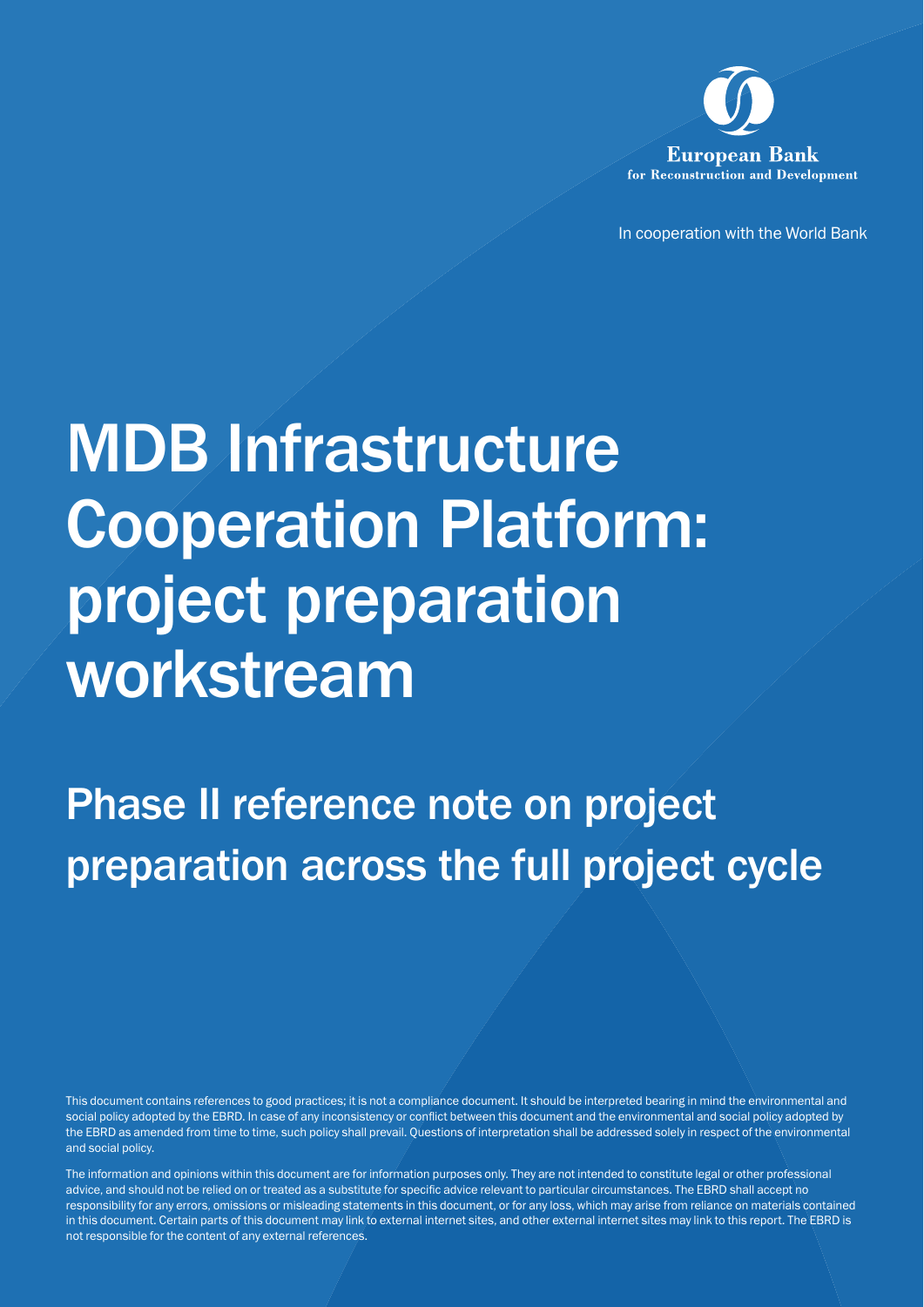

In cooperation with the World Bank

# MDB Infrastructure Cooperation Platform: project preparation workstream

Phase II reference note on project preparation across the full project cycle

This document contains references to good practices; it is not a compliance document. It should be interpreted bearing in mind the environmental and social policy adopted by the EBRD. In case of any inconsistency or conflict between this document and the environmental and social policy adopted by the EBRD as amended from time to time, such policy shall prevail. Questions of interpretation shall be addressed solely in respect of the environmental and social policy.

The information and opinions within this document are for information purposes only. They are not intended to constitute legal or other professional advice, and should not be relied on or treated as a substitute for specific advice relevant to particular circumstances. The EBRD shall accept no responsibility for any errors, omissions or misleading statements in this document, or for any loss, which may arise from reliance on materials contained in this document. Certain parts of this document may link to external internet sites, and other external internet sites may link to this report. The EBRD is not responsible for the content of any external references.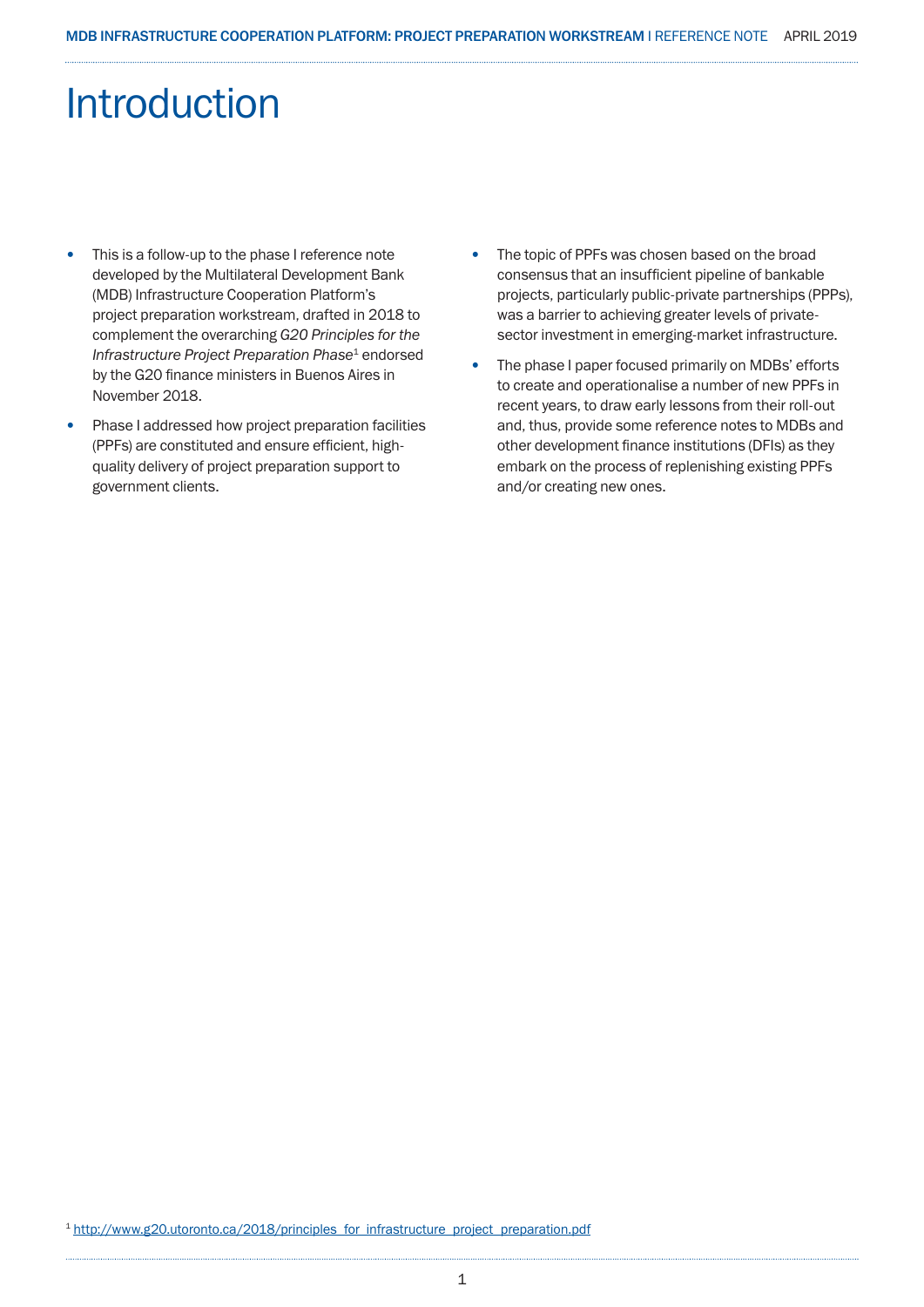## Introduction

- This is a follow-up to the phase I reference note developed by the Multilateral Development Bank (MDB) Infrastructure Cooperation Platform's project preparation workstream, drafted in 2018 to complement the overarching *G20 Principles for the Infrastructure Project Preparation Phase*1 endorsed by the G20 finance ministers in Buenos Aires in November 2018.
- Phase I addressed how project preparation facilities (PPFs) are constituted and ensure efficient, highquality delivery of project preparation support to government clients.
- The topic of PPFs was chosen based on the broad consensus that an insufficient pipeline of bankable projects, particularly public-private partnerships (PPPs), was a barrier to achieving greater levels of privatesector investment in emerging-market infrastructure.
- The phase I paper focused primarily on MDBs' efforts to create and operationalise a number of new PPFs in recent years, to draw early lessons from their roll-out and, thus, provide some reference notes to MDBs and other development finance institutions (DFIs) as they embark on the process of replenishing existing PPFs and/or creating new ones.

<sup>1</sup> http://www.g20.utoronto.ca/2018/principles\_for\_infrastructure\_project\_preparation.pdf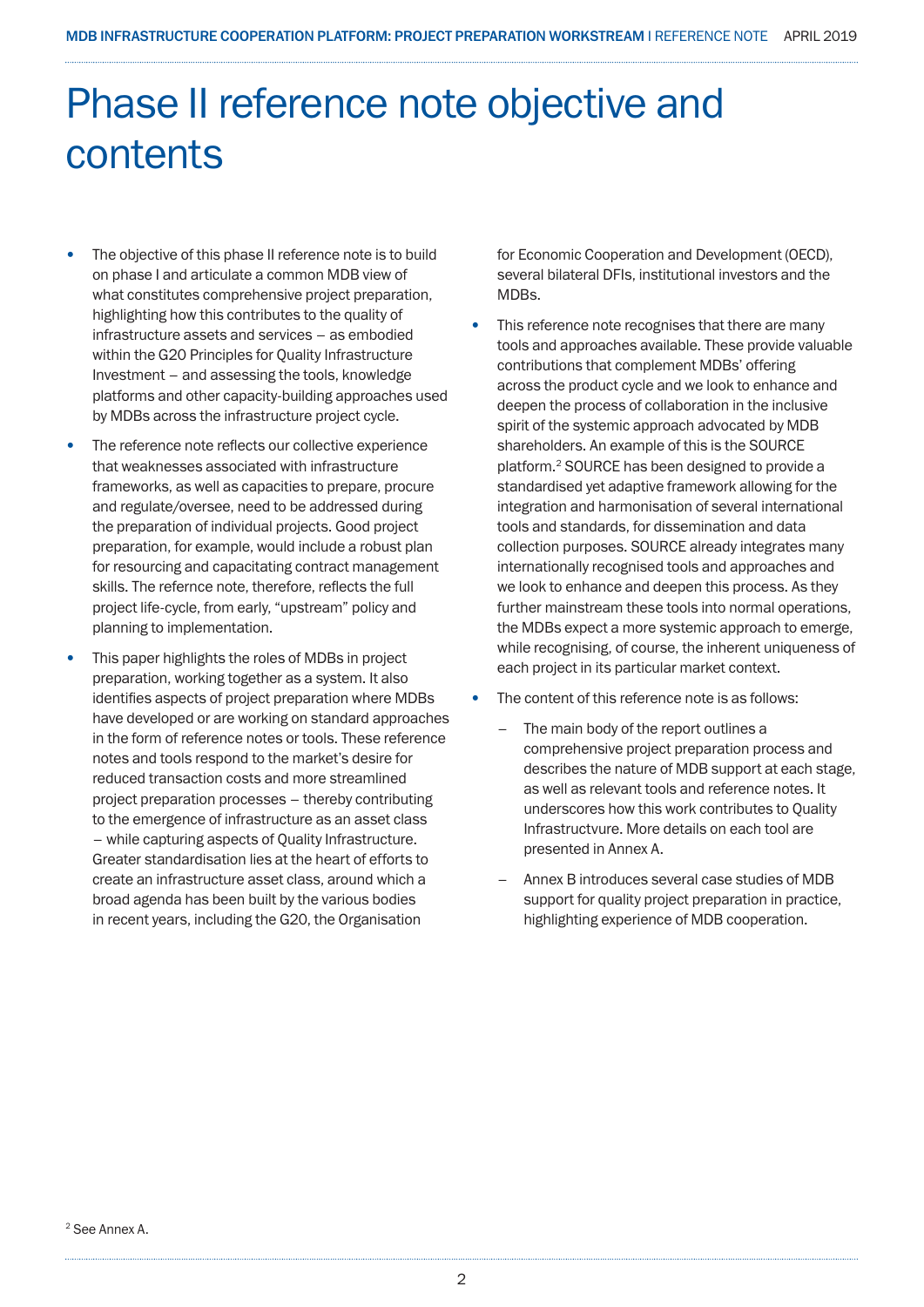## Phase II reference note objective and contents

- The objective of this phase II reference note is to build on phase I and articulate a common MDB view of what constitutes comprehensive project preparation, highlighting how this contributes to the quality of infrastructure assets and services – as embodied within the G20 Principles for Quality Infrastructure Investment – and assessing the tools, knowledge platforms and other capacity-building approaches used by MDBs across the infrastructure project cycle.
- The reference note reflects our collective experience that weaknesses associated with infrastructure frameworks, as well as capacities to prepare, procure and regulate/oversee, need to be addressed during the preparation of individual projects. Good project preparation, for example, would include a robust plan for resourcing and capacitating contract management skills. The refernce note, therefore, reflects the full project life-cycle, from early, "upstream" policy and planning to implementation.
- This paper highlights the roles of MDBs in project preparation, working together as a system. It also identifies aspects of project preparation where MDBs have developed or are working on standard approaches in the form of reference notes or tools. These reference notes and tools respond to the market's desire for reduced transaction costs and more streamlined project preparation processes – thereby contributing to the emergence of infrastructure as an asset class – while capturing aspects of Quality Infrastructure. Greater standardisation lies at the heart of efforts to create an infrastructure asset class, around which a broad agenda has been built by the various bodies in recent years, including the G20, the Organisation

for Economic Cooperation and Development (OECD), several bilateral DFIs, institutional investors and the MDBs.

- This reference note recognises that there are many tools and approaches available. These provide valuable contributions that complement MDBs' offering across the product cycle and we look to enhance and deepen the process of collaboration in the inclusive spirit of the systemic approach advocated by MDB shareholders. An example of this is the SOURCE platform.2 SOURCE has been designed to provide a standardised yet adaptive framework allowing for the integration and harmonisation of several international tools and standards, for dissemination and data collection purposes. SOURCE already integrates many internationally recognised tools and approaches and we look to enhance and deepen this process. As they further mainstream these tools into normal operations, the MDBs expect a more systemic approach to emerge, while recognising, of course, the inherent uniqueness of each project in its particular market context.
- The content of this reference note is as follows:
	- The main body of the report outlines a comprehensive project preparation process and describes the nature of MDB support at each stage, as well as relevant tools and reference notes. It underscores how this work contributes to Quality Infrastructvure. More details on each tool are presented in Annex A.
	- Annex B introduces several case studies of MDB support for quality project preparation in practice, highlighting experience of MDB cooperation.

2 See Annex A.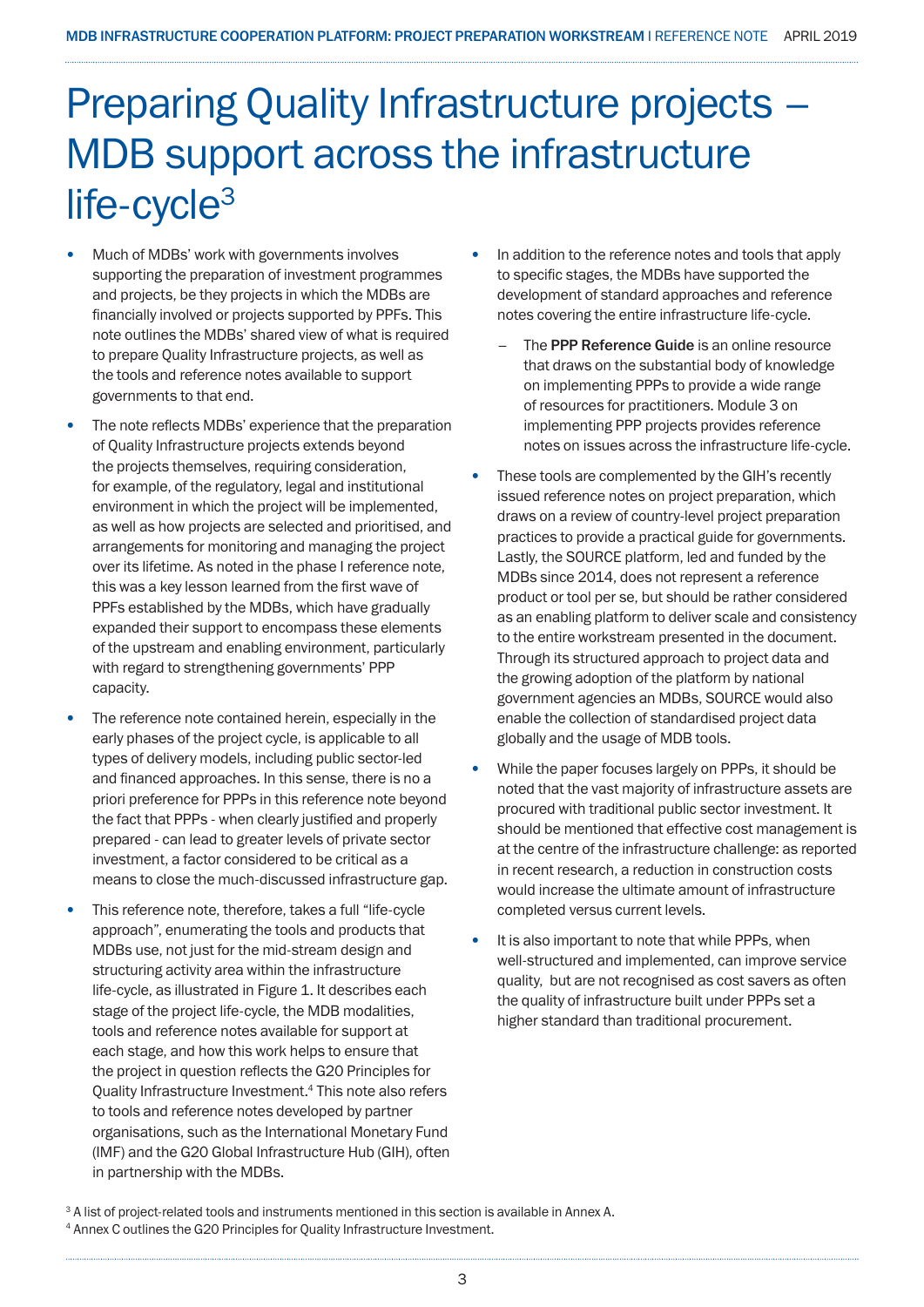## Preparing Quality Infrastructure projects – MDB support across the infrastructure life-cycle<sup>3</sup>

- Much of MDBs' work with governments involves supporting the preparation of investment programmes and projects, be they projects in which the MDBs are financially involved or projects supported by PPFs. This note outlines the MDBs' shared view of what is required to prepare Quality Infrastructure projects, as well as the tools and reference notes available to support governments to that end.
- The note reflects MDBs' experience that the preparation of Quality Infrastructure projects extends beyond the projects themselves, requiring consideration, for example, of the regulatory, legal and institutional environment in which the project will be implemented, as well as how projects are selected and prioritised, and arrangements for monitoring and managing the project over its lifetime. As noted in the phase I reference note, this was a key lesson learned from the first wave of PPFs established by the MDBs, which have gradually expanded their support to encompass these elements of the upstream and enabling environment, particularly with regard to strengthening governments' PPP capacity.
- The reference note contained herein, especially in the early phases of the project cycle, is applicable to all types of delivery models, including public sector-led and financed approaches. In this sense, there is no a priori preference for PPPs in this reference note beyond the fact that PPPs - when clearly justified and properly prepared - can lead to greater levels of private sector investment, a factor considered to be critical as a means to close the much-discussed infrastructure gap.
- This reference note, therefore, takes a full "life-cycle approach", enumerating the tools and products that MDBs use, not just for the mid-stream design and structuring activity area within the infrastructure life-cycle, as illustrated in Figure 1. It describes each stage of the project life-cycle, the MDB modalities, tools and reference notes available for support at each stage, and how this work helps to ensure that the project in question reflects the G20 Principles for Quality Infrastructure Investment.4 This note also refers to tools and reference notes developed by partner organisations, such as the International Monetary Fund (IMF) and the G20 Global Infrastructure Hub (GIH), often in partnership with the MDBs.
- In addition to the reference notes and tools that apply to specific stages, the MDBs have supported the development of standard approaches and reference notes covering the entire infrastructure life-cycle.
	- The PPP Reference Guide is an online resource that draws on the substantial body of knowledge on implementing PPPs to provide a wide range of resources for practitioners. Module 3 on implementing PPP projects provides reference notes on issues across the infrastructure life-cycle.
- These tools are complemented by the GIH's recently issued reference notes on project preparation, which draws on a review of country-level project preparation practices to provide a practical guide for governments. Lastly, the SOURCE platform, led and funded by the MDBs since 2014, does not represent a reference product or tool per se, but should be rather considered as an enabling platform to deliver scale and consistency to the entire workstream presented in the document. Through its structured approach to project data and the growing adoption of the platform by national government agencies an MDBs, SOURCE would also enable the collection of standardised project data globally and the usage of MDB tools.
- While the paper focuses largely on PPPs, it should be noted that the vast majority of infrastructure assets are procured with traditional public sector investment. It should be mentioned that effective cost management is at the centre of the infrastructure challenge: as reported in recent research, a reduction in construction costs would increase the ultimate amount of infrastructure completed versus current levels.
- It is also important to note that while PPPs, when well-structured and implemented, can improve service quality, but are not recognised as cost savers as often the quality of infrastructure built under PPPs set a higher standard than traditional procurement.

<sup>&</sup>lt;sup>3</sup> A list of project-related tools and instruments mentioned in this section is available in Annex A.

<sup>4</sup> Annex C outlines the G20 Principles for Quality Infrastructure Investment.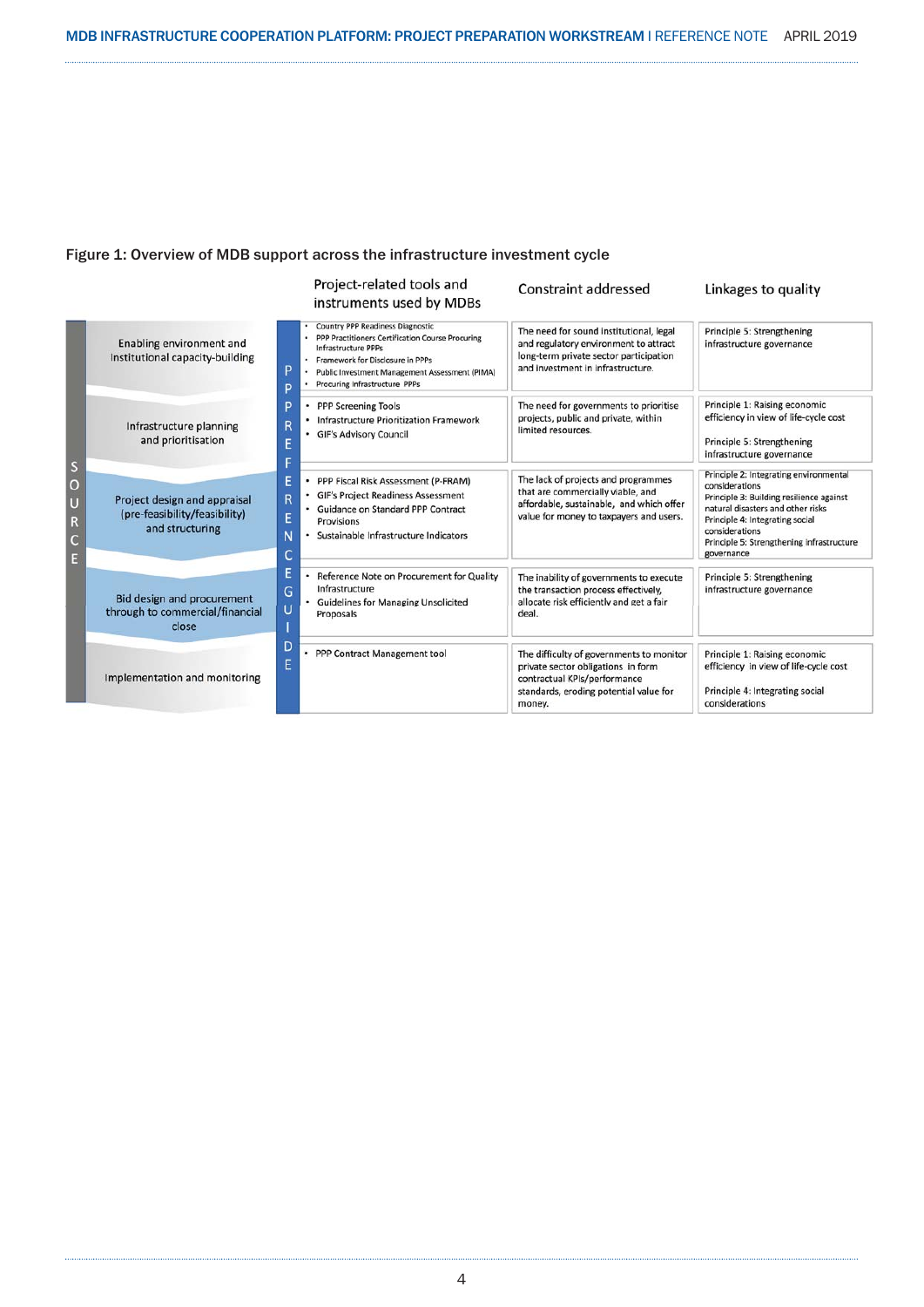#### Figure 1: Overview of MDB support across the infrastructure investment cycle

|                            |                                                                               | Project-related tools and<br>instruments used by MDBs                                                                                                                                                                                                                                                                                                                                                                                                                                                                                                                                                                       |  | Constraint addressed                                                                                                                                               | Linkages to quality                                                                                                                                                                                                                                       |
|----------------------------|-------------------------------------------------------------------------------|-----------------------------------------------------------------------------------------------------------------------------------------------------------------------------------------------------------------------------------------------------------------------------------------------------------------------------------------------------------------------------------------------------------------------------------------------------------------------------------------------------------------------------------------------------------------------------------------------------------------------------|--|--------------------------------------------------------------------------------------------------------------------------------------------------------------------|-----------------------------------------------------------------------------------------------------------------------------------------------------------------------------------------------------------------------------------------------------------|
| S<br>O<br>Ū<br>R<br>C<br>E | Enabling environment and<br>Institutional capacity-building                   | <b>Country PPP Readiness Diagnostic</b><br>PPP Practitioners Certification Course Procuring<br><b>Infrastructure PPPs</b><br>Framework for Disclosure in PPPs<br>P<br>Public Investment Management Assessment (PIMA)<br>Procuring Infrastructure PPPs<br>D<br>D<br><b>PPP Screening Tools</b><br><b>Infrastructure Prioritization Framework</b><br>R<br><b>GIF's Advisory Council</b><br>E<br>F<br>E<br>PPP Fiscal Risk Assessment (P-FRAM)<br><b>GIF's Project Readiness Assessment</b><br>R<br>Guidance on Standard PPP Contract<br>Ė<br>Provisions<br>and structuring<br>N<br>Sustainable Infrastructure Indicators<br>C |  | The need for sound institutional, legal<br>and regulatory environment to attract<br>long-term private sector participation<br>and investment in infrastructure.    | Principle 5: Strengthening<br>infrastructure governance                                                                                                                                                                                                   |
|                            | Infrastructure planning<br>and prioritisation                                 |                                                                                                                                                                                                                                                                                                                                                                                                                                                                                                                                                                                                                             |  | The need for governments to prioritise<br>projects, public and private, within<br>limited resources.                                                               | Principle 1: Raising economic<br>efficiency in view of life-cycle cost<br>Principle 5: Strengthening<br>infrastructure governance                                                                                                                         |
|                            | Project design and appraisal<br>(pre-feasibility/feasibility)                 |                                                                                                                                                                                                                                                                                                                                                                                                                                                                                                                                                                                                                             |  | The lack of projects and programmes<br>that are commercially viable, and<br>affordable, sustainable, and which offer<br>value for money to taxpayers and users.    | Principle 2: Integrating environmental<br>considerations<br>Principle 3: Building resilience against<br>natural disasters and other risks<br>Principle 4: Integrating social<br>considerations<br>Principle 5: Strengthening infrastructure<br>governance |
|                            | <b>Bid design and procurement</b><br>through to commercial/financial<br>close | Е<br>Reference Note on Procurement for Quality<br>Infrastructure<br>G<br><b>Guidelines for Managing Unsolicited</b><br>U<br>Proposals                                                                                                                                                                                                                                                                                                                                                                                                                                                                                       |  | The inability of governments to execute<br>the transaction process effectively,<br>allocate risk efficiently and get a fair<br>deal.                               | Principle 5: Strengthening<br>infrastructure governance                                                                                                                                                                                                   |
|                            | Implementation and monitoring                                                 | D<br>PPP Contract Management tool<br>٠<br>E                                                                                                                                                                                                                                                                                                                                                                                                                                                                                                                                                                                 |  | The difficulty of governments to monitor<br>private sector obligations in form<br>contractual KPIs/performance<br>standards, eroding potential value for<br>money. | Principle 1: Raising economic<br>efficiency in view of life-cycle cost<br>Principle 4: Integrating social<br>considerations                                                                                                                               |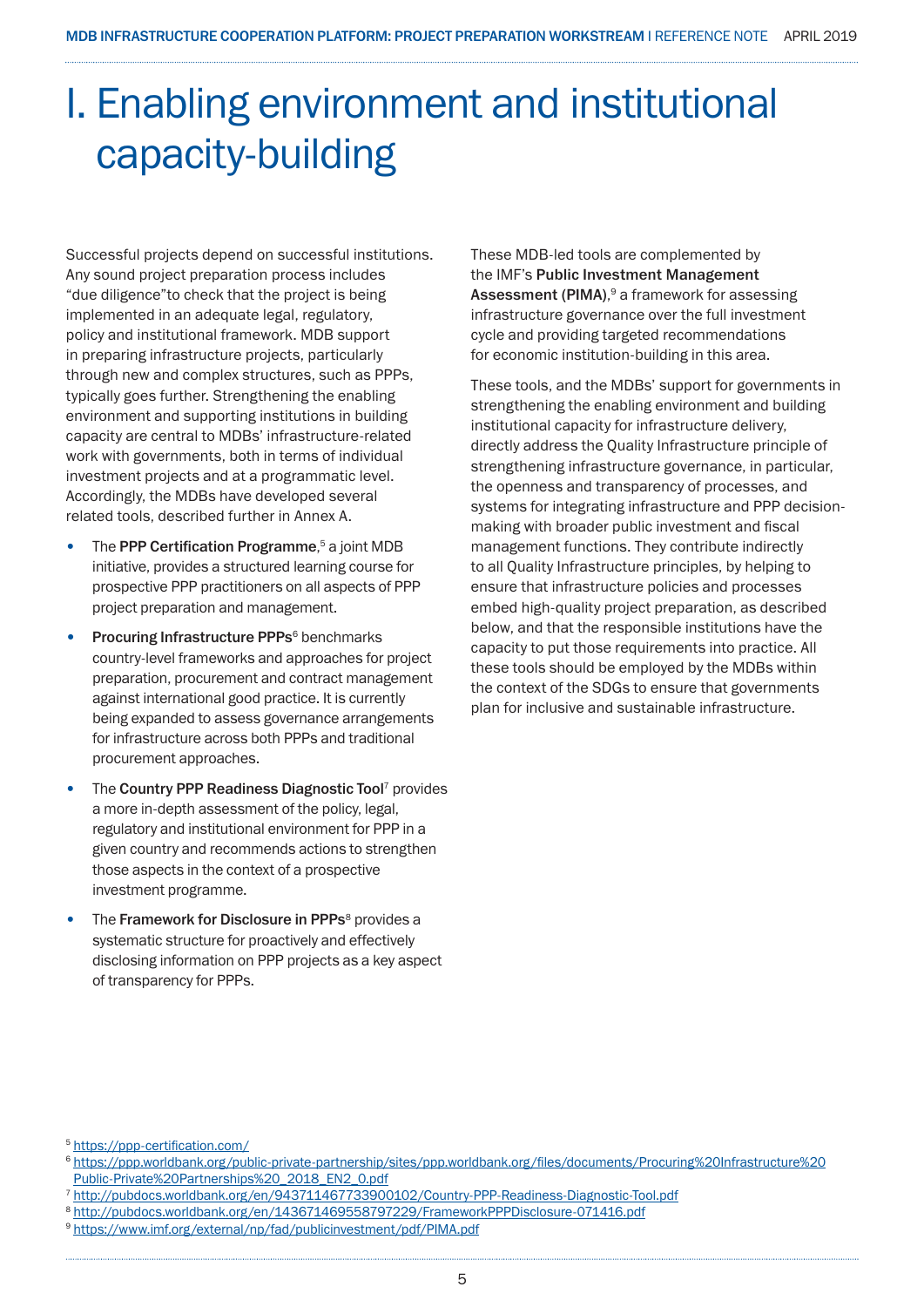## I. Enabling environment and institutional capacity-building

Successful projects depend on successful institutions. Any sound project preparation process includes "due diligence"to check that the project is being implemented in an adequate legal, regulatory, policy and institutional framework. MDB support in preparing infrastructure projects, particularly through new and complex structures, such as PPPs, typically goes further. Strengthening the enabling environment and supporting institutions in building capacity are central to MDBs' infrastructure-related work with governments, both in terms of individual investment projects and at a programmatic level. Accordingly, the MDBs have developed several related tools, described further in Annex A.

- The PPP Certification Programme,<sup>5</sup> a joint MDB initiative, provides a structured learning course for prospective PPP practitioners on all aspects of PPP project preparation and management.
- Procuring Infrastructure PPPs<sup>6</sup> benchmarks country-level frameworks and approaches for project preparation, procurement and contract management against international good practice. It is currently being expanded to assess governance arrangements for infrastructure across both PPPs and traditional procurement approaches.
- The Country PPP Readiness Diagnostic Tool<sup>7</sup> provides a more in-depth assessment of the policy, legal, regulatory and institutional environment for PPP in a given country and recommends actions to strengthen those aspects in the context of a prospective investment programme.
- The Framework for Disclosure in PPPs<sup>8</sup> provides a systematic structure for proactively and effectively disclosing information on PPP projects as a key aspect of transparency for PPPs.

These MDB-led tools are complemented by the IMF's Public Investment Management Assessment (PIMA), 9 a framework for assessing infrastructure governance over the full investment cycle and providing targeted recommendations for economic institution-building in this area.

These tools, and the MDBs' support for governments in strengthening the enabling environment and building institutional capacity for infrastructure delivery, directly address the Quality Infrastructure principle of strengthening infrastructure governance, in particular, the openness and transparency of processes, and systems for integrating infrastructure and PPP decisionmaking with broader public investment and fiscal management functions. They contribute indirectly to all Quality Infrastructure principles, by helping to ensure that infrastructure policies and processes embed high-quality project preparation, as described below, and that the responsible institutions have the capacity to put those requirements into practice. All these tools should be employed by the MDBs within the context of the SDGs to ensure that governments plan for inclusive and sustainable infrastructure.

<sup>5</sup> https://ppp-certification.com/

<sup>6</sup> https://ppp.worldbank.org/public-private-partnership/sites/ppp.worldbank.org/files/documents/Procuring%20Infrastructure%20 Public-Private%20Partnerships%20\_2018\_EN2\_0.pdf

<sup>7</sup> http://pubdocs.worldbank.org/en/943711467733900102/Country-PPP-Readiness-Diagnostic-Tool.pdf

<sup>8</sup> http://pubdocs.worldbank.org/en/143671469558797229/FrameworkPPPDisclosure-071416.pdf

<sup>9</sup> https://www.imf.org/external/np/fad/publicinvestment/pdf/PIMA.pdf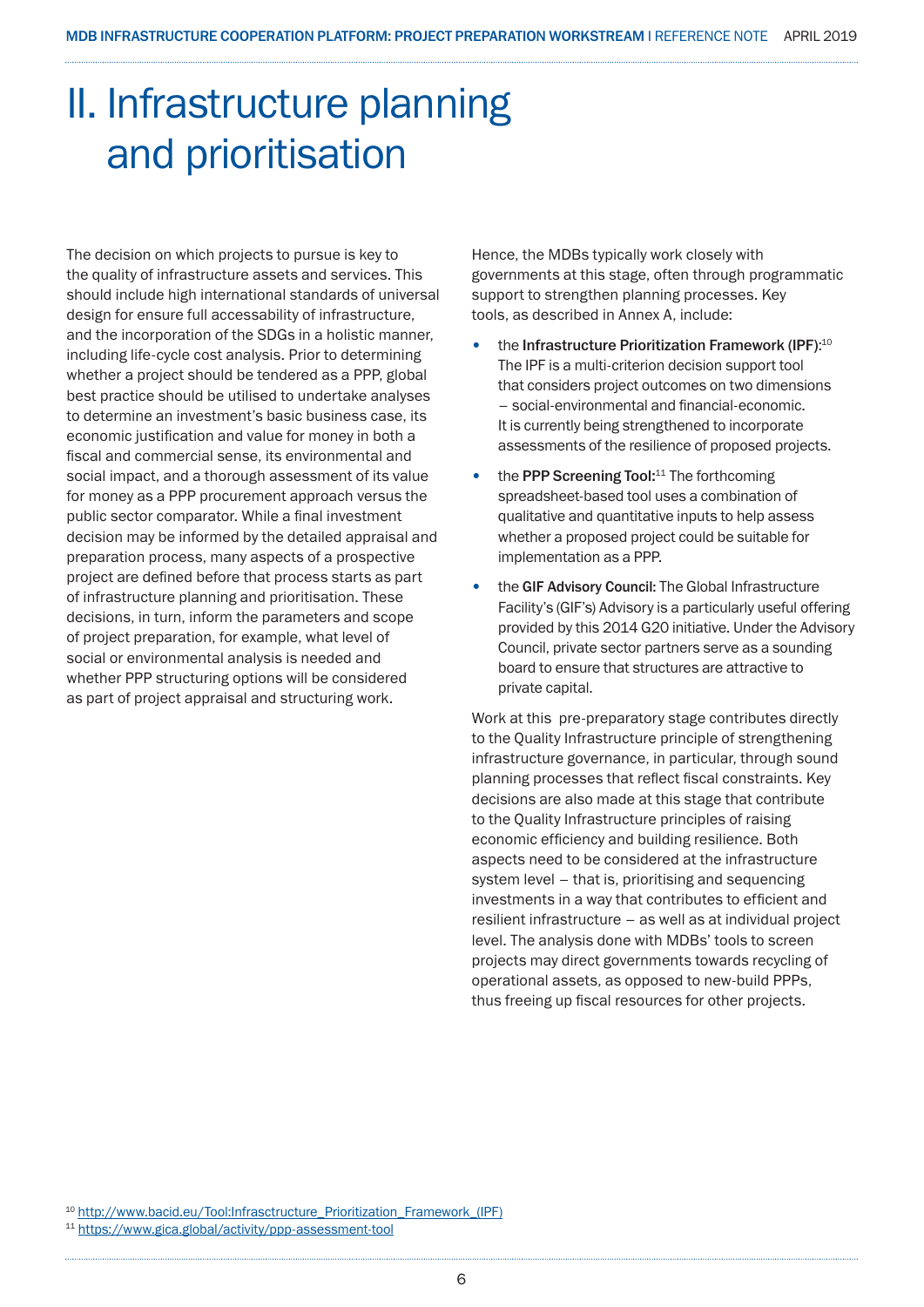## II. Infrastructure planning and prioritisation

The decision on which projects to pursue is key to the quality of infrastructure assets and services. This should include high international standards of universal design for ensure full accessability of infrastructure, and the incorporation of the SDGs in a holistic manner, including life-cycle cost analysis. Prior to determining whether a project should be tendered as a PPP, global best practice should be utilised to undertake analyses to determine an investment's basic business case, its economic justification and value for money in both a fiscal and commercial sense, its environmental and social impact, and a thorough assessment of its value for money as a PPP procurement approach versus the public sector comparator. While a final investment decision may be informed by the detailed appraisal and preparation process, many aspects of a prospective project are defined before that process starts as part of infrastructure planning and prioritisation. These decisions, in turn, inform the parameters and scope of project preparation, for example, what level of social or environmental analysis is needed and whether PPP structuring options will be considered as part of project appraisal and structuring work.

Hence, the MDBs typically work closely with governments at this stage, often through programmatic support to strengthen planning processes. Key tools, as described in Annex A, include:

- the Infrastructure Prioritization Framework (IPF):<sup>10</sup> The IPF is a multi-criterion decision support tool that considers project outcomes on two dimensions – social-environmental and financial-economic. It is currently being strengthened to incorporate assessments of the resilience of proposed projects.
- the PPP Screening Tool:<sup>11</sup> The forthcoming spreadsheet-based tool uses a combination of qualitative and quantitative inputs to help assess whether a proposed project could be suitable for implementation as a PPP.
- the GIF Advisory Council: The Global Infrastructure Facility's (GIF's) Advisory is a particularly useful offering provided by this 2014 G20 initiative. Under the Advisory Council, private sector partners serve as a sounding board to ensure that structures are attractive to private capital.

Work at this pre-preparatory stage contributes directly to the Quality Infrastructure principle of strengthening infrastructure governance, in particular, through sound planning processes that reflect fiscal constraints. Key decisions are also made at this stage that contribute to the Quality Infrastructure principles of raising economic efficiency and building resilience. Both aspects need to be considered at the infrastructure system level – that is, prioritising and sequencing investments in a way that contributes to efficient and resilient infrastructure – as well as at individual project level. The analysis done with MDBs' tools to screen projects may direct governments towards recycling of operational assets, as opposed to new-build PPPs, thus freeing up fiscal resources for other projects.

<sup>10</sup> http://www.bacid.eu/Tool:Infrasctructure\_Prioritization\_Framework\_(IPF)

<sup>11</sup> https://www.gica.global/activity/ppp-assessment-tool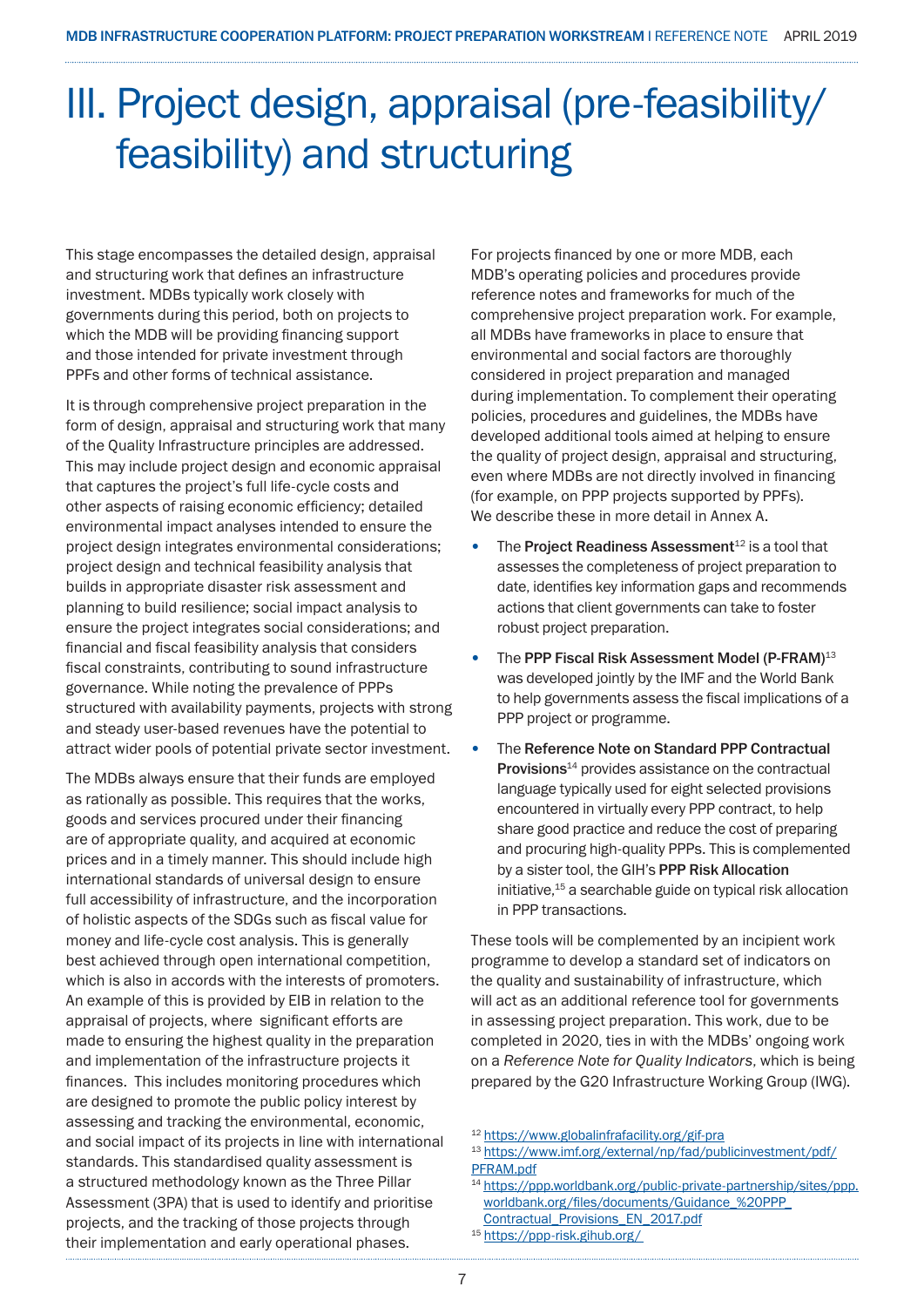## III. Project design, appraisal (pre-feasibility/ feasibility) and structuring

This stage encompasses the detailed design, appraisal and structuring work that defines an infrastructure investment. MDBs typically work closely with governments during this period, both on projects to which the MDB will be providing financing support and those intended for private investment through PPFs and other forms of technical assistance.

It is through comprehensive project preparation in the form of design, appraisal and structuring work that many of the Quality Infrastructure principles are addressed. This may include project design and economic appraisal that captures the project's full life-cycle costs and other aspects of raising economic efficiency; detailed environmental impact analyses intended to ensure the project design integrates environmental considerations; project design and technical feasibility analysis that builds in appropriate disaster risk assessment and planning to build resilience; social impact analysis to ensure the project integrates social considerations; and financial and fiscal feasibility analysis that considers fiscal constraints, contributing to sound infrastructure governance. While noting the prevalence of PPPs structured with availability payments, projects with strong and steady user-based revenues have the potential to attract wider pools of potential private sector investment.

The MDBs always ensure that their funds are employed as rationally as possible. This requires that the works, goods and services procured under their financing are of appropriate quality, and acquired at economic prices and in a timely manner. This should include high international standards of universal design to ensure full accessibility of infrastructure, and the incorporation of holistic aspects of the SDGs such as fiscal value for money and life-cycle cost analysis. This is generally best achieved through open international competition, which is also in accords with the interests of promoters. An example of this is provided by EIB in relation to the appraisal of projects, where significant efforts are made to ensuring the highest quality in the preparation and implementation of the infrastructure projects it finances. This includes monitoring procedures which are designed to promote the public policy interest by assessing and tracking the environmental, economic, and social impact of its projects in line with international standards. This standardised quality assessment is a structured methodology known as the Three Pillar Assessment (3PA) that is used to identify and prioritise projects, and the tracking of those projects through their implementation and early operational phases.

For projects financed by one or more MDB, each MDB's operating policies and procedures provide reference notes and frameworks for much of the comprehensive project preparation work. For example, all MDBs have frameworks in place to ensure that environmental and social factors are thoroughly considered in project preparation and managed during implementation. To complement their operating policies, procedures and guidelines, the MDBs have developed additional tools aimed at helping to ensure the quality of project design, appraisal and structuring, even where MDBs are not directly involved in financing (for example, on PPP projects supported by PPFs). We describe these in more detail in Annex A.

- The Project Readiness Assessment<sup>12</sup> is a tool that assesses the completeness of project preparation to date, identifies key information gaps and recommends actions that client governments can take to foster robust project preparation.
- The PPP Fiscal Risk Assessment Model (P-FRAM)<sup>13</sup> was developed jointly by the IMF and the World Bank to help governments assess the fiscal implications of a PPP project or programme.
- The Reference Note on Standard PPP Contractual **Provisions** $^{14}$  provides assistance on the contractual language typically used for eight selected provisions encountered in virtually every PPP contract, to help share good practice and reduce the cost of preparing and procuring high-quality PPPs. This is complemented by a sister tool, the GIH's PPP Risk Allocation initiative,15 a searchable guide on typical risk allocation in PPP transactions.

These tools will be complemented by an incipient work programme to develop a standard set of indicators on the quality and sustainability of infrastructure, which will act as an additional reference tool for governments in assessing project preparation. This work, due to be completed in 2020, ties in with the MDBs' ongoing work on a *Reference Note for Quality Indicators*, which is being prepared by the G20 Infrastructure Working Group (IWG).

<sup>12</sup> https://www.globalinfrafacility.org/gif-pra

<sup>15</sup> https://ppp-risk.gihub.org/

<sup>13</sup> https://www.imf.org/external/np/fad/publicinvestment/pdf/ PFRAM.pdf

<sup>14</sup> https://ppp.worldbank.org/public-private-partnership/sites/ppp. worldbank.org/files/documents/Guidance\_%20PPP\_ Contractual\_Provisions\_EN\_2017.pdf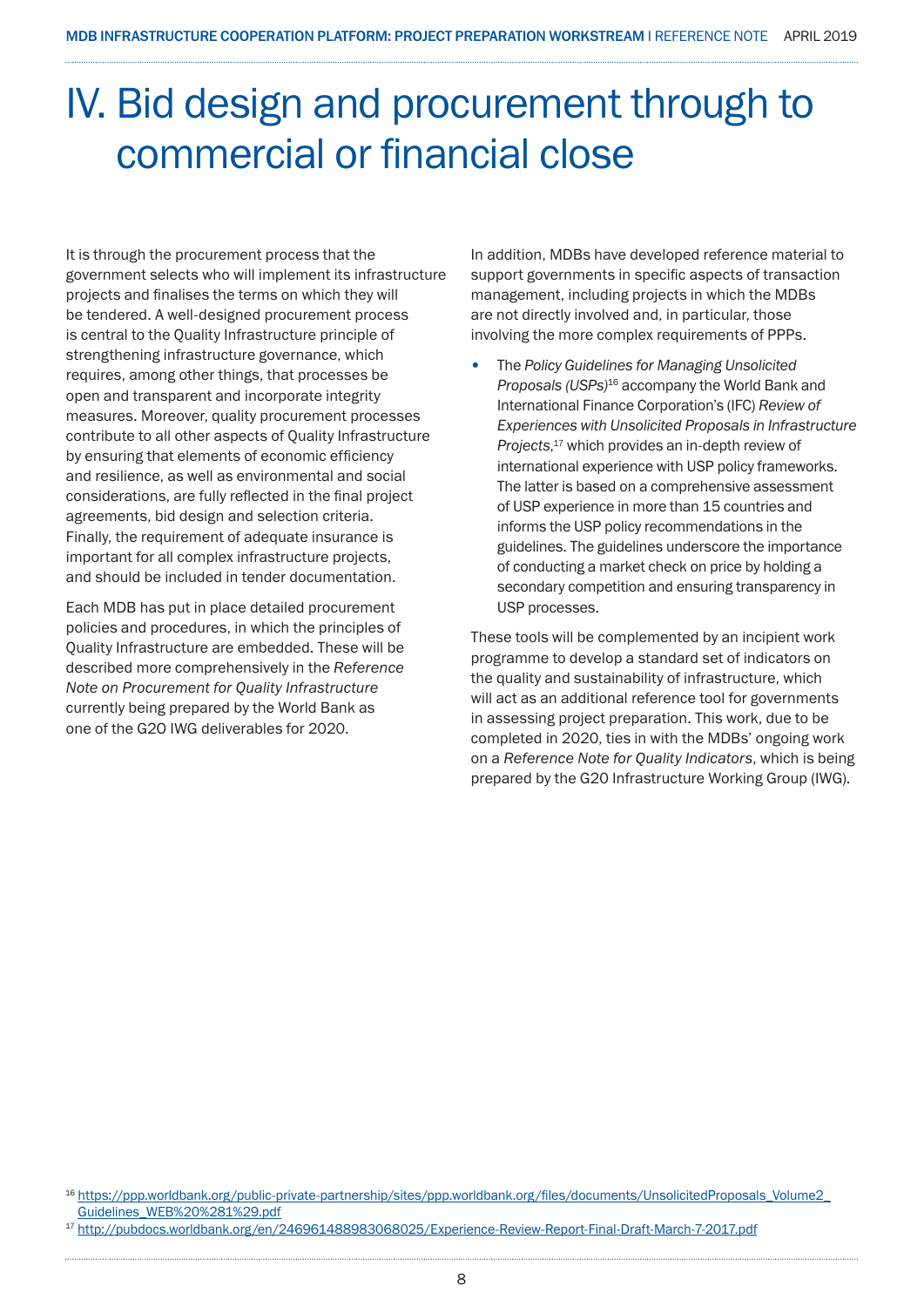## IV. Bid design and procurement through to commercial or financial close

It is through the procurement process that the government selects who will implement its infrastructure projects and finalises the terms on which they will be tendered. A well-designed procurement process is central to the Quality Infrastructure principle of strengthening infrastructure governance, which requires, among other things, that processes be open and transparent and incorporate integrity measures. Moreover, quality procurement processes contribute to all other aspects of Quality Infrastructure by ensuring that elements of economic efficiency and resilience, as well as environmental and social considerations, are fully reflected in the final project agreements, bid design and selection criteria. Finally, the requirement of adequate insurance is important for all complex infrastructure projects, and should be included in tender documentation.

Each MDB has put in place detailed procurement policies and procedures, in which the principles of Quality Infrastructure are embedded. These will be described more comprehensively in the *Reference Note on Procurement for Quality Infrastructure* currently being prepared by the World Bank as one of the G2O IWG deliverables for 2020.

In addition, MDBs have developed reference material to support governments in specific aspects of transaction management, including projects in which the MDBs are not directly involved and, in particular, those involving the more complex requirements of PPPs.

• The *Policy Guidelines for Managing Unsolicited Proposals (USPs)*16 accompany the World Bank and International Finance Corporation's (IFC) *Review of Experiences with Unsolicited Proposals in Infrastructure Projects*, 17 which provides an in-depth review of international experience with USP policy frameworks. The latter is based on a comprehensive assessment of USP experience in more than 15 countries and informs the USP policy recommendations in the guidelines. The guidelines underscore the importance of conducting a market check on price by holding a secondary competition and ensuring transparency in USP processes.

These tools will be complemented by an incipient work programme to develop a standard set of indicators on the quality and sustainability of infrastructure, which will act as an additional reference tool for governments in assessing project preparation. This work, due to be completed in 2020, ties in with the MDBs' ongoing work on a *Reference Note for Quality Indicators*, which is being prepared by the G20 Infrastructure Working Group (IWG).

<sup>16</sup> https://ppp.worldbank.org/public-private-partnership/sites/ppp.worldbank.org/files/documents/UnsolicitedProposals\_Volume2\_ Guidelines\_WEB%20%281%29.pdf

<sup>17</sup> http://pubdocs.worldbank.org/en/246961488983068025/Experience-Review-Report-Final-Draft-March-7-2017.pdf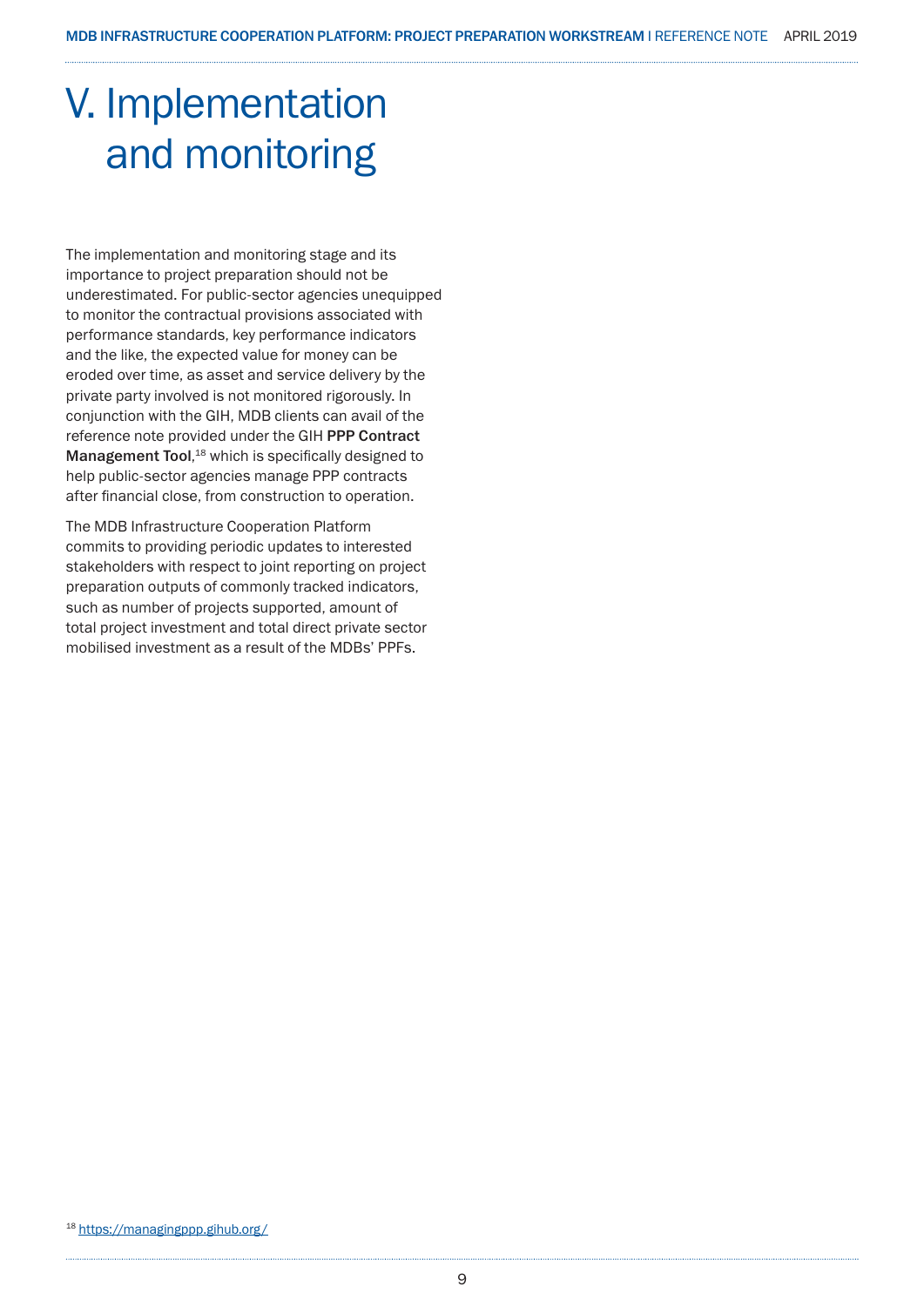## V. Implementation and monitoring

The implementation and monitoring stage and its importance to project preparation should not be underestimated. For public-sector agencies unequipped to monitor the contractual provisions associated with performance standards, key performance indicators and the like, the expected value for money can be eroded over time, as asset and service delivery by the private party involved is not monitored rigorously. In conjunction with the GIH, MDB clients can avail of the reference note provided under the GIH PPP Contract Management Tool,<sup>18</sup> which is specifically designed to help public-sector agencies manage PPP contracts after financial close, from construction to operation.

The MDB Infrastructure Cooperation Platform commits to providing periodic updates to interested stakeholders with respect to joint reporting on project preparation outputs of commonly tracked indicators, such as number of projects supported, amount of total project investment and total direct private sector mobilised investment as a result of the MDBs' PPFs.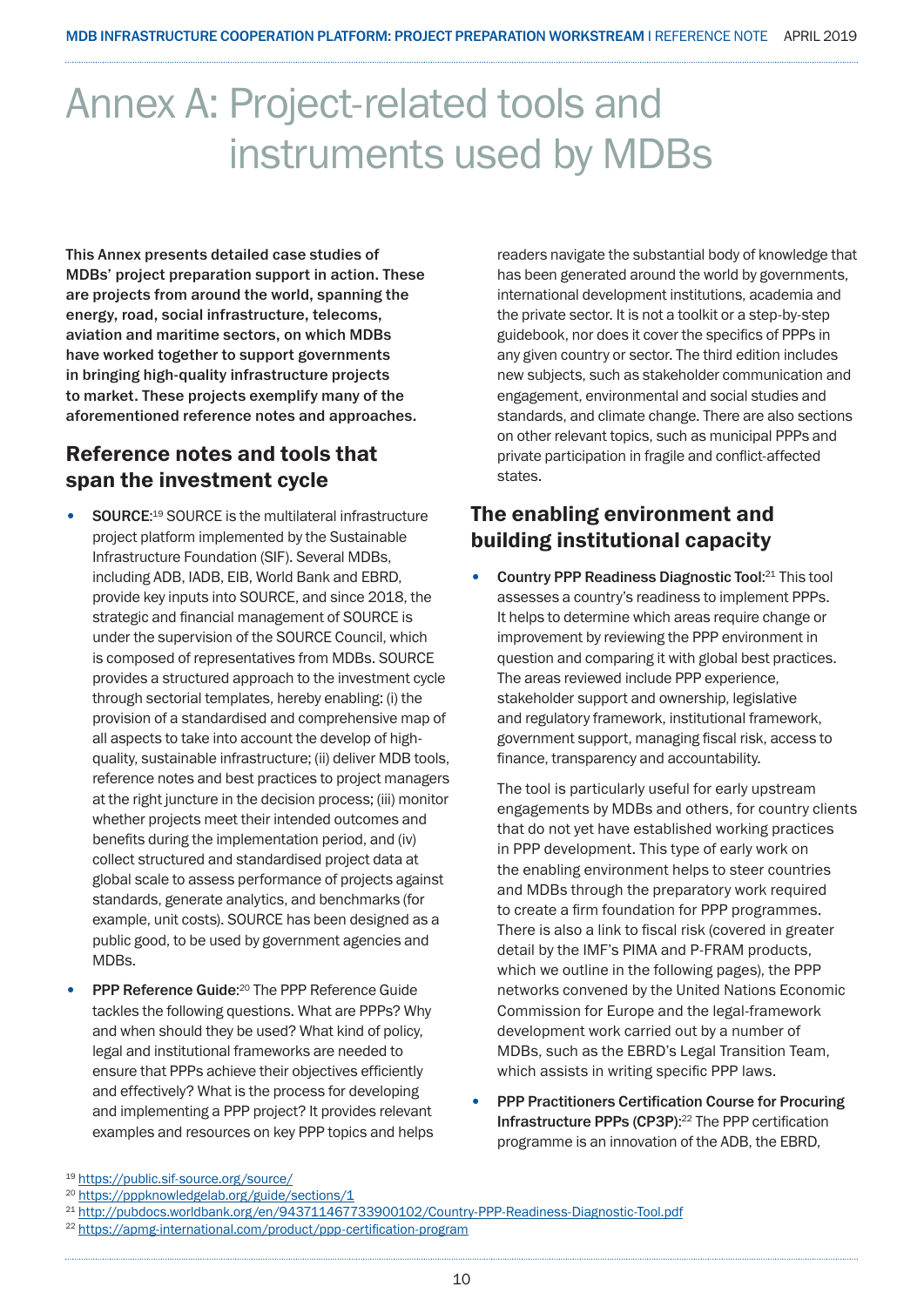## Annex A: Project-related tools and instruments used by MDBs

This Annex presents detailed case studies of MDBs' project preparation support in action. These are projects from around the world, spanning the energy, road, social infrastructure, telecoms, aviation and maritime sectors, on which MDBs have worked together to support governments in bringing high-quality infrastructure projects to market. These projects exemplify many of the aforementioned reference notes and approaches.

### Reference notes and tools that span the investment cycle

- SOURCE:<sup>19</sup> SOURCE is the multilateral infrastructure project platform implemented by the Sustainable Infrastructure Foundation (SIF). Several MDBs, including ADB, IADB, EIB, World Bank and EBRD, provide key inputs into SOURCE, and since 2018, the strategic and financial management of SOURCE is under the supervision of the SOURCE Council, which is composed of representatives from MDBs. SOURCE provides a structured approach to the investment cycle through sectorial templates, hereby enabling: (i) the provision of a standardised and comprehensive map of all aspects to take into account the develop of highquality, sustainable infrastructure; (ii) deliver MDB tools, reference notes and best practices to project managers at the right juncture in the decision process; (iii) monitor whether projects meet their intended outcomes and benefits during the implementation period, and (iv) collect structured and standardised project data at global scale to assess performance of projects against standards, generate analytics, and benchmarks (for example, unit costs). SOURCE has been designed as a public good, to be used by government agencies and MDBs.
- **PPP Reference Guide:**<sup>20</sup> The PPP Reference Guide tackles the following questions. What are PPPs? Why and when should they be used? What kind of policy, legal and institutional frameworks are needed to ensure that PPPs achieve their objectives efficiently and effectively? What is the process for developing and implementing a PPP project? It provides relevant examples and resources on key PPP topics and helps

readers navigate the substantial body of knowledge that has been generated around the world by governments, international development institutions, academia and the private sector. It is not a toolkit or a step-by-step guidebook, nor does it cover the specifics of PPPs in any given country or sector. The third edition includes new subjects, such as stakeholder communication and engagement, environmental and social studies and standards, and climate change. There are also sections on other relevant topics, such as municipal PPPs and private participation in fragile and conflict-affected states.

### The enabling environment and building institutional capacity

• Country PPP Readiness Diagnostic Tool:<sup>21</sup> This tool assesses a country's readiness to implement PPPs. It helps to determine which areas require change or improvement by reviewing the PPP environment in question and comparing it with global best practices. The areas reviewed include PPP experience, stakeholder support and ownership, legislative and regulatory framework, institutional framework, government support, managing fiscal risk, access to finance, transparency and accountability.

The tool is particularly useful for early upstream engagements by MDBs and others, for country clients that do not yet have established working practices in PPP development. This type of early work on the enabling environment helps to steer countries and MDBs through the preparatory work required to create a firm foundation for PPP programmes. There is also a link to fiscal risk (covered in greater detail by the IMF's PIMA and P-FRAM products, which we outline in the following pages), the PPP networks convened by the United Nations Economic Commission for Europe and the legal-framework development work carried out by a number of MDBs, such as the EBRD's Legal Transition Team, which assists in writing specific PPP laws.

• PPP Practitioners Certification Course for Procuring Infrastructure PPPs (CP3P): 22 The PPP certification programme is an innovation of the ADB, the EBRD,

<sup>19</sup> https://public.sif-source.org/source/

<sup>20</sup> https://pppknowledgelab.org/guide/sections/1

<sup>21</sup> http://pubdocs.worldbank.org/en/943711467733900102/Country-PPP-Readiness-Diagnostic-Tool.pdf

<sup>22</sup> https://apmg-international.com/product/ppp-certification-program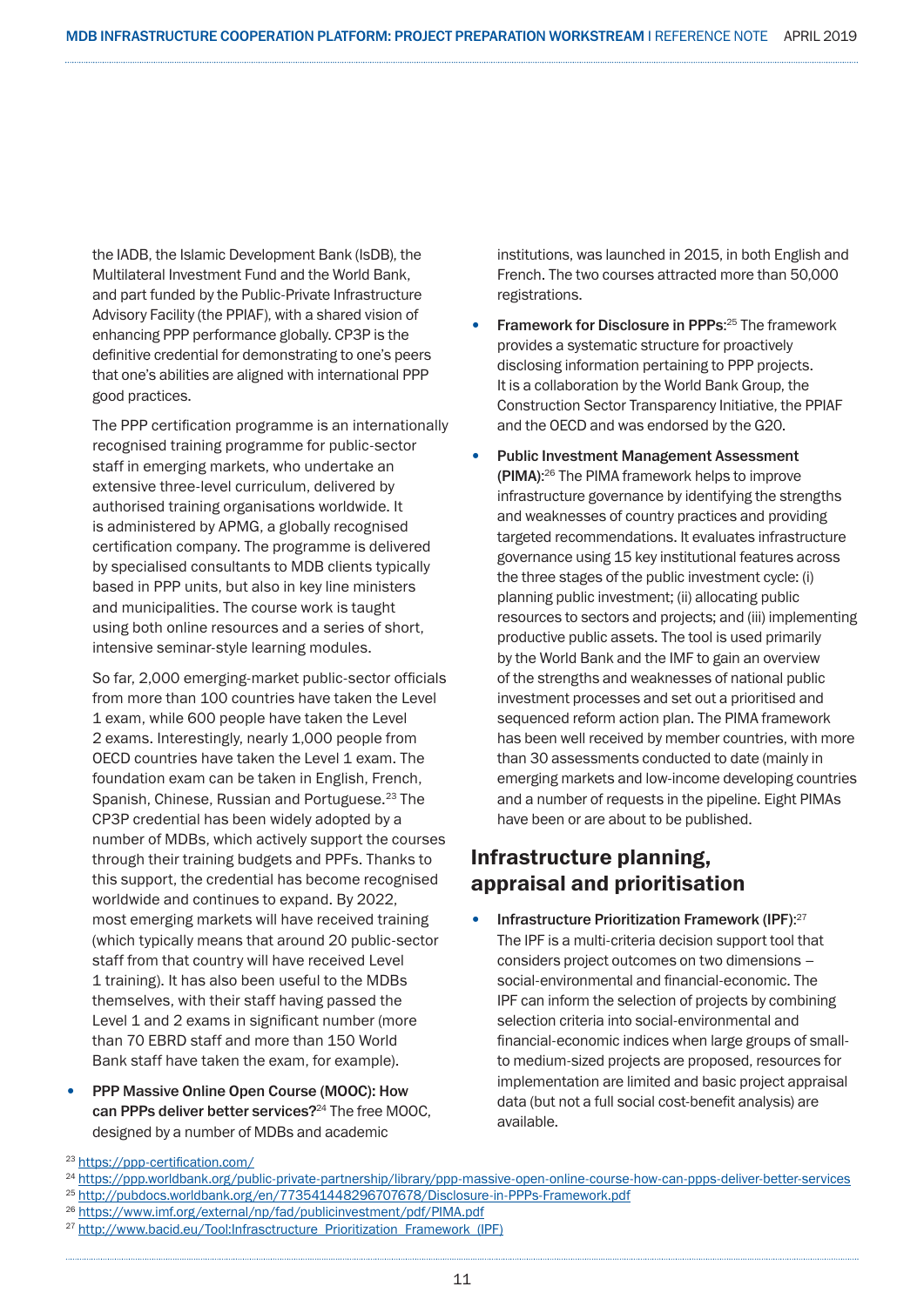the IADB, the Islamic Development Bank (IsDB), the Multilateral Investment Fund and the World Bank, and part funded by the Public-Private Infrastructure Advisory Facility (the PPIAF), with a shared vision of enhancing PPP performance globally. CP3P is the definitive credential for demonstrating to one's peers that one's abilities are aligned with international PPP good practices.

The PPP certification programme is an internationally recognised training programme for public-sector staff in emerging markets, who undertake an extensive three-level curriculum, delivered by authorised training organisations worldwide. It is administered by APMG, a globally recognised certification company. The programme is delivered by specialised consultants to MDB clients typically based in PPP units, but also in key line ministers and municipalities. The course work is taught using both online resources and a series of short, intensive seminar-style learning modules.

So far, 2,000 emerging-market public-sector officials from more than 100 countries have taken the Level 1 exam, while 600 people have taken the Level 2 exams. Interestingly, nearly 1,000 people from OECD countries have taken the Level 1 exam. The foundation exam can be taken in English, French, Spanish, Chinese, Russian and Portuguese.<sup>23</sup> The CP3P credential has been widely adopted by a number of MDBs, which actively support the courses through their training budgets and PPFs. Thanks to this support, the credential has become recognised worldwide and continues to expand. By 2022, most emerging markets will have received training (which typically means that around 20 public-sector staff from that country will have received Level 1 training). It has also been useful to the MDBs themselves, with their staff having passed the Level 1 and 2 exams in significant number (more than 70 EBRD staff and more than 150 World Bank staff have taken the exam, for example).

• PPP Massive Online Open Course (MOOC): How can PPPs deliver better services?<sup>24</sup> The free MOOC, designed by a number of MDBs and academic

institutions, was launched in 2015, in both English and French. The two courses attracted more than 50,000 registrations.

- Framework for Disclosure in PPPs:<sup>25</sup> The framework provides a systematic structure for proactively disclosing information pertaining to PPP projects. It is a collaboration by the World Bank Group, the Construction Sector Transparency Initiative, the PPIAF and the OECD and was endorsed by the G20.
- Public Investment Management Assessment (PIMA): 26 The PIMA framework helps to improve infrastructure governance by identifying the strengths and weaknesses of country practices and providing targeted recommendations. It evaluates infrastructure governance using 15 key institutional features across the three stages of the public investment cycle: (i) planning public investment; (ii) allocating public resources to sectors and projects; and (iii) implementing productive public assets. The tool is used primarily by the World Bank and the IMF to gain an overview of the strengths and weaknesses of national public investment processes and set out a prioritised and sequenced reform action plan. The PIMA framework has been well received by member countries, with more than 30 assessments conducted to date (mainly in emerging markets and low-income developing countries and a number of requests in the pipeline. Eight PIMAs have been or are about to be published.

### Infrastructure planning, appraisal and prioritisation

• Infrastructure Prioritization Framework (IPF): 27 The IPF is a multi-criteria decision support tool that considers project outcomes on two dimensions – social-environmental and financial-economic. The IPF can inform the selection of projects by combining selection criteria into social-environmental and financial-economic indices when large groups of smallto medium-sized projects are proposed, resources for implementation are limited and basic project appraisal data (but not a full social cost-benefit analysis) are available.

<sup>23</sup> https://ppp-certification.com/

<sup>&</sup>lt;sup>24</sup> https://ppp.worldbank.org/public-private-partnership/library/ppp-massive-open-online-course-how-can-ppps-deliver-better-services <sup>25</sup> http://pubdocs.worldbank.org/en/773541448296707678/Disclosure-in-PPPs-Framework.pdf

<sup>26</sup> https://www.imf.org/external/np/fad/publicinvestment/pdf/PIMA.pdf

<sup>27</sup> http://www.bacid.eu/Tool:Infrasctructure\_Prioritization\_Framework\_(IPF)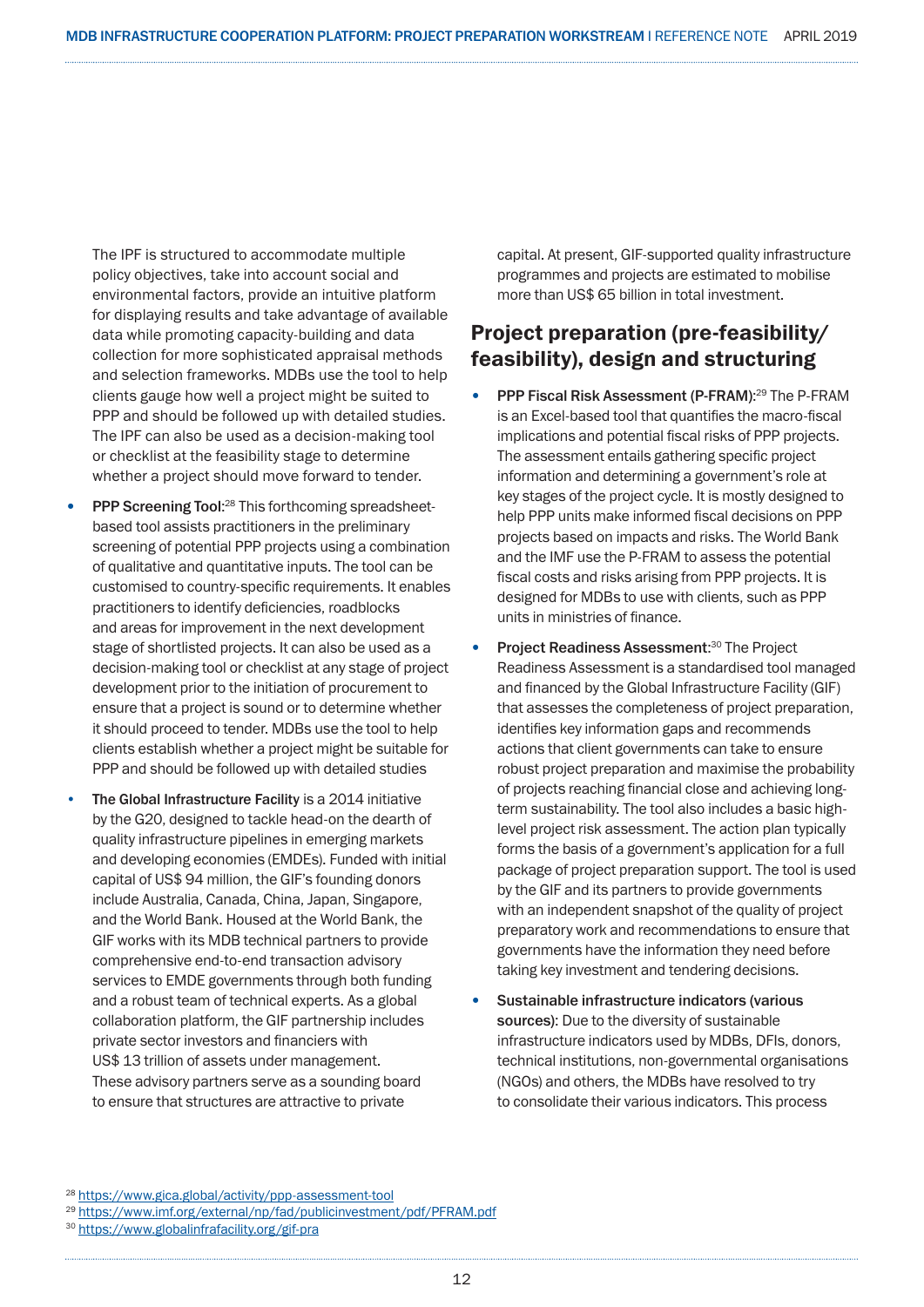The IPF is structured to accommodate multiple policy objectives, take into account social and environmental factors, provide an intuitive platform for displaying results and take advantage of available data while promoting capacity-building and data collection for more sophisticated appraisal methods and selection frameworks. MDBs use the tool to help clients gauge how well a project might be suited to PPP and should be followed up with detailed studies. The IPF can also be used as a decision-making tool or checklist at the feasibility stage to determine whether a project should move forward to tender.

- PPP Screening Tool:<sup>28</sup> This forthcoming spreadsheetbased tool assists practitioners in the preliminary screening of potential PPP projects using a combination of qualitative and quantitative inputs. The tool can be customised to country-specific requirements. It enables practitioners to identify deficiencies, roadblocks and areas for improvement in the next development stage of shortlisted projects. It can also be used as a decision-making tool or checklist at any stage of project development prior to the initiation of procurement to ensure that a project is sound or to determine whether it should proceed to tender. MDBs use the tool to help clients establish whether a project might be suitable for PPP and should be followed up with detailed studies
- The Global Infrastructure Facility is a 2014 initiative by the G20, designed to tackle head-on the dearth of quality infrastructure pipelines in emerging markets and developing economies (EMDEs). Funded with initial capital of US\$ 94 million, the GIF's founding donors include Australia, Canada, China, Japan, Singapore, and the World Bank. Housed at the World Bank, the GIF works with its MDB technical partners to provide comprehensive end-to-end transaction advisory services to EMDE governments through both funding and a robust team of technical experts. As a global collaboration platform, the GIF partnership includes private sector investors and financiers with US\$ 13 trillion of assets under management. These advisory partners serve as a sounding board to ensure that structures are attractive to private

capital. At present, GIF-supported quality infrastructure programmes and projects are estimated to mobilise more than US\$ 65 billion in total investment.

### Project preparation (pre-feasibility/ feasibility), design and structuring

- PPP Fiscal Risk Assessment (P-FRAM):<sup>29</sup> The P-FRAM is an Excel-based tool that quantifies the macro-fiscal implications and potential fiscal risks of PPP projects. The assessment entails gathering specific project information and determining a government's role at key stages of the project cycle. It is mostly designed to help PPP units make informed fiscal decisions on PPP projects based on impacts and risks. The World Bank and the IMF use the P-FRAM to assess the potential fiscal costs and risks arising from PPP projects. It is designed for MDBs to use with clients, such as PPP units in ministries of finance.
- Project Readiness Assessment:<sup>30</sup> The Project Readiness Assessment is a standardised tool managed and financed by the Global Infrastructure Facility (GIF) that assesses the completeness of project preparation, identifies key information gaps and recommends actions that client governments can take to ensure robust project preparation and maximise the probability of projects reaching financial close and achieving longterm sustainability. The tool also includes a basic highlevel project risk assessment. The action plan typically forms the basis of a government's application for a full package of project preparation support. The tool is used by the GIF and its partners to provide governments with an independent snapshot of the quality of project preparatory work and recommendations to ensure that governments have the information they need before taking key investment and tendering decisions.
- Sustainable infrastructure indicators (various sources): Due to the diversity of sustainable infrastructure indicators used by MDBs, DFIs, donors, technical institutions, non-governmental organisations (NGOs) and others, the MDBs have resolved to try to consolidate their various indicators. This process

<sup>28</sup> https://www.gica.global/activity/ppp-assessment-tool

<sup>29</sup> https://www.imf.org/external/np/fad/publicinvestment/pdf/PFRAM.pdf

<sup>30</sup> https://www.globalinfrafacility.org/gif-pra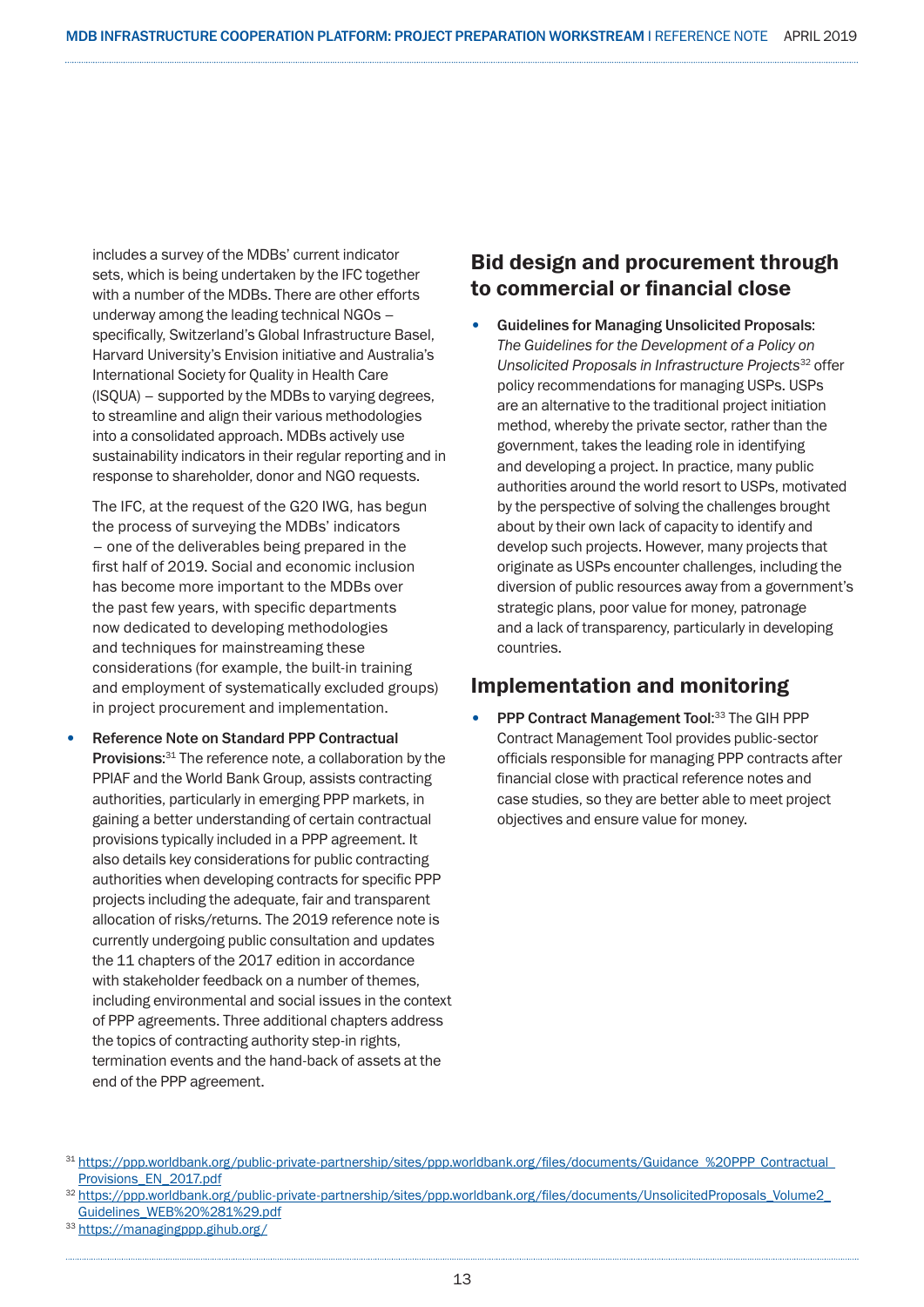includes a survey of the MDBs' current indicator sets, which is being undertaken by the IFC together with a number of the MDBs. There are other efforts underway among the leading technical NGOs – specifically, Switzerland's Global Infrastructure Basel, Harvard University's Envision initiative and Australia's International Society for Quality in Health Care (ISQUA) – supported by the MDBs to varying degrees, to streamline and align their various methodologies into a consolidated approach. MDBs actively use sustainability indicators in their regular reporting and in response to shareholder, donor and NGO requests.

The IFC, at the request of the G20 IWG, has begun the process of surveying the MDBs' indicators – one of the deliverables being prepared in the first half of 2019. Social and economic inclusion has become more important to the MDBs over the past few years, with specific departments now dedicated to developing methodologies and techniques for mainstreaming these considerations (for example, the built-in training and employment of systematically excluded groups) in project procurement and implementation.

• Reference Note on Standard PPP Contractual Provisions:<sup>31</sup> The reference note, a collaboration by the PPIAF and the World Bank Group, assists contracting authorities, particularly in emerging PPP markets, in gaining a better understanding of certain contractual provisions typically included in a PPP agreement. It also details key considerations for public contracting authorities when developing contracts for specific PPP projects including the adequate, fair and transparent allocation of risks/returns. The 2019 reference note is currently undergoing public consultation and updates the 11 chapters of the 2017 edition in accordance with stakeholder feedback on a number of themes. including environmental and social issues in the context of PPP agreements. Three additional chapters address the topics of contracting authority step-in rights, termination events and the hand-back of assets at the end of the PPP agreement.

### Bid design and procurement through to commercial or financial close

• Guidelines for Managing Unsolicited Proposals: *The Guidelines for the Development of a Policy on Unsolicited Proposals in Infrastructure Projects*32 offer policy recommendations for managing USPs. USPs are an alternative to the traditional project initiation method, whereby the private sector, rather than the government, takes the leading role in identifying and developing a project. In practice, many public authorities around the world resort to USPs, motivated by the perspective of solving the challenges brought about by their own lack of capacity to identify and develop such projects. However, many projects that originate as USPs encounter challenges, including the diversion of public resources away from a government's strategic plans, poor value for money, patronage and a lack of transparency, particularly in developing countries.

### Implementation and monitoring

• PPP Contract Management Tool:33 The GIH PPP Contract Management Tool provides public-sector officials responsible for managing PPP contracts after financial close with practical reference notes and case studies, so they are better able to meet project objectives and ensure value for money.

<sup>33</sup> https://managingppp.gihub.org/

<sup>31</sup> https://ppp.worldbank.org/public-private-partnership/sites/ppp.worldbank.org/files/documents/Guidance\_%20PPP\_Contractual\_ Provisions\_EN\_2017.pdf

<sup>32</sup> https://ppp.worldbank.org/public-private-partnership/sites/ppp.worldbank.org/files/documents/UnsolicitedProposals\_Volume2\_ Guidelines\_WEB%20%281%29.pdf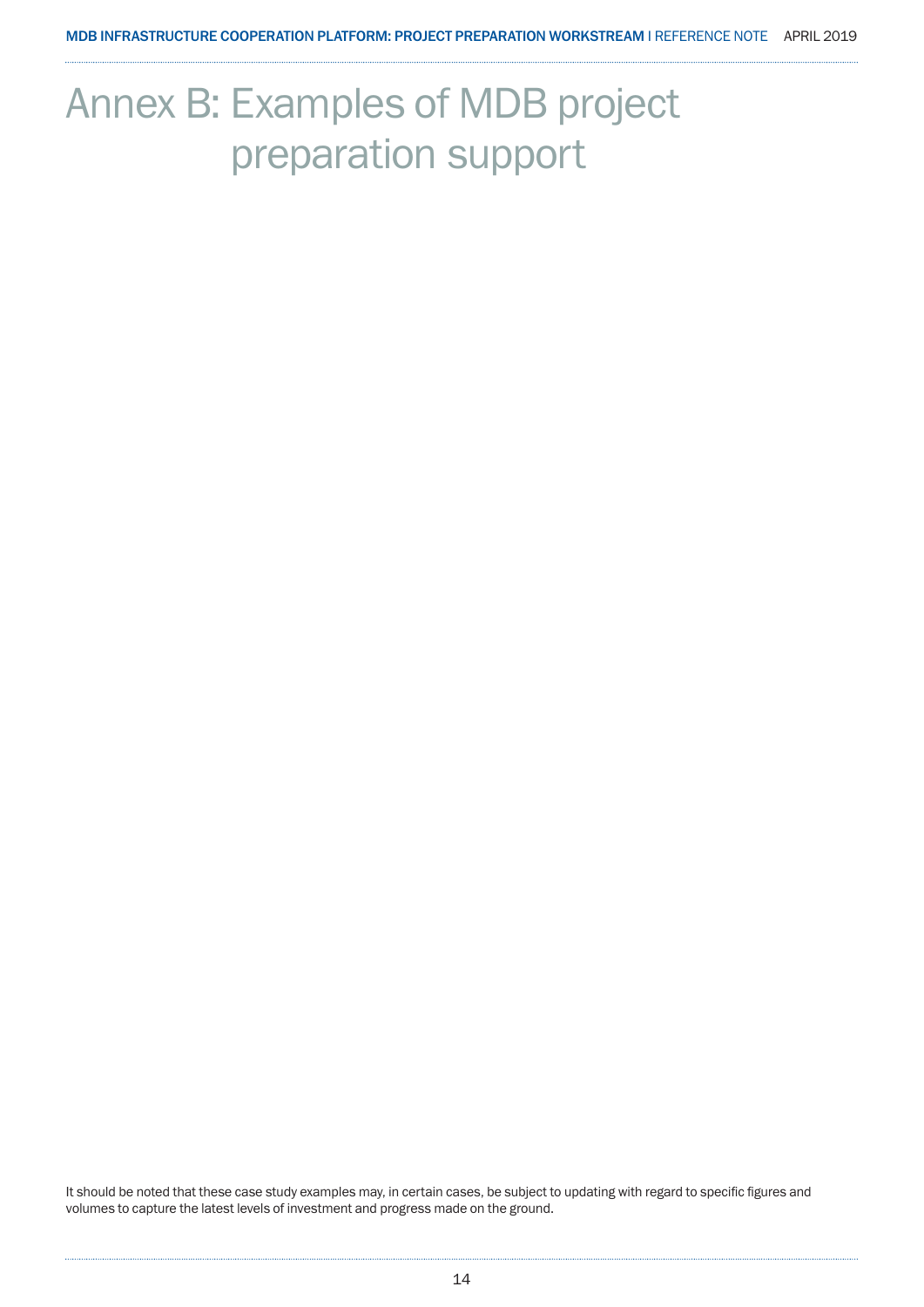## Annex B: Examples of MDB project preparation support

It should be noted that these case study examples may, in certain cases, be subject to updating with regard to specific figures and volumes to capture the latest levels of investment and progress made on the ground.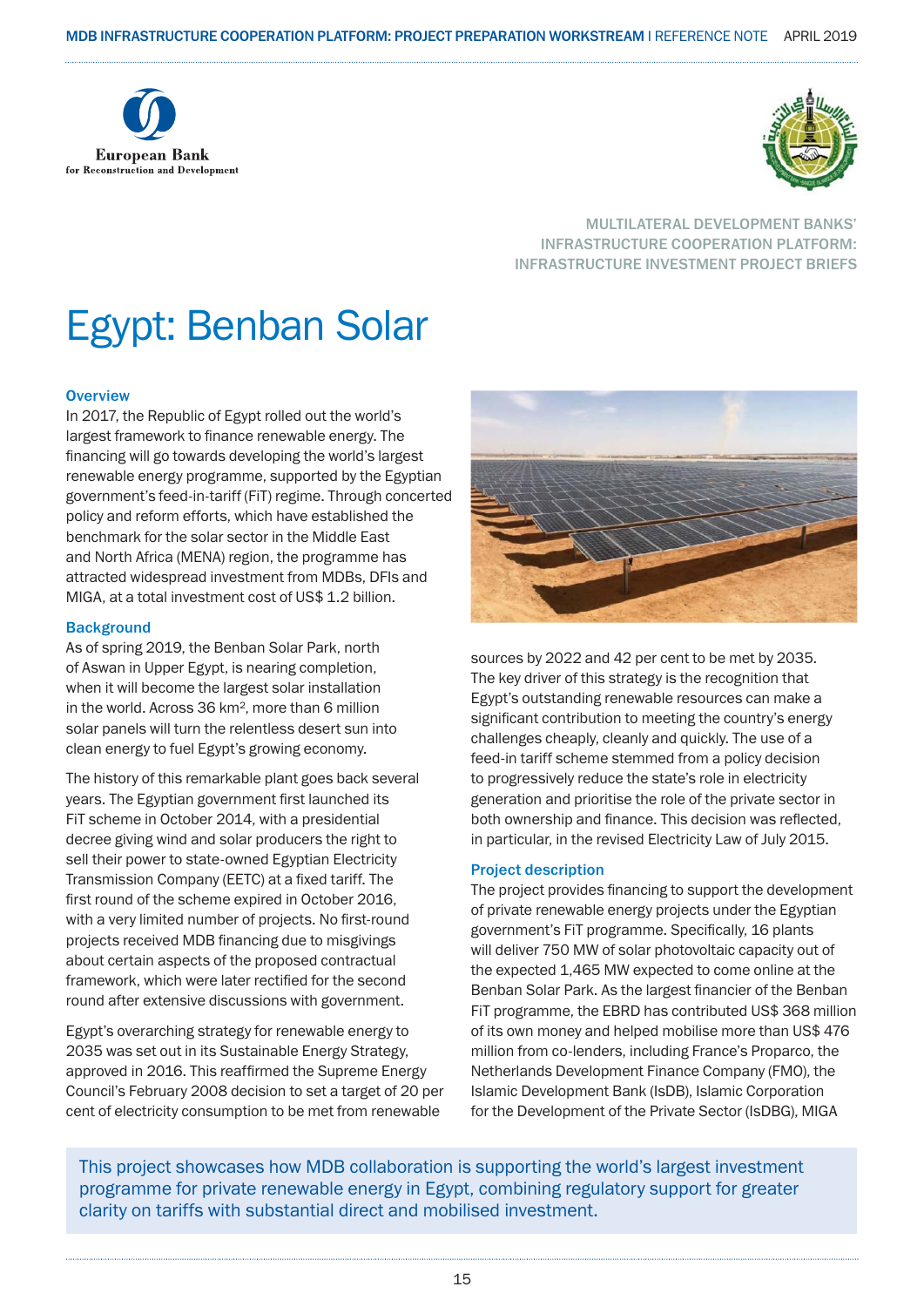



#### MULTILATERAL DEVELOPMENT BANKS' INFRASTRUCTURE COOPERATION PLATFORM: INFRASTRUCTURE INVESTMENT PROJECT BRIEFS

## Egypt: Benban Solar

#### **Overview**

In 2017, the Republic of Egypt rolled out the world's largest framework to finance renewable energy. The financing will go towards developing the world's largest renewable energy programme, supported by the Egyptian government's feed-in-tariff (FiT) regime. Through concerted policy and reform efforts, which have established the benchmark for the solar sector in the Middle East and North Africa (MENA) region, the programme has attracted widespread investment from MDBs, DFIs and MIGA, at a total investment cost of US\$ 1.2 billion.

#### **Background**

As of spring 2019, the Benban Solar Park, north of Aswan in Upper Egypt, is nearing completion, when it will become the largest solar installation in the world. Across 36 km², more than 6 million solar panels will turn the relentless desert sun into clean energy to fuel Egypt's growing economy.

The history of this remarkable plant goes back several years. The Egyptian government first launched its FiT scheme in October 2014, with a presidential decree giving wind and solar producers the right to sell their power to state-owned Egyptian Electricity Transmission Company (EETC) at a fixed tariff. The first round of the scheme expired in October 2016, with a very limited number of projects. No first-round projects received MDB financing due to misgivings about certain aspects of the proposed contractual framework, which were later rectified for the second round after extensive discussions with government.

Egypt's overarching strategy for renewable energy to 2035 was set out in its Sustainable Energy Strategy, approved in 2016. This reaffirmed the Supreme Energy Council's February 2008 decision to set a target of 20 per cent of electricity consumption to be met from renewable



sources by 2022 and 42 per cent to be met by 2035. The key driver of this strategy is the recognition that Egypt's outstanding renewable resources can make a significant contribution to meeting the country's energy challenges cheaply, cleanly and quickly. The use of a feed-in tariff scheme stemmed from a policy decision to progressively reduce the state's role in electricity generation and prioritise the role of the private sector in both ownership and finance. This decision was reflected, in particular, in the revised Electricity Law of July 2015.

#### Project description

The project provides financing to support the development of private renewable energy projects under the Egyptian government's FiT programme. Specifically, 16 plants will deliver 750 MW of solar photovoltaic capacity out of the expected 1,465 MW expected to come online at the Benban Solar Park. As the largest financier of the Benban FiT programme, the EBRD has contributed US\$ 368 million of its own money and helped mobilise more than US\$ 476 million from co-lenders, including France's Proparco, the Netherlands Development Finance Company (FMO), the Islamic Development Bank (IsDB), Islamic Corporation for the Development of the Private Sector (IsDBG), MIGA

This project showcases how MDB collaboration is supporting the world's largest investment programme for private renewable energy in Egypt, combining regulatory support for greater clarity on tariffs with substantial direct and mobilised investment.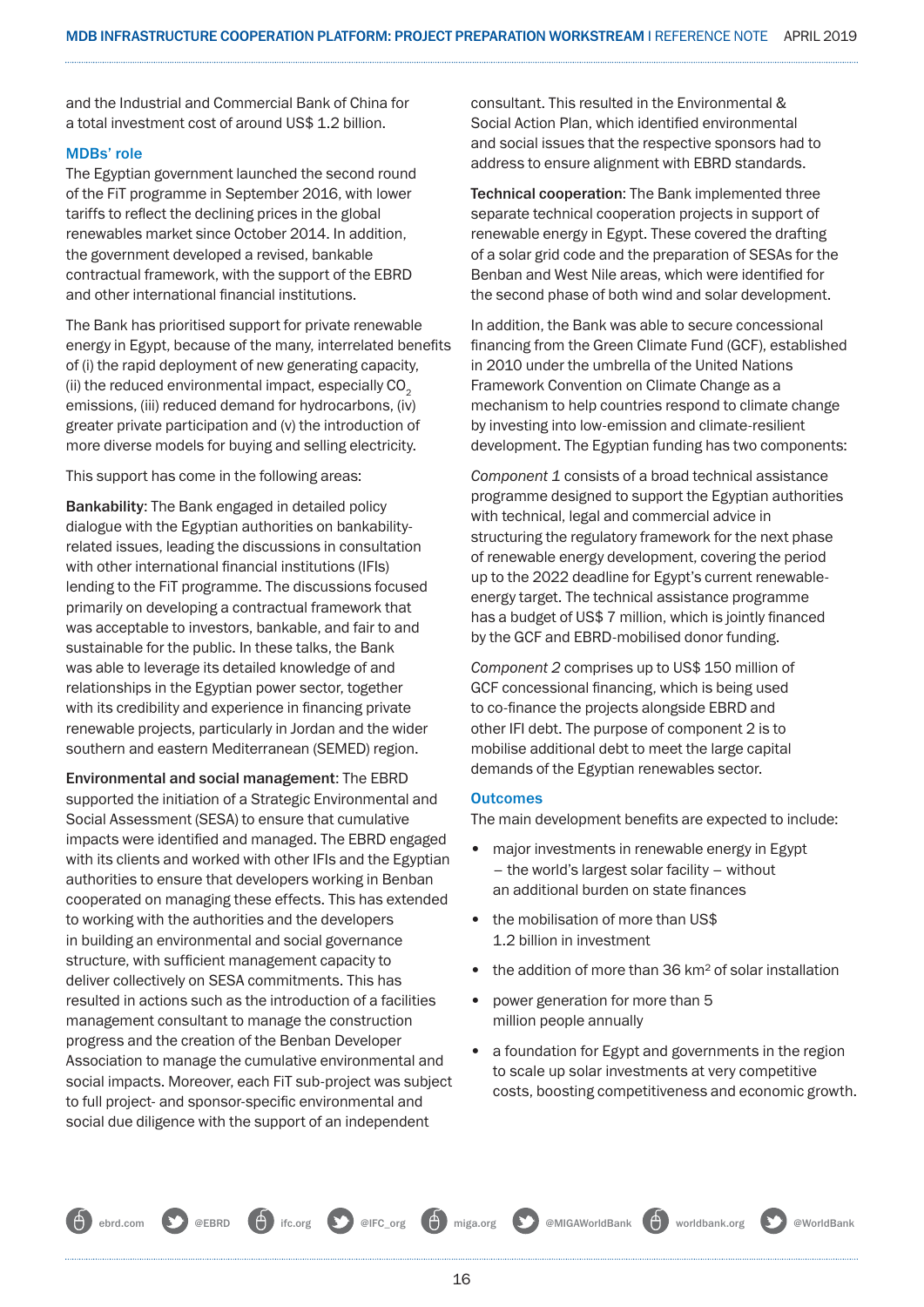and the Industrial and Commercial Bank of China for a total investment cost of around US\$ 1.2 billion.

#### MDBs' role

The Egyptian government launched the second round of the FiT programme in September 2016, with lower tariffs to reflect the declining prices in the global renewables market since October 2014. In addition, the government developed a revised, bankable contractual framework, with the support of the EBRD and other international financial institutions.

The Bank has prioritised support for private renewable energy in Egypt, because of the many, interrelated benefits of (i) the rapid deployment of new generating capacity, (ii) the reduced environmental impact, especially  $CO<sub>2</sub>$ emissions, (iii) reduced demand for hydrocarbons, (iv) greater private participation and (v) the introduction of more diverse models for buying and selling electricity.

This support has come in the following areas:

Bankability: The Bank engaged in detailed policy dialogue with the Egyptian authorities on bankabilityrelated issues, leading the discussions in consultation with other international financial institutions (IFIs) lending to the FiT programme. The discussions focused primarily on developing a contractual framework that was acceptable to investors, bankable, and fair to and sustainable for the public. In these talks, the Bank was able to leverage its detailed knowledge of and relationships in the Egyptian power sector, together with its credibility and experience in financing private renewable projects, particularly in Jordan and the wider southern and eastern Mediterranean (SEMED) region.

Environmental and social management: The EBRD supported the initiation of a Strategic Environmental and Social Assessment (SESA) to ensure that cumulative impacts were identified and managed. The EBRD engaged with its clients and worked with other IFIs and the Egyptian authorities to ensure that developers working in Benban cooperated on managing these effects. This has extended to working with the authorities and the developers in building an environmental and social governance structure, with sufficient management capacity to deliver collectively on SESA commitments. This has resulted in actions such as the introduction of a facilities management consultant to manage the construction progress and the creation of the Benban Developer Association to manage the cumulative environmental and social impacts. Moreover, each FiT sub-project was subject to full project- and sponsor-specific environmental and social due diligence with the support of an independent

consultant. This resulted in the Environmental & Social Action Plan, which identified environmental and social issues that the respective sponsors had to address to ensure alignment with EBRD standards.

Technical cooperation: The Bank implemented three separate technical cooperation projects in support of renewable energy in Egypt. These covered the drafting of a solar grid code and the preparation of SESAs for the Benban and West Nile areas, which were identified for the second phase of both wind and solar development.

In addition, the Bank was able to secure concessional financing from the Green Climate Fund (GCF), established in 2010 under the umbrella of the United Nations Framework Convention on Climate Change as a mechanism to help countries respond to climate change by investing into low-emission and climate-resilient development. The Egyptian funding has two components:

*Component 1* consists of a broad technical assistance programme designed to support the Egyptian authorities with technical, legal and commercial advice in structuring the regulatory framework for the next phase of renewable energy development, covering the period up to the 2022 deadline for Egypt's current renewableenergy target. The technical assistance programme has a budget of US\$ 7 million, which is jointly financed by the GCF and EBRD-mobilised donor funding.

*Component 2* comprises up to US\$ 150 million of GCF concessional financing, which is being used to co-finance the projects alongside EBRD and other IFI debt. The purpose of component 2 is to mobilise additional debt to meet the large capital demands of the Egyptian renewables sector.

#### **Outcomes**

The main development benefits are expected to include:

- major investments in renewable energy in Egypt – the world's largest solar facility – without an additional burden on state finances
- the mobilisation of more than US\$ 1.2 billion in investment
- the addition of more than 36 km<sup>2</sup> of solar installation
- power generation for more than 5 million people annually
- a foundation for Egypt and governments in the region to scale up solar investments at very competitive costs, boosting competitiveness and economic growth.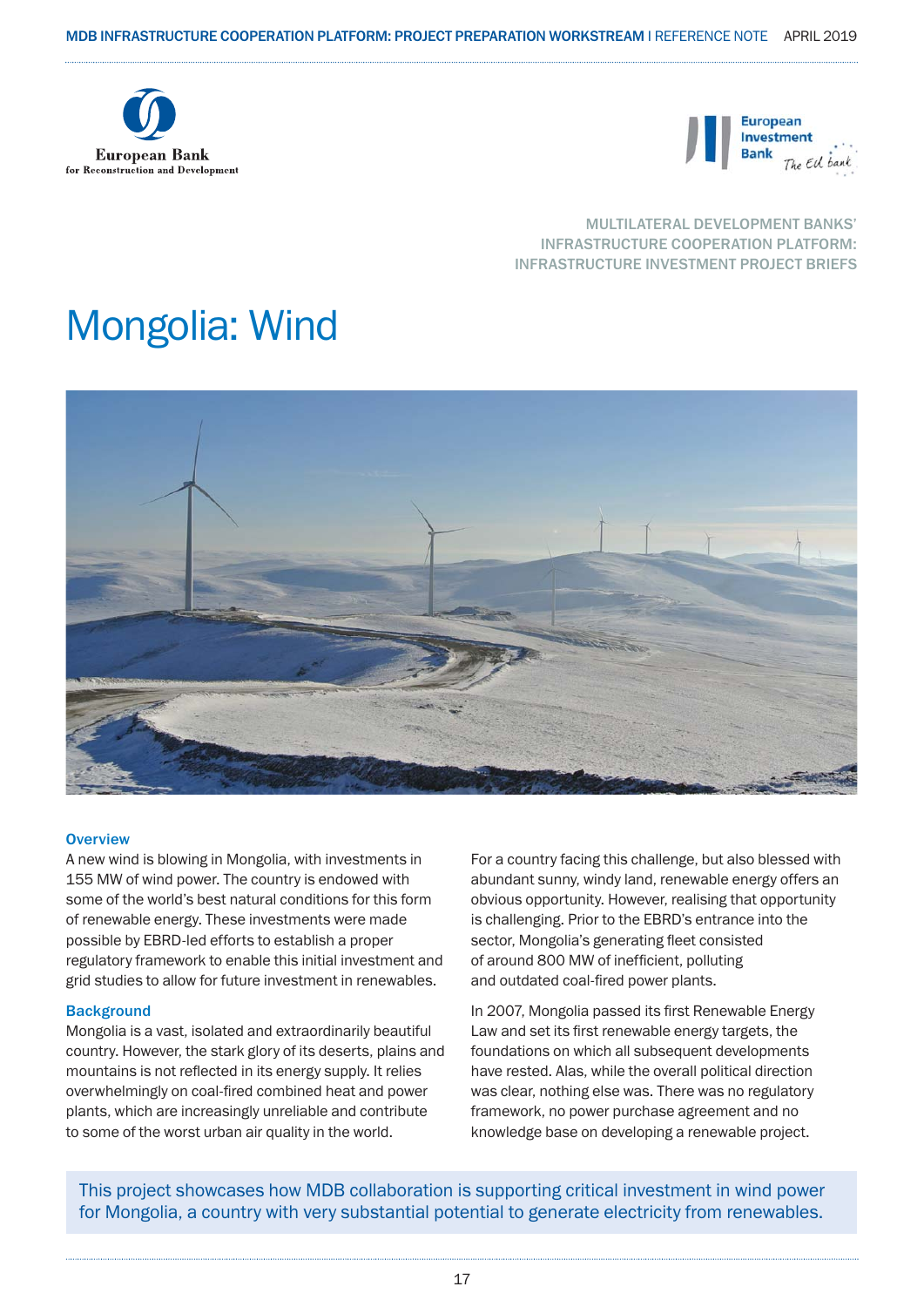



#### MULTILATERAL DEVELOPMENT BANKS' INFRASTRUCTURE COOPERATION PLATFORM: INFRASTRUCTURE INVESTMENT PROJECT BRIEFS

## Mongolia: Wind



#### **Overview**

A new wind is blowing in Mongolia, with investments in 155 MW of wind power. The country is endowed with some of the world's best natural conditions for this form of renewable energy. These investments were made possible by EBRD-led efforts to establish a proper regulatory framework to enable this initial investment and grid studies to allow for future investment in renewables.

#### **Background**

Mongolia is a vast, isolated and extraordinarily beautiful country. However, the stark glory of its deserts, plains and mountains is not reflected in its energy supply. It relies overwhelmingly on coal-fired combined heat and power plants, which are increasingly unreliable and contribute to some of the worst urban air quality in the world.

For a country facing this challenge, but also blessed with abundant sunny, windy land, renewable energy offers an obvious opportunity. However, realising that opportunity is challenging. Prior to the EBRD's entrance into the sector, Mongolia's generating fleet consisted of around 800 MW of inefficient, polluting and outdated coal-fired power plants.

In 2007, Mongolia passed its first Renewable Energy Law and set its first renewable energy targets, the foundations on which all subsequent developments have rested. Alas, while the overall political direction was clear, nothing else was. There was no regulatory framework, no power purchase agreement and no knowledge base on developing a renewable project.

This project showcases how MDB collaboration is supporting critical investment in wind power for Mongolia, a country with very substantial potential to generate electricity from renewables.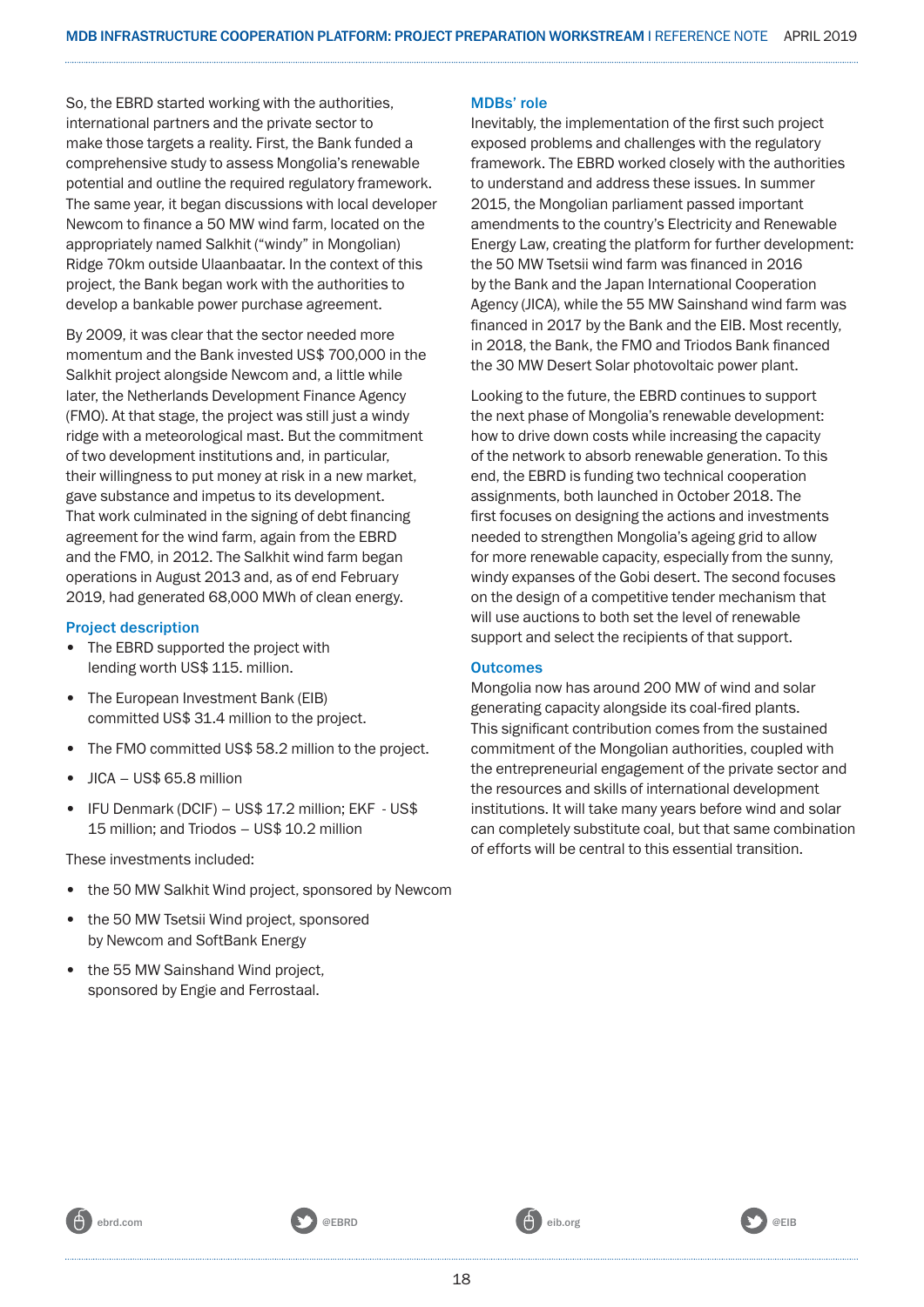So, the EBRD started working with the authorities, international partners and the private sector to make those targets a reality. First, the Bank funded a comprehensive study to assess Mongolia's renewable potential and outline the required regulatory framework. The same year, it began discussions with local developer Newcom to finance a 50 MW wind farm, located on the appropriately named Salkhit ("windy" in Mongolian) Ridge 70km outside Ulaanbaatar. In the context of this project, the Bank began work with the authorities to develop a bankable power purchase agreement.

By 2009, it was clear that the sector needed more momentum and the Bank invested US\$ 700,000 in the Salkhit project alongside Newcom and, a little while later, the Netherlands Development Finance Agency (FMO). At that stage, the project was still just a windy ridge with a meteorological mast. But the commitment of two development institutions and, in particular, their willingness to put money at risk in a new market, gave substance and impetus to its development. That work culminated in the signing of debt financing agreement for the wind farm, again from the EBRD and the FMO, in 2012. The Salkhit wind farm began operations in August 2013 and, as of end February 2019, had generated 68,000 MWh of clean energy.

#### Project description

- The EBRD supported the project with lending worth US\$ 115. million.
- The European Investment Bank (EIB) committed US\$ 31.4 million to the project.
- The FMO committed US\$ 58.2 million to the project.
- JICA US\$ 65.8 million
- IFU Denmark (DCIF) US\$ 17.2 million; EKF US\$ 15 million; and Triodos – US\$ 10.2 million

These investments included:

- the 50 MW Salkhit Wind project, sponsored by Newcom
- the 50 MW Tsetsii Wind project, sponsored by Newcom and SoftBank Energy
- the 55 MW Sainshand Wind project, sponsored by Engie and Ferrostaal.

#### MDBs' role

Inevitably, the implementation of the first such project exposed problems and challenges with the regulatory framework. The EBRD worked closely with the authorities to understand and address these issues. In summer 2015, the Mongolian parliament passed important amendments to the country's Electricity and Renewable Energy Law, creating the platform for further development: the 50 MW Tsetsii wind farm was financed in 2016 by the Bank and the Japan International Cooperation Agency (JICA), while the 55 MW Sainshand wind farm was financed in 2017 by the Bank and the EIB. Most recently, in 2018, the Bank, the FMO and Triodos Bank financed the 30 MW Desert Solar photovoltaic power plant.

Looking to the future, the EBRD continues to support the next phase of Mongolia's renewable development: how to drive down costs while increasing the capacity of the network to absorb renewable generation. To this end, the EBRD is funding two technical cooperation assignments, both launched in October 2018. The first focuses on designing the actions and investments needed to strengthen Mongolia's ageing grid to allow for more renewable capacity, especially from the sunny, windy expanses of the Gobi desert. The second focuses on the design of a competitive tender mechanism that will use auctions to both set the level of renewable support and select the recipients of that support.

#### **Outcomes**

Mongolia now has around 200 MW of wind and solar generating capacity alongside its coal-fired plants. This significant contribution comes from the sustained commitment of the Mongolian authorities, coupled with the entrepreneurial engagement of the private sector and the resources and skills of international development institutions. It will take many years before wind and solar can completely substitute coal, but that same combination of efforts will be central to this essential transition.

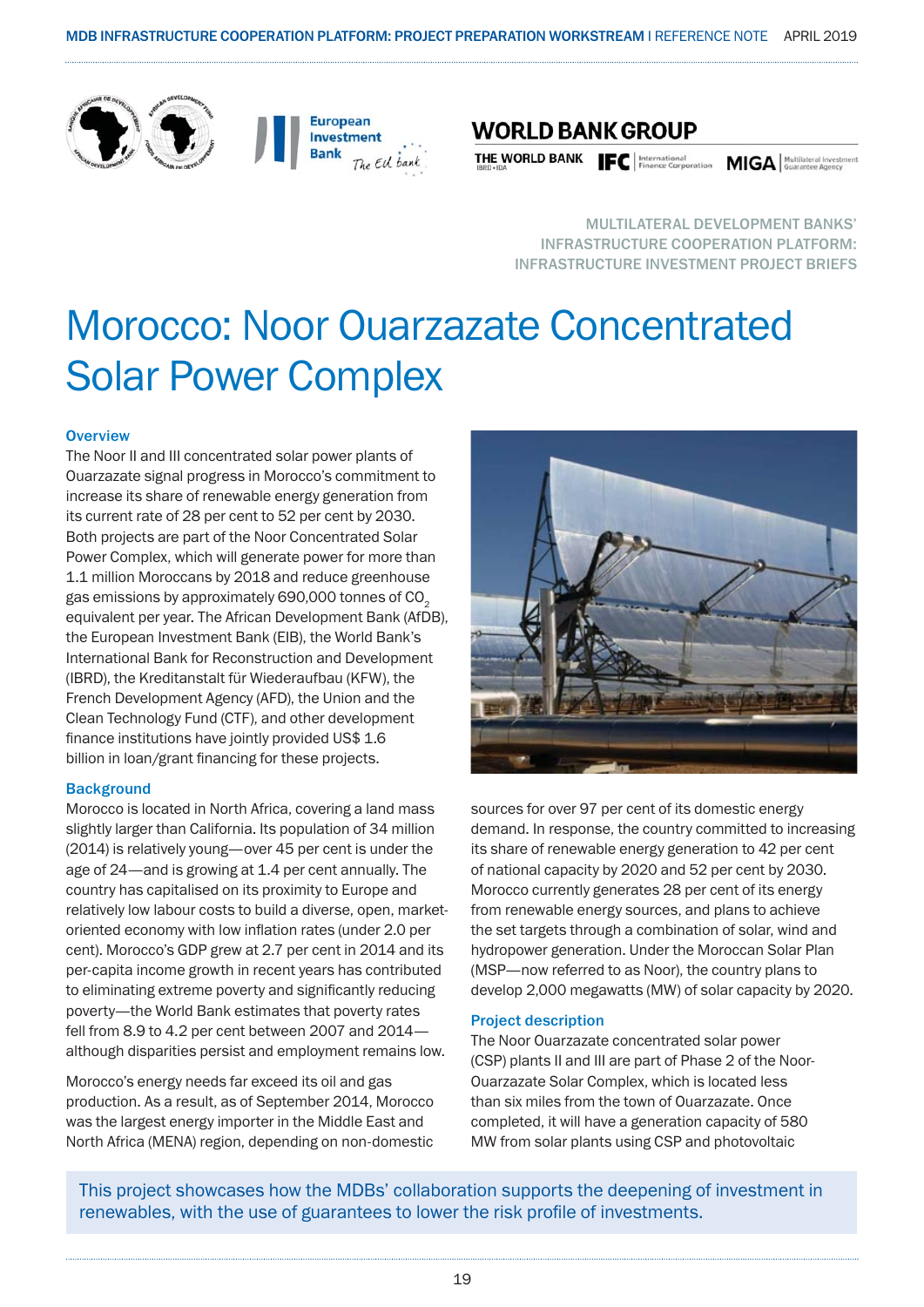





THE WORLD BANK **IFC** | International **MIGA** | Multilateral Investment **Property MIGA** | Multilateral Investment **Property** 

MULTILATERAL DEVELOPMENT BANKS' INFRASTRUCTURE COOPERATION PLATFORM: INFRASTRUCTURE INVESTMENT PROJECT BRIEFS

## Morocco: Noor Ouarzazate Concentrated Solar Power Complex

#### **Overview**

The Noor II and III concentrated solar power plants of Ouarzazate signal progress in Morocco's commitment to increase its share of renewable energy generation from its current rate of 28 per cent to 52 per cent by 2030. Both projects are part of the Noor Concentrated Solar Power Complex, which will generate power for more than 1.1 million Moroccans by 2018 and reduce greenhouse gas emissions by approximately 690,000 tonnes of CO<sub>2</sub> equivalent per year. The African Development Bank (AfDB), the European Investment Bank (EIB), the World Bank's International Bank for Reconstruction and Development (IBRD), the Kreditanstalt für Wiederaufbau (KFW), the French Development Agency (AFD), the Union and the Clean Technology Fund (CTF), and other development finance institutions have jointly provided US\$ 1.6 billion in loan/grant financing for these projects.

#### **Background**

Morocco is located in North Africa, covering a land mass slightly larger than California. Its population of 34 million (2014) is relatively young—over 45 per cent is under the age of 24—and is growing at 1.4 per cent annually. The country has capitalised on its proximity to Europe and relatively low labour costs to build a diverse, open, marketoriented economy with low inflation rates (under 2.0 per cent). Morocco's GDP grew at 2.7 per cent in 2014 and its per-capita income growth in recent years has contributed to eliminating extreme poverty and significantly reducing poverty—the World Bank estimates that poverty rates fell from 8.9 to 4.2 per cent between 2007 and 2014 although disparities persist and employment remains low.

Morocco's energy needs far exceed its oil and gas production. As a result, as of September 2014, Morocco was the largest energy importer in the Middle East and North Africa (MENA) region, depending on non-domestic



sources for over 97 per cent of its domestic energy demand. In response, the country committed to increasing its share of renewable energy generation to 42 per cent of national capacity by 2020 and 52 per cent by 2030. Morocco currently generates 28 per cent of its energy from renewable energy sources, and plans to achieve the set targets through a combination of solar, wind and hydropower generation. Under the Moroccan Solar Plan (MSP—now referred to as Noor), the country plans to develop 2,000 megawatts (MW) of solar capacity by 2020.

#### Project description

The Noor Ouarzazate concentrated solar power (CSP) plants II and III are part of Phase 2 of the Noor-Ouarzazate Solar Complex, which is located less than six miles from the town of Ouarzazate. Once completed, it will have a generation capacity of 580 MW from solar plants using CSP and photovoltaic

This project showcases how the MDBs' collaboration supports the deepening of investment in renewables, with the use of guarantees to lower the risk profile of investments.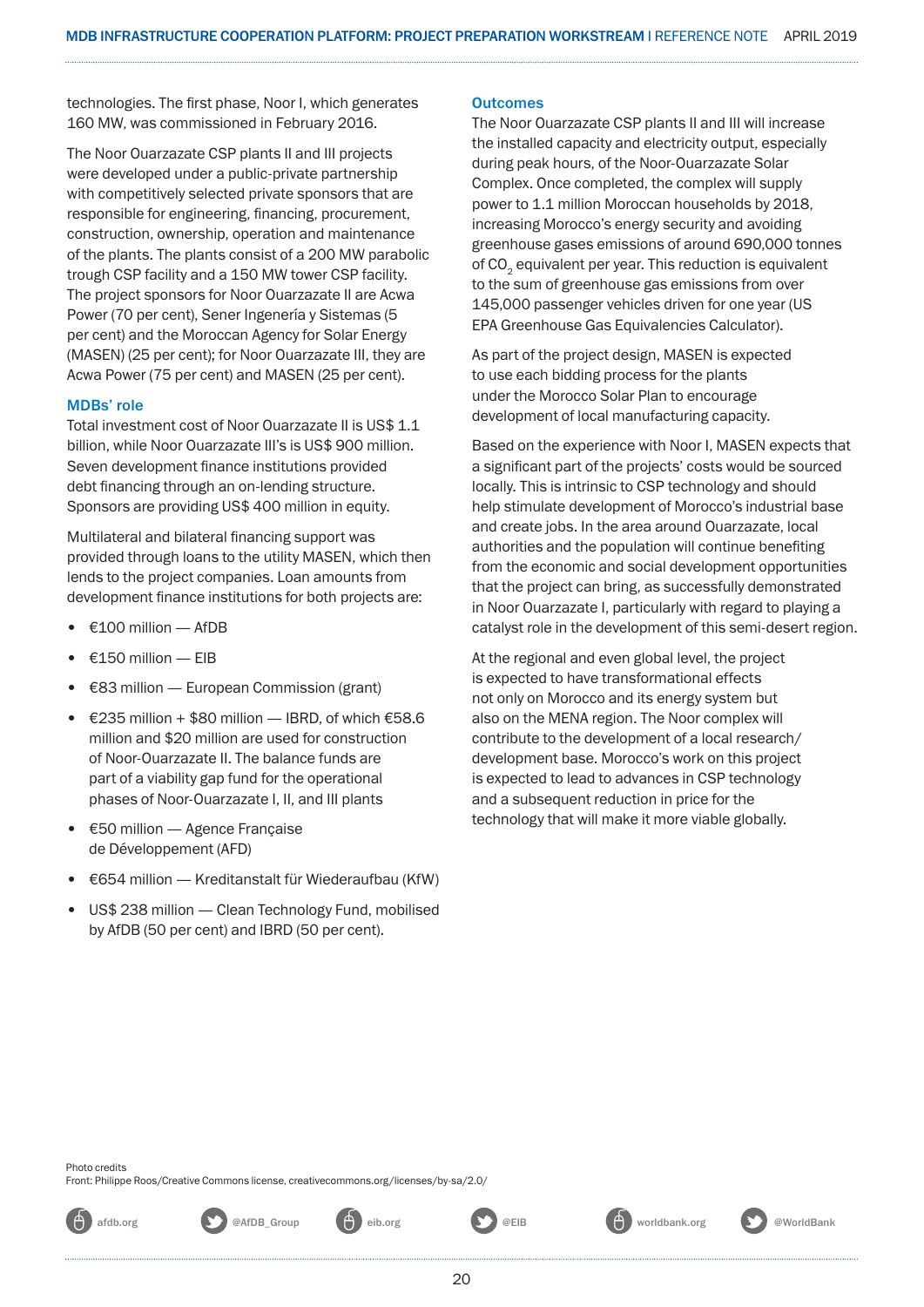technologies. The first phase, Noor I, which generates 160 MW, was commissioned in February 2016.

The Noor Ouarzazate CSP plants II and III projects were developed under a public-private partnership with competitively selected private sponsors that are responsible for engineering, financing, procurement, construction, ownership, operation and maintenance of the plants. The plants consist of a 200 MW parabolic trough CSP facility and a 150 MW tower CSP facility. The project sponsors for Noor Ouarzazate II are Acwa Power (70 per cent), Sener Ingenería y Sistemas (5 per cent) and the Moroccan Agency for Solar Energy (MASEN) (25 per cent); for Noor Ouarzazate III, they are Acwa Power (75 per cent) and MASEN (25 per cent).

#### MDBs' role

Total investment cost of Noor Ouarzazate II is US\$ 1.1 billion, while Noor Ouarzazate III's is US\$ 900 million. Seven development finance institutions provided debt financing through an on-lending structure. Sponsors are providing US\$ 400 million in equity.

Multilateral and bilateral financing support was provided through loans to the utility MASEN, which then lends to the project companies. Loan amounts from development finance institutions for both projects are:

- €100 million AfDB
- €150 million EIB
- €83 million European Commission (grant)
- €235 million + \$80 million IBRD, of which  $€58.6$ million and \$20 million are used for construction of Noor-Ouarzazate II. The balance funds are part of a viability gap fund for the operational phases of Noor-Ouarzazate I, II, and III plants
- €50 million Agence Française de Développement (AFD)
- €654 million Kreditanstalt für Wiederaufbau (KfW)
- US\$ 238 million Clean Technology Fund, mobilised by AfDB (50 per cent) and IBRD (50 per cent).

#### **Outcomes**

The Noor Ouarzazate CSP plants II and III will increase the installed capacity and electricity output, especially during peak hours, of the Noor-Ouarzazate Solar Complex. Once completed, the complex will supply power to 1.1 million Moroccan households by 2018, increasing Morocco's energy security and avoiding greenhouse gases emissions of around 690,000 tonnes of CO<sub>2</sub> equivalent per year. This reduction is equivalent to the sum of greenhouse gas emissions from over 145,000 passenger vehicles driven for one year (US EPA Greenhouse Gas Equivalencies Calculator).

As part of the project design, MASEN is expected to use each bidding process for the plants under the Morocco Solar Plan to encourage development of local manufacturing capacity.

Based on the experience with Noor I, MASEN expects that a significant part of the projects' costs would be sourced locally. This is intrinsic to CSP technology and should help stimulate development of Morocco's industrial base and create jobs. In the area around Ouarzazate, local authorities and the population will continue benefiting from the economic and social development opportunities that the project can bring, as successfully demonstrated in Noor Ouarzazate I, particularly with regard to playing a catalyst role in the development of this semi-desert region.

At the regional and even global level, the project is expected to have transformational effects not only on Morocco and its energy system but also on the MENA region. The Noor complex will contribute to the development of a local research/ development base. Morocco's work on this project is expected to lead to advances in CSP technology and a subsequent reduction in price for the technology that will make it more viable globally.

Front: Philippe Roos/Creative Commons license, creativecommons.org/licenses/by-sa/2.0/

Photo credits







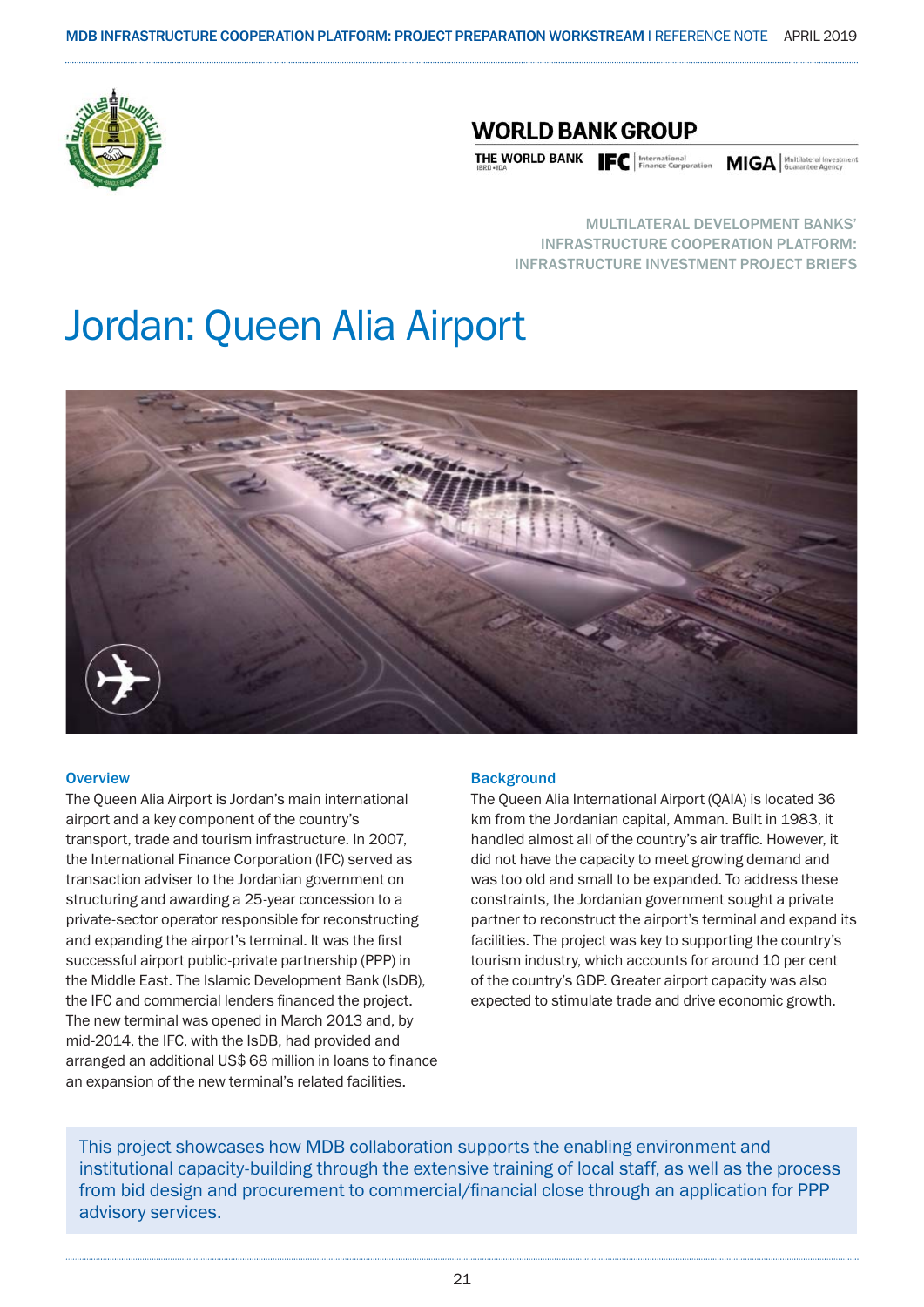

### **WORLD BANK GROUP**

THE WORLD BANK **IFC** | International **MIGA** | MUGISLEVIA | MOVILISERED INTERNATION

MULTILATERAL DEVELOPMENT BANKS' INFRASTRUCTURE COOPERATION PLATFORM: INFRASTRUCTURE INVESTMENT PROJECT BRIEFS

## Jordan: Queen Alia Airport



#### **Overview**

The Queen Alia Airport is Jordan's main international airport and a key component of the country's transport, trade and tourism infrastructure. In 2007, the International Finance Corporation (IFC) served as transaction adviser to the Jordanian government on structuring and awarding a 25-year concession to a private-sector operator responsible for reconstructing and expanding the airport's terminal. It was the first successful airport public-private partnership (PPP) in the Middle East. The Islamic Development Bank (IsDB), the IFC and commercial lenders financed the project. The new terminal was opened in March 2013 and, by mid-2014, the IFC, with the IsDB, had provided and arranged an additional US\$ 68 million in loans to finance an expansion of the new terminal's related facilities.

#### **Background**

The Queen Alia International Airport (QAIA) is located 36 km from the Jordanian capital, Amman. Built in 1983, it handled almost all of the country's air traffic. However, it did not have the capacity to meet growing demand and was too old and small to be expanded. To address these constraints, the Jordanian government sought a private partner to reconstruct the airport's terminal and expand its facilities. The project was key to supporting the country's tourism industry, which accounts for around 10 per cent of the country's GDP. Greater airport capacity was also expected to stimulate trade and drive economic growth.

This project showcases how MDB collaboration supports the enabling environment and institutional capacity-building through the extensive training of local staff, as well as the process from bid design and procurement to commercial/financial close through an application for PPP advisory services.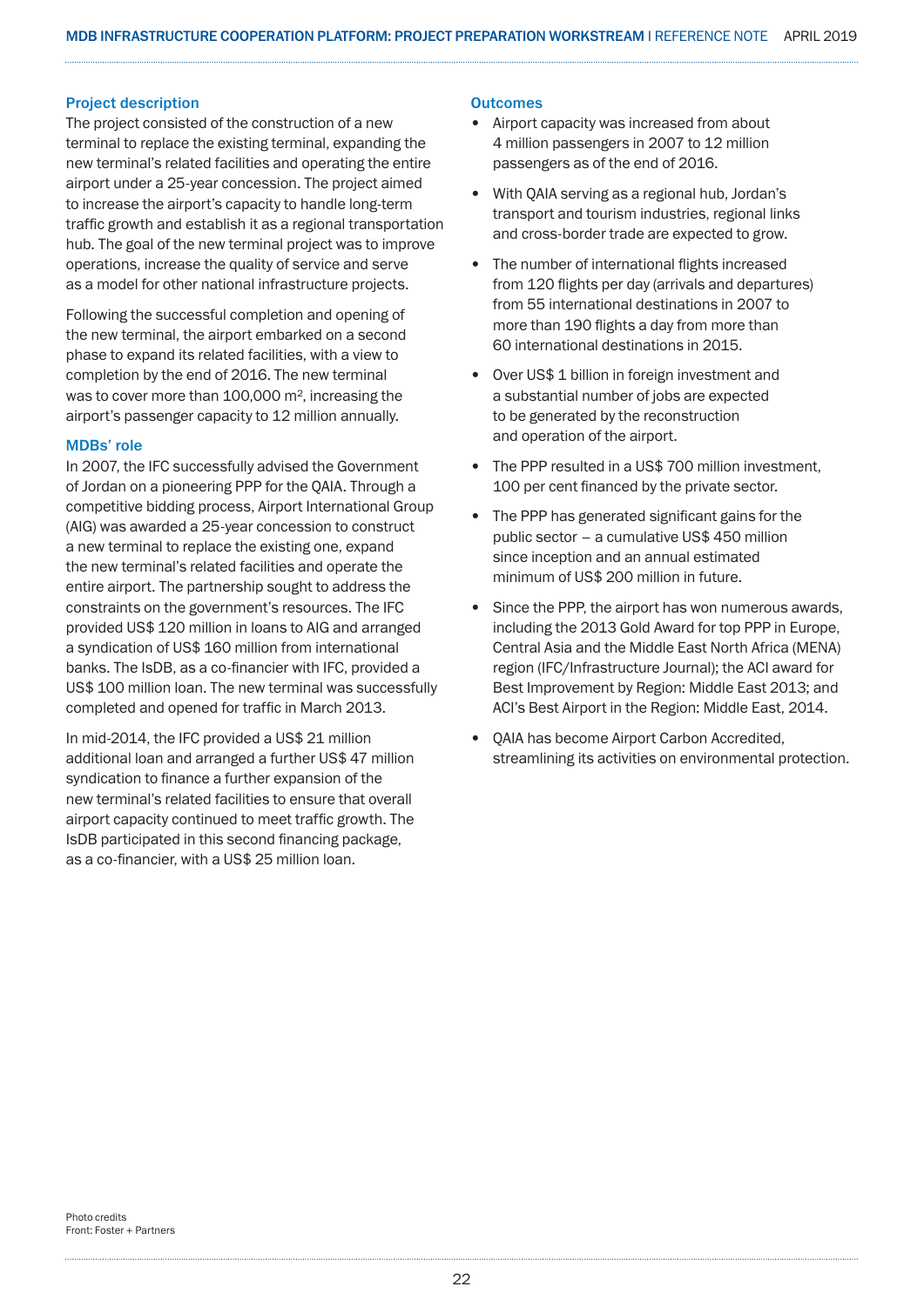#### Project description

The project consisted of the construction of a new terminal to replace the existing terminal, expanding the new terminal's related facilities and operating the entire airport under a 25-year concession. The project aimed to increase the airport's capacity to handle long-term traffic growth and establish it as a regional transportation hub. The goal of the new terminal project was to improve operations, increase the quality of service and serve as a model for other national infrastructure projects.

Following the successful completion and opening of the new terminal, the airport embarked on a second phase to expand its related facilities, with a view to completion by the end of 2016. The new terminal was to cover more than 100,000 m<sup>2</sup>, increasing the airport's passenger capacity to 12 million annually.

#### MDBs' role

In 2007, the IFC successfully advised the Government of Jordan on a pioneering PPP for the QAIA. Through a competitive bidding process, Airport International Group (AIG) was awarded a 25-year concession to construct a new terminal to replace the existing one, expand the new terminal's related facilities and operate the entire airport. The partnership sought to address the constraints on the government's resources. The IFC provided US\$ 120 million in loans to AIG and arranged a syndication of US\$ 160 million from international banks. The IsDB, as a co-financier with IFC, provided a US\$ 100 million loan. The new terminal was successfully completed and opened for traffic in March 2013.

In mid-2014, the IFC provided a US\$ 21 million additional loan and arranged a further US\$ 47 million syndication to finance a further expansion of the new terminal's related facilities to ensure that overall airport capacity continued to meet traffic growth. The IsDB participated in this second financing package, as a co-financier, with a US\$ 25 million loan.

#### **Outcomes**

- Airport capacity was increased from about 4 million passengers in 2007 to 12 million passengers as of the end of 2016.
- With QAIA serving as a regional hub, Jordan's transport and tourism industries, regional links and cross-border trade are expected to grow.
- The number of international flights increased from 120 flights per day (arrivals and departures) from 55 international destinations in 2007 to more than 190 flights a day from more than 60 international destinations in 2015.
- Over US\$ 1 billion in foreign investment and a substantial number of jobs are expected to be generated by the reconstruction and operation of the airport.
- The PPP resulted in a US\$ 700 million investment, 100 per cent financed by the private sector.
- The PPP has generated significant gains for the public sector – a cumulative US\$ 450 million since inception and an annual estimated minimum of US\$ 200 million in future.
- Since the PPP, the airport has won numerous awards, including the 2013 Gold Award for top PPP in Europe, Central Asia and the Middle East North Africa (MENA) region (IFC/Infrastructure Journal); the ACI award for Best Improvement by Region: Middle East 2013; and ACI's Best Airport in the Region: Middle East, 2014.
- QAIA has become Airport Carbon Accredited, streamlining its activities on environmental protection.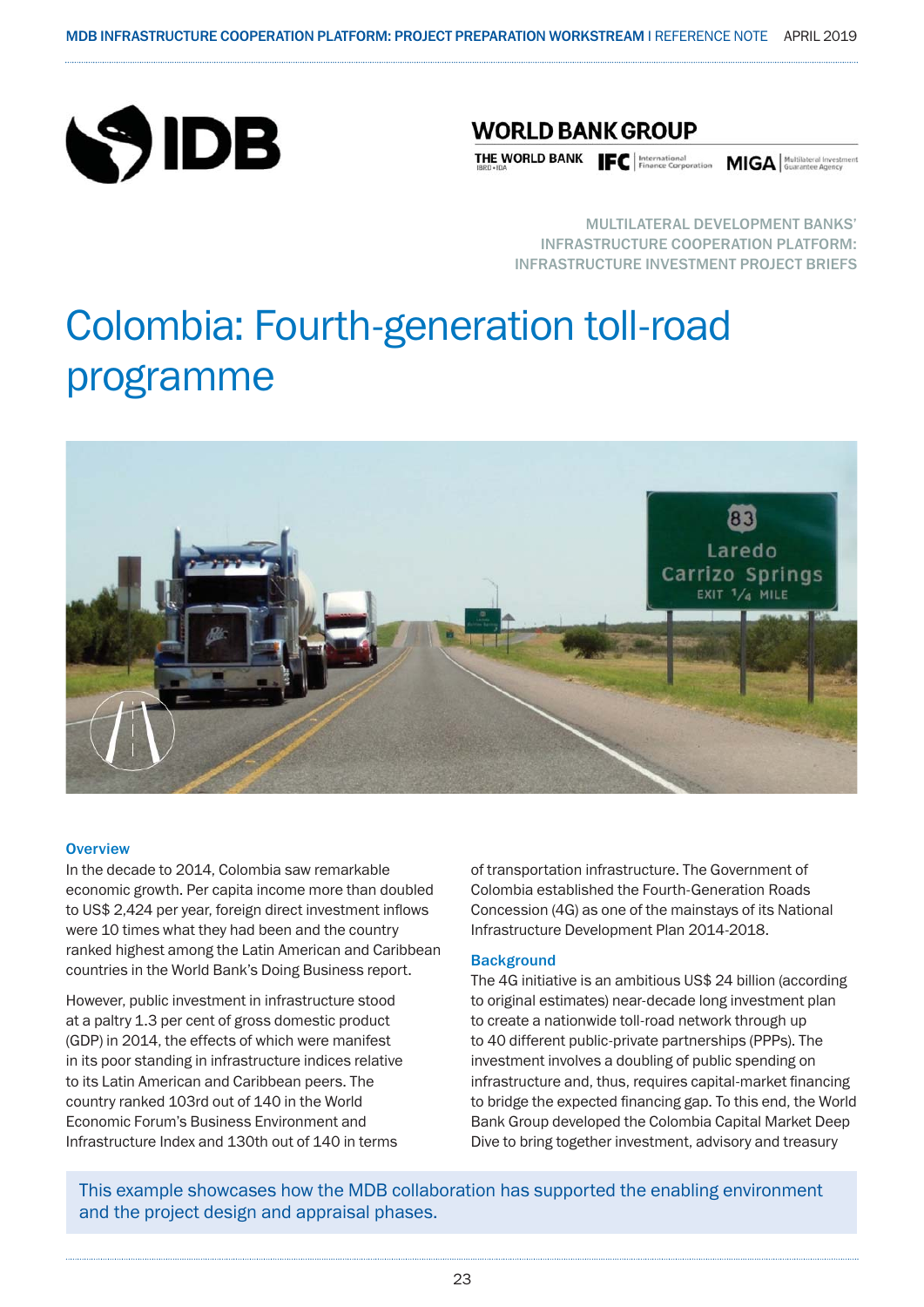

### **WORLD BANK GROUP**

THE WORLD BANK FOR Finance Corporation MIGA Multilateral Investment Research

MULTILATERAL DEVELOPMENT BANKS' INFRASTRUCTURE COOPERATION PLATFORM: INFRASTRUCTURE INVESTMENT PROJECT BRIEFS

## Colombia: Fourth-generation toll-road programme



#### **Overview**

In the decade to 2014, Colombia saw remarkable economic growth. Per capita income more than doubled to US\$ 2,424 per year, foreign direct investment inflows were 10 times what they had been and the country ranked highest among the Latin American and Caribbean countries in the World Bank's Doing Business report.

However, public investment in infrastructure stood at a paltry 1.3 per cent of gross domestic product (GDP) in 2014, the effects of which were manifest in its poor standing in infrastructure indices relative to its Latin American and Caribbean peers. The country ranked 103rd out of 140 in the World Economic Forum's Business Environment and Infrastructure Index and 130th out of 140 in terms

of transportation infrastructure. The Government of Colombia established the Fourth-Generation Roads Concession (4G) as one of the mainstays of its National Infrastructure Development Plan 2014-2018.

#### **Background**

The 4G initiative is an ambitious US\$ 24 billion (according to original estimates) near-decade long investment plan to create a nationwide toll-road network through up to 40 different public-private partnerships (PPPs). The investment involves a doubling of public spending on infrastructure and, thus, requires capital-market financing to bridge the expected financing gap. To this end, the World Bank Group developed the Colombia Capital Market Deep Dive to bring together investment, advisory and treasury

This example showcases how the MDB collaboration has supported the enabling environment and the project design and appraisal phases.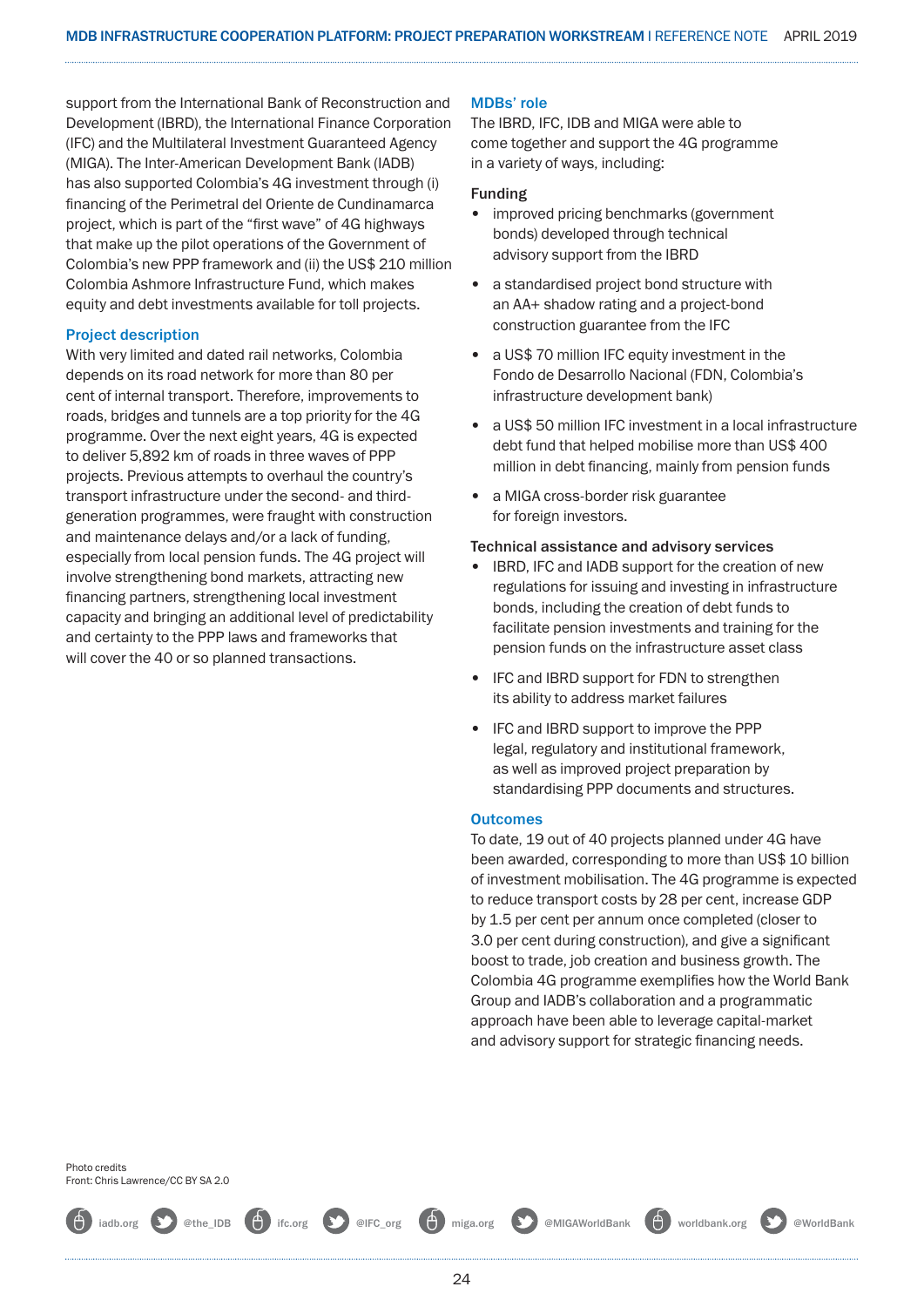support from the International Bank of Reconstruction and Development (IBRD), the International Finance Corporation (IFC) and the Multilateral Investment Guaranteed Agency (MIGA). The Inter-American Development Bank (IADB) has also supported Colombia's 4G investment through (i) financing of the Perimetral del Oriente de Cundinamarca project, which is part of the "first wave" of 4G highways that make up the pilot operations of the Government of Colombia's new PPP framework and (ii) the US\$ 210 million Colombia Ashmore Infrastructure Fund, which makes equity and debt investments available for toll projects.

#### Project description

With very limited and dated rail networks, Colombia depends on its road network for more than 80 per cent of internal transport. Therefore, improvements to roads, bridges and tunnels are a top priority for the 4G programme. Over the next eight years, 4G is expected to deliver 5,892 km of roads in three waves of PPP projects. Previous attempts to overhaul the country's transport infrastructure under the second- and thirdgeneration programmes, were fraught with construction and maintenance delays and/or a lack of funding, especially from local pension funds. The 4G project will involve strengthening bond markets, attracting new financing partners, strengthening local investment capacity and bringing an additional level of predictability and certainty to the PPP laws and frameworks that will cover the 40 or so planned transactions.

#### MDBs' role

The IBRD, IFC, IDB and MIGA were able to come together and support the 4G programme in a variety of ways, including:

#### Funding

- improved pricing benchmarks (government bonds) developed through technical advisory support from the IBRD
- a standardised project bond structure with an AA+ shadow rating and a project-bond construction guarantee from the IFC
- a US\$ 70 million IFC equity investment in the Fondo de Desarrollo Nacional (FDN, Colombia's infrastructure development bank)
- a US\$ 50 million IFC investment in a local infrastructure debt fund that helped mobilise more than US\$ 400 million in debt financing, mainly from pension funds
- a MIGA cross-border risk guarantee for foreign investors.

#### Technical assistance and advisory services

- IBRD, IFC and IADB support for the creation of new regulations for issuing and investing in infrastructure bonds, including the creation of debt funds to facilitate pension investments and training for the pension funds on the infrastructure asset class
- IFC and IBRD support for FDN to strengthen its ability to address market failures
- IFC and IBRD support to improve the PPP legal, regulatory and institutional framework, as well as improved project preparation by standardising PPP documents and structures.

#### **Outcomes**

To date, 19 out of 40 projects planned under 4G have been awarded, corresponding to more than US\$ 10 billion of investment mobilisation. The 4G programme is expected to reduce transport costs by 28 per cent, increase GDP by 1.5 per cent per annum once completed (closer to 3.0 per cent during construction), and give a significant boost to trade, job creation and business growth. The Colombia 4G programme exemplifies how the World Bank Group and IADB's collaboration and a programmatic approach have been able to leverage capital-market and advisory support for strategic financing needs.

Photo credits Front: Chris Lawrence/CC BY SA 2.0

iadb.org **@** @the\_IDB **@** ifc.org @IFC\_org **@** miga.org @ @MIGAWorldBank **@** worldbank.org @ @WorldBank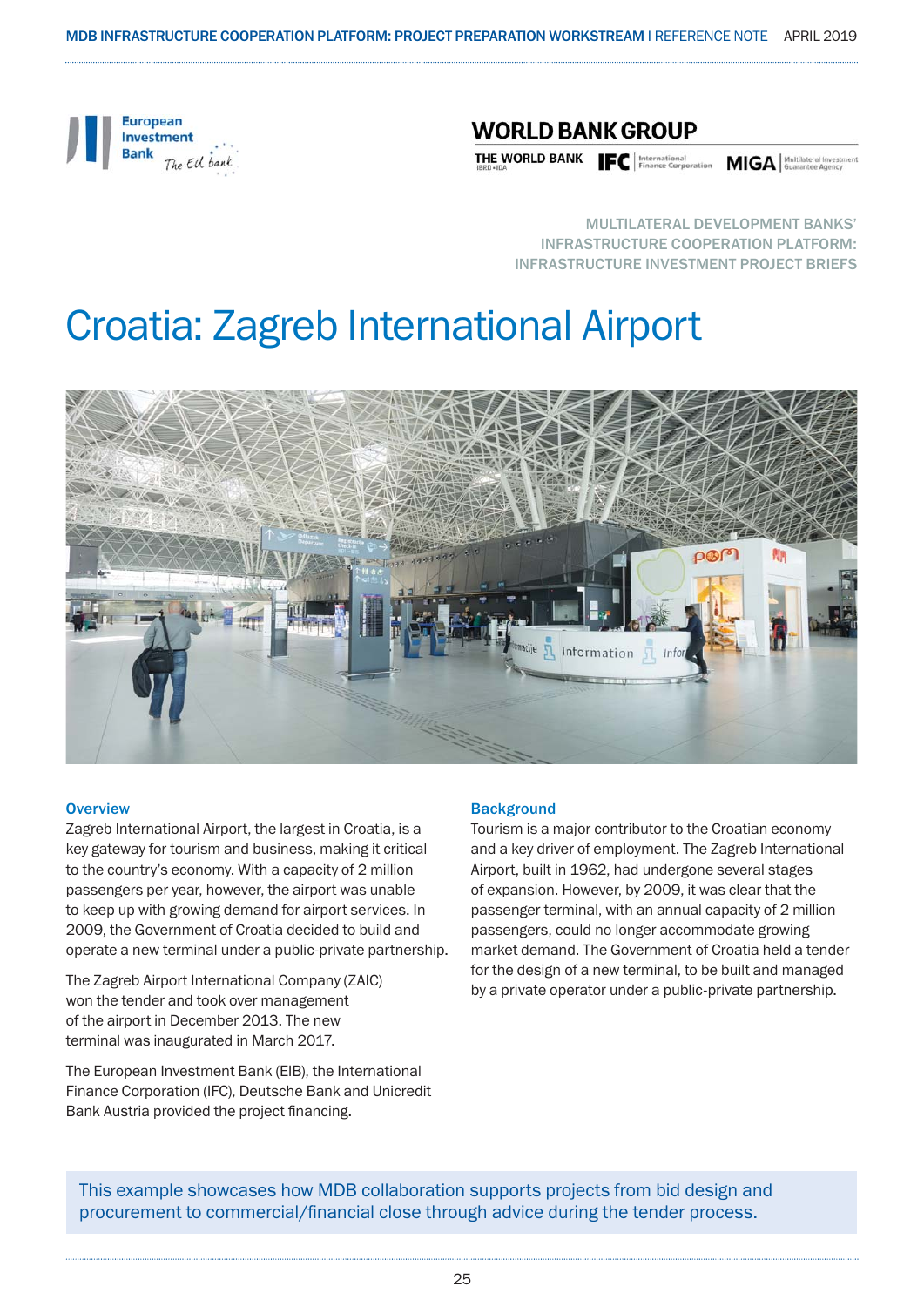

### **WORLD BANK GROUP**

THE WORLD BANK Finance Corporation MIGA | Multilateral Invest

MULTILATERAL DEVELOPMENT BANKS' INFRASTRUCTURE COOPERATION PLATFORM: INFRASTRUCTURE INVESTMENT PROJECT BRIEFS

## Croatia: Zagreb International Airport



#### **Overview**

Zagreb International Airport, the largest in Croatia, is a key gateway for tourism and business, making it critical to the country's economy. With a capacity of 2 million passengers per year, however, the airport was unable to keep up with growing demand for airport services. In 2009, the Government of Croatia decided to build and operate a new terminal under a public-private partnership.

The Zagreb Airport International Company (ZAIC) won the tender and took over management of the airport in December 2013. The new terminal was inaugurated in March 2017.

The European Investment Bank (EIB), the International Finance Corporation (IFC), Deutsche Bank and Unicredit Bank Austria provided the project financing.

#### **Background**

Tourism is a major contributor to the Croatian economy and a key driver of employment. The Zagreb International Airport, built in 1962, had undergone several stages of expansion. However, by 2009, it was clear that the passenger terminal, with an annual capacity of 2 million passengers, could no longer accommodate growing market demand. The Government of Croatia held a tender for the design of a new terminal, to be built and managed by a private operator under a public-private partnership.

This example showcases how MDB collaboration supports projects from bid design and procurement to commercial/financial close through advice during the tender process.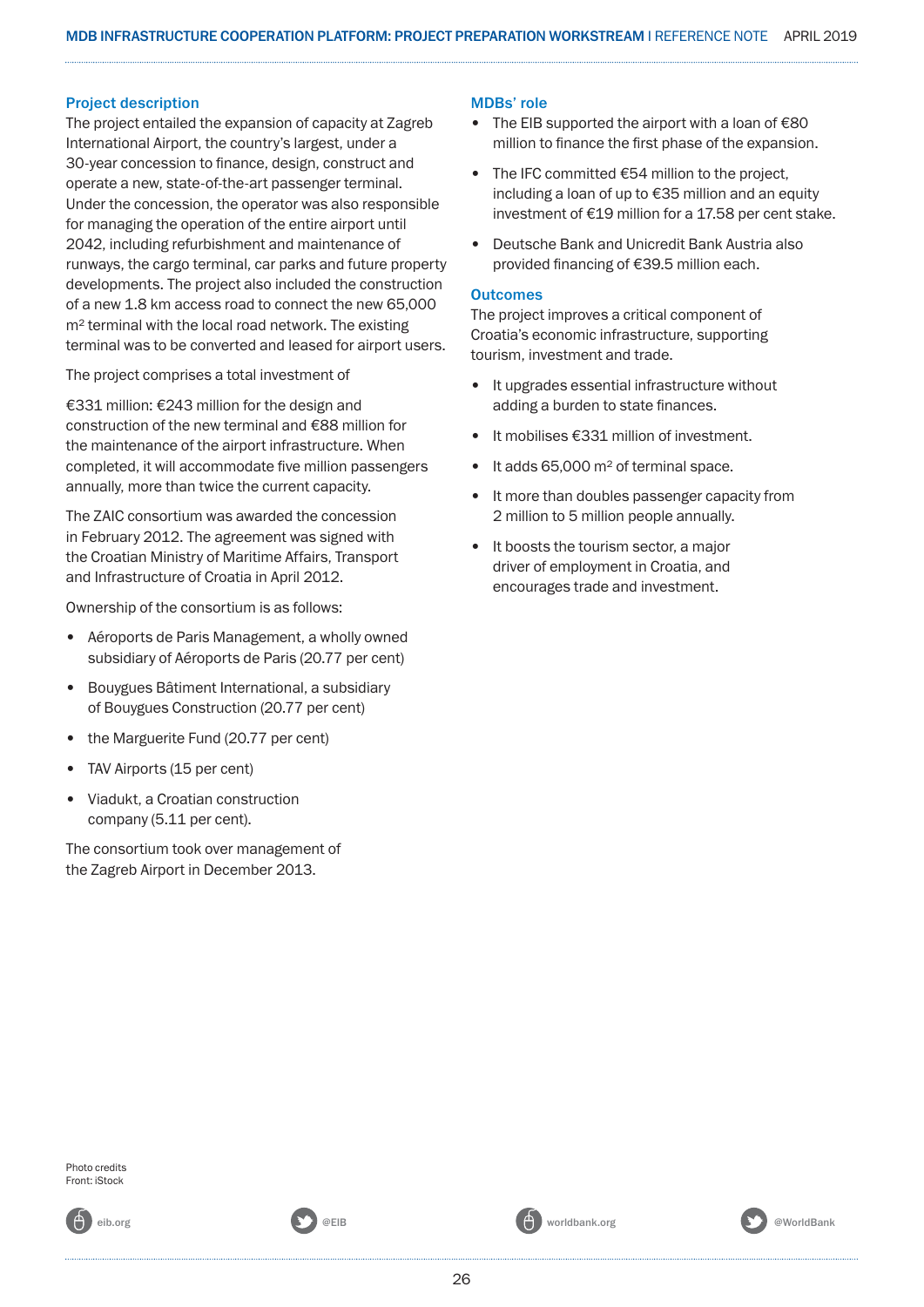#### Project description

The project entailed the expansion of capacity at Zagreb International Airport, the country's largest, under a 30-year concession to finance, design, construct and operate a new, state-of-the-art passenger terminal. Under the concession, the operator was also responsible for managing the operation of the entire airport until 2042, including refurbishment and maintenance of runways, the cargo terminal, car parks and future property developments. The project also included the construction of a new 1.8 km access road to connect the new 65,000 m<sup>2</sup> terminal with the local road network. The existing terminal was to be converted and leased for airport users.

The project comprises a total investment of

€331 million: €243 million for the design and construction of the new terminal and €88 million for the maintenance of the airport infrastructure. When completed, it will accommodate five million passengers annually, more than twice the current capacity.

The ZAIC consortium was awarded the concession in February 2012. The agreement was signed with the Croatian Ministry of Maritime Affairs, Transport and Infrastructure of Croatia in April 2012.

Ownership of the consortium is as follows:

- Aéroports de Paris Management, a wholly owned subsidiary of Aéroports de Paris (20.77 per cent)
- Bouygues Bâtiment International, a subsidiary of Bouygues Construction (20.77 per cent)
- the Marguerite Fund (20.77 per cent)
- TAV Airports (15 per cent)
- Viadukt, a Croatian construction company (5.11 per cent).

The consortium took over management of the Zagreb Airport in December 2013.

#### MDBs' role

- The EIB supported the airport with a loan of  $€80$ million to finance the first phase of the expansion.
- The IFC committed  $\epsilon$ 54 million to the project, including a loan of up to €35 million and an equity investment of €19 million for a 17.58 per cent stake.
- Deutsche Bank and Unicredit Bank Austria also provided financing of €39.5 million each.

#### **Outcomes**

The project improves a critical component of Croatia's economic infrastructure, supporting tourism, investment and trade.

- It upgrades essential infrastructure without adding a burden to state finances.
- It mobilises €331 million of investment.
- It adds 65,000 m<sup>2</sup> of terminal space.
- It more than doubles passenger capacity from 2 million to 5 million people annually.
- It boosts the tourism sector, a major driver of employment in Croatia, and encourages trade and investment.

Photo credits Front: iStock

26

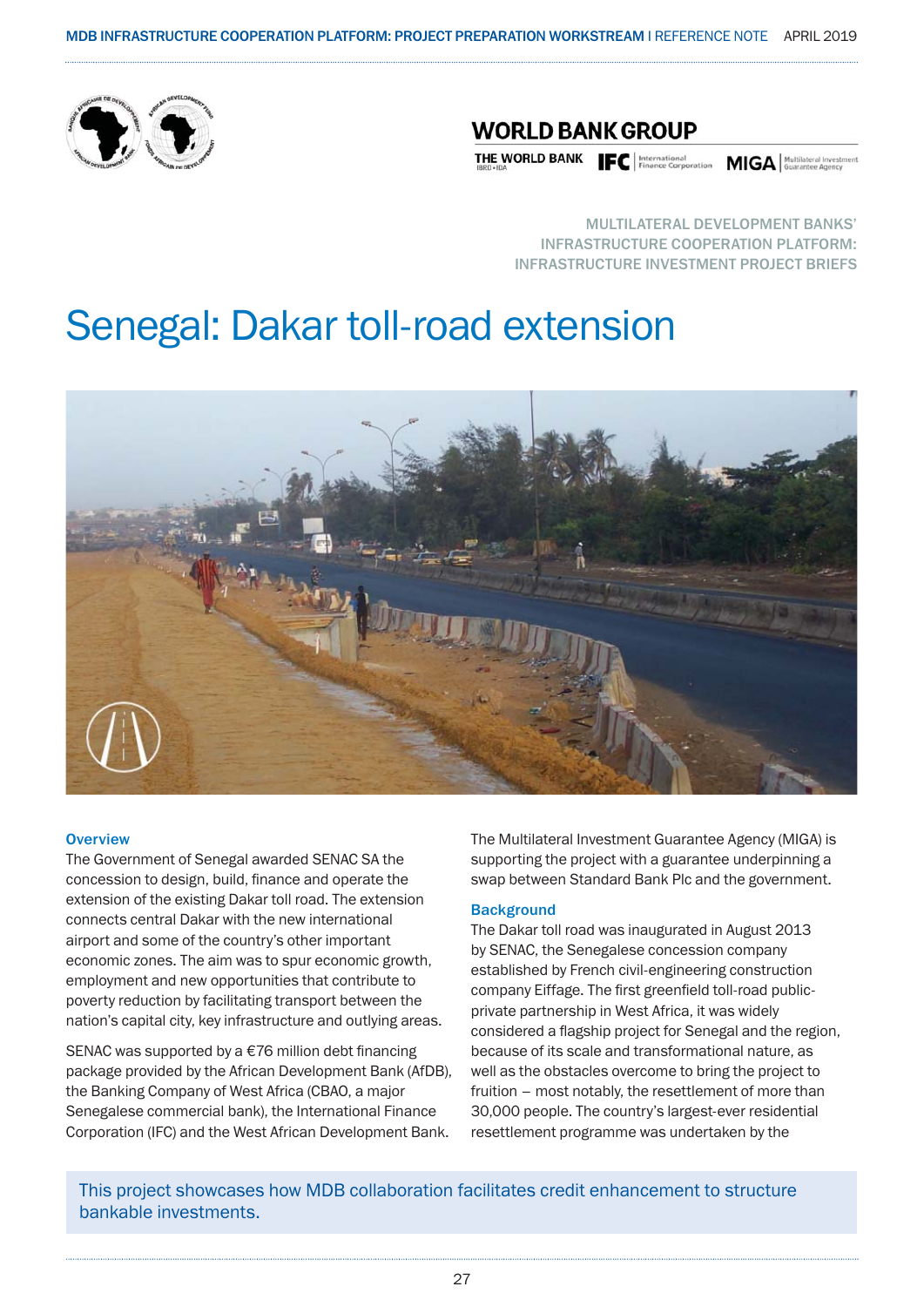

### **WORLD BANK GROUP**

THE WORLD BANK **IFC** | International **MIGA** | MUGISLEVIA | MOVILISERED INTERNATION

MULTILATERAL DEVELOPMENT BANKS' INFRASTRUCTURE COOPERATION PLATFORM: INFRASTRUCTURE INVESTMENT PROJECT BRIEFS

### Senegal: Dakar toll-road extension



#### **Overview**

The Government of Senegal awarded SENAC SA the concession to design, build, finance and operate the extension of the existing Dakar toll road. The extension connects central Dakar with the new international airport and some of the country's other important economic zones. The aim was to spur economic growth, employment and new opportunities that contribute to poverty reduction by facilitating transport between the nation's capital city, key infrastructure and outlying areas.

SENAC was supported by a €76 million debt financing package provided by the African Development Bank (AfDB), the Banking Company of West Africa (CBAO, a major Senegalese commercial bank), the International Finance Corporation (IFC) and the West African Development Bank.

The Multilateral Investment Guarantee Agency (MIGA) is supporting the project with a guarantee underpinning a swap between Standard Bank Plc and the government.

#### **Background**

The Dakar toll road was inaugurated in August 2013 by SENAC, the Senegalese concession company established by French civil-engineering construction company Eiffage. The first greenfield toll-road publicprivate partnership in West Africa, it was widely considered a flagship project for Senegal and the region, because of its scale and transformational nature, as well as the obstacles overcome to bring the project to fruition – most notably, the resettlement of more than 30,000 people. The country's largest-ever residential resettlement programme was undertaken by the

This project showcases how MDB collaboration facilitates credit enhancement to structure bankable investments.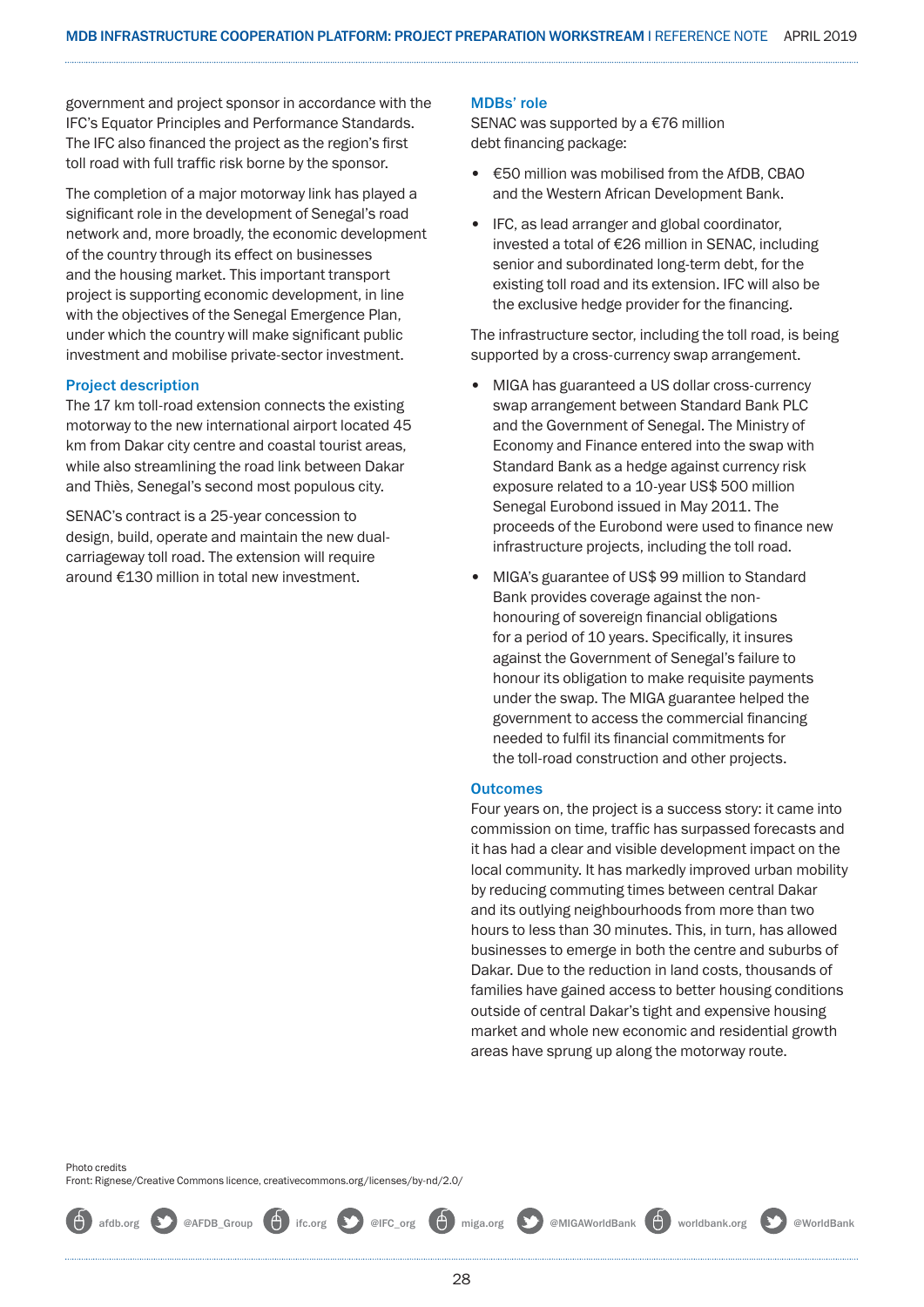government and project sponsor in accordance with the IFC's Equator Principles and Performance Standards. The IFC also financed the project as the region's first toll road with full traffic risk borne by the sponsor.

The completion of a major motorway link has played a significant role in the development of Senegal's road network and, more broadly, the economic development of the country through its effect on businesses and the housing market. This important transport project is supporting economic development, in line with the objectives of the Senegal Emergence Plan, under which the country will make significant public investment and mobilise private-sector investment.

#### Project description

The 17 km toll-road extension connects the existing motorway to the new international airport located 45 km from Dakar city centre and coastal tourist areas, while also streamlining the road link between Dakar and Thiès, Senegal's second most populous city.

SENAC's contract is a 25-year concession to design, build, operate and maintain the new dualcarriageway toll road. The extension will require around €130 million in total new investment.

#### MDBs' role

SENAC was supported by a €76 million debt financing package:

- €50 million was mobilised from the AfDB, CBAO and the Western African Development Bank.
- IFC, as lead arranger and global coordinator, invested a total of €26 million in SENAC, including senior and subordinated long-term debt, for the existing toll road and its extension. IFC will also be the exclusive hedge provider for the financing.

The infrastructure sector, including the toll road, is being supported by a cross-currency swap arrangement.

- MIGA has guaranteed a US dollar cross-currency swap arrangement between Standard Bank PLC and the Government of Senegal. The Ministry of Economy and Finance entered into the swap with Standard Bank as a hedge against currency risk exposure related to a 10-year US\$ 500 million Senegal Eurobond issued in May 2011. The proceeds of the Eurobond were used to finance new infrastructure projects, including the toll road.
- MIGA's guarantee of US\$ 99 million to Standard Bank provides coverage against the nonhonouring of sovereign financial obligations for a period of 10 years. Specifically, it insures against the Government of Senegal's failure to honour its obligation to make requisite payments under the swap. The MIGA guarantee helped the government to access the commercial financing needed to fulfil its financial commitments for the toll-road construction and other projects.

#### **Outcomes**

Four years on, the project is a success story: it came into commission on time, traffic has surpassed forecasts and it has had a clear and visible development impact on the local community. It has markedly improved urban mobility by reducing commuting times between central Dakar and its outlying neighbourhoods from more than two hours to less than 30 minutes. This, in turn, has allowed businesses to emerge in both the centre and suburbs of Dakar. Due to the reduction in land costs, thousands of families have gained access to better housing conditions outside of central Dakar's tight and expensive housing market and whole new economic and residential growth areas have sprung up along the motorway route.

Photo credits Front: Rignese/Creative Commons licence, creativecommons.org/licenses/by-nd/2.0/

afdb.org **@**AFDB\_Group **(A)** ifc.org **@**IFC\_org **(A)** miga.org **@MIGAWorldBank (A)** worldbank.org @WorldBank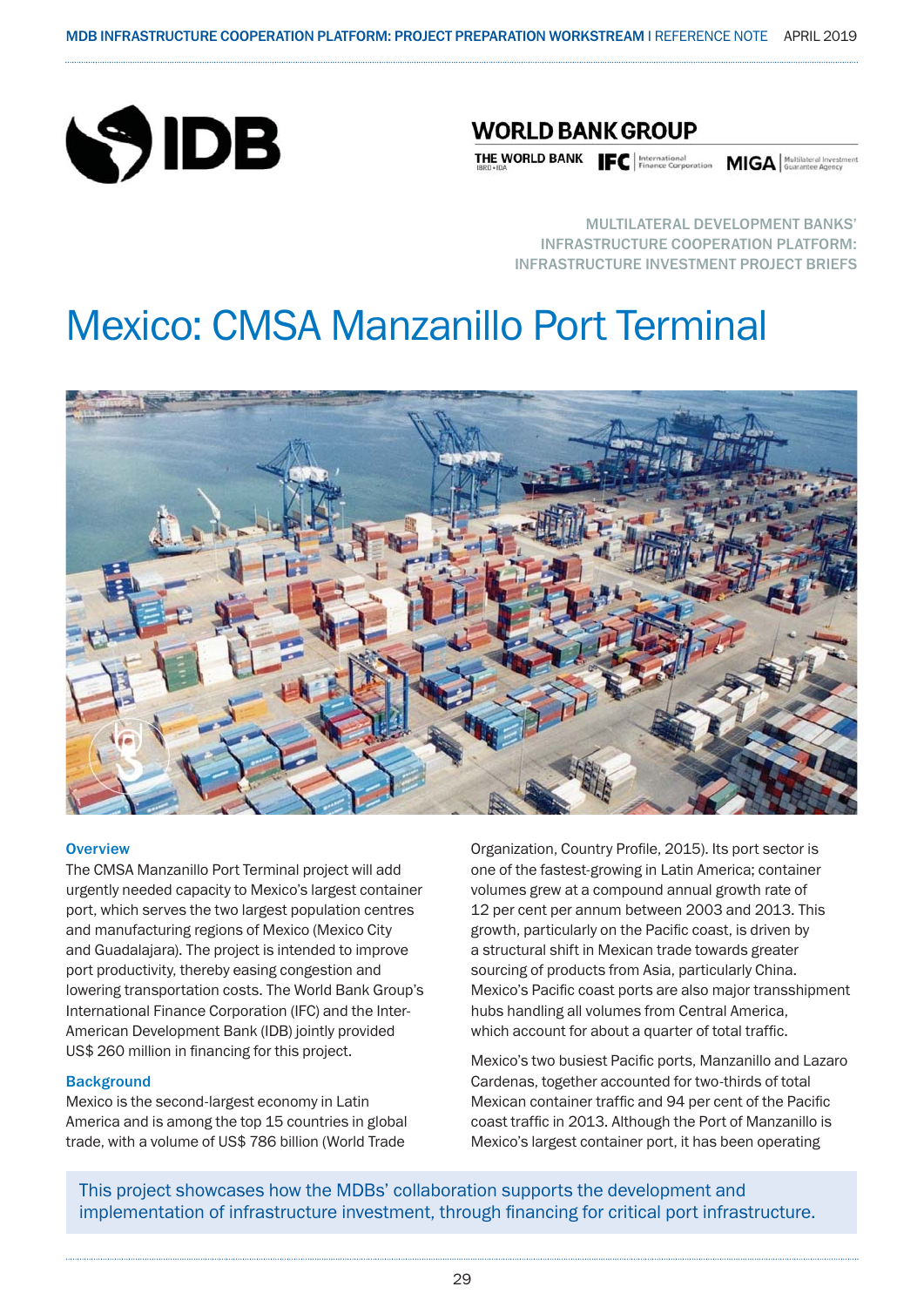

### **WORLD BANK GROUP**

THE WORLD BANK **IFC** | International **MIGA** | Multilateral Investment **Property MIGA** | Multilateral Investment **Property** 

MULTILATERAL DEVELOPMENT BANKS' INFRASTRUCTURE COOPERATION PLATFORM: INFRASTRUCTURE INVESTMENT PROJECT BRIEFS

### Mexico: CMSA Manzanillo Port Terminal



#### **Overview**

The CMSA Manzanillo Port Terminal project will add urgently needed capacity to Mexico's largest container port, which serves the two largest population centres and manufacturing regions of Mexico (Mexico City and Guadalajara). The project is intended to improve port productivity, thereby easing congestion and lowering transportation costs. The World Bank Group's International Finance Corporation (IFC) and the Inter-American Development Bank (IDB) jointly provided US\$ 260 million in financing for this project.

#### **Background**

Mexico is the second-largest economy in Latin America and is among the top 15 countries in global trade, with a volume of US\$ 786 billion (World Trade

Organization, Country Profile, 2015). Its port sector is one of the fastest-growing in Latin America; container volumes grew at a compound annual growth rate of 12 per cent per annum between 2003 and 2013. This growth, particularly on the Pacific coast, is driven by a structural shift in Mexican trade towards greater sourcing of products from Asia, particularly China. Mexico's Pacific coast ports are also major transshipment hubs handling all volumes from Central America, which account for about a quarter of total traffic.

Mexico's two busiest Pacific ports, Manzanillo and Lazaro Cardenas, together accounted for two-thirds of total Mexican container traffic and 94 per cent of the Pacific coast traffic in 2013. Although the Port of Manzanillo is Mexico's largest container port, it has been operating

This project showcases how the MDBs' collaboration supports the development and implementation of infrastructure investment, through financing for critical port infrastructure.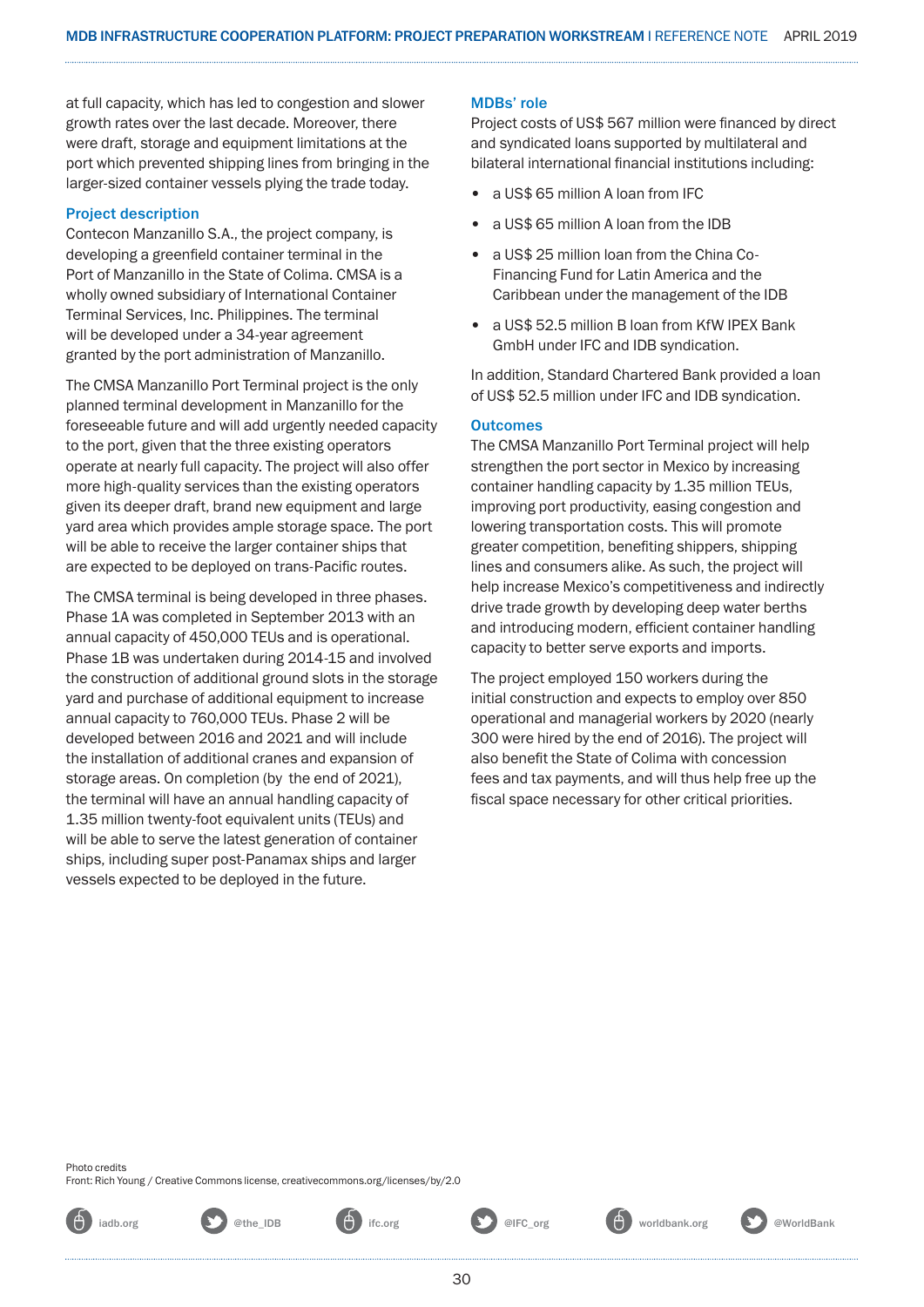at full capacity, which has led to congestion and slower growth rates over the last decade. Moreover, there were draft, storage and equipment limitations at the port which prevented shipping lines from bringing in the larger-sized container vessels plying the trade today.

#### Project description

Contecon Manzanillo S.A., the project company, is developing a greenfield container terminal in the Port of Manzanillo in the State of Colima. CMSA is a wholly owned subsidiary of International Container Terminal Services, Inc. Philippines. The terminal will be developed under a 34-year agreement granted by the port administration of Manzanillo.

The CMSA Manzanillo Port Terminal project is the only planned terminal development in Manzanillo for the foreseeable future and will add urgently needed capacity to the port, given that the three existing operators operate at nearly full capacity. The project will also offer more high-quality services than the existing operators given its deeper draft, brand new equipment and large yard area which provides ample storage space. The port will be able to receive the larger container ships that are expected to be deployed on trans-Pacific routes.

The CMSA terminal is being developed in three phases. Phase 1A was completed in September 2013 with an annual capacity of 450,000 TEUs and is operational. Phase 1B was undertaken during 2014-15 and involved the construction of additional ground slots in the storage yard and purchase of additional equipment to increase annual capacity to 760,000 TEUs. Phase 2 will be developed between 2016 and 2021 and will include the installation of additional cranes and expansion of storage areas. On completion (by the end of 2021), the terminal will have an annual handling capacity of 1.35 million twenty-foot equivalent units (TEUs) and will be able to serve the latest generation of container ships, including super post-Panamax ships and larger vessels expected to be deployed in the future.

#### MDBs' role

Project costs of US\$ 567 million were financed by direct and syndicated loans supported by multilateral and bilateral international financial institutions including:

- a US\$ 65 million A loan from IFC
- a US\$ 65 million A loan from the IDB
- a US\$ 25 million loan from the China Co-Financing Fund for Latin America and the Caribbean under the management of the IDB
- a US\$ 52.5 million B loan from KfW IPEX Bank GmbH under IFC and IDB syndication.

In addition, Standard Chartered Bank provided a loan of US\$ 52.5 million under IFC and IDB syndication.

#### **Outcomes**

The CMSA Manzanillo Port Terminal project will help strengthen the port sector in Mexico by increasing container handling capacity by 1.35 million TEUs, improving port productivity, easing congestion and lowering transportation costs. This will promote greater competition, benefiting shippers, shipping lines and consumers alike. As such, the project will help increase Mexico's competitiveness and indirectly drive trade growth by developing deep water berths and introducing modern, efficient container handling capacity to better serve exports and imports.

The project employed 150 workers during the initial construction and expects to employ over 850 operational and managerial workers by 2020 (nearly 300 were hired by the end of 2016). The project will also benefit the State of Colima with concession fees and tax payments, and will thus help free up the fiscal space necessary for other critical priorities.

Photo credits Front: Rich Young / Creative Commons license, creativecommons.org/licenses/by/2.0



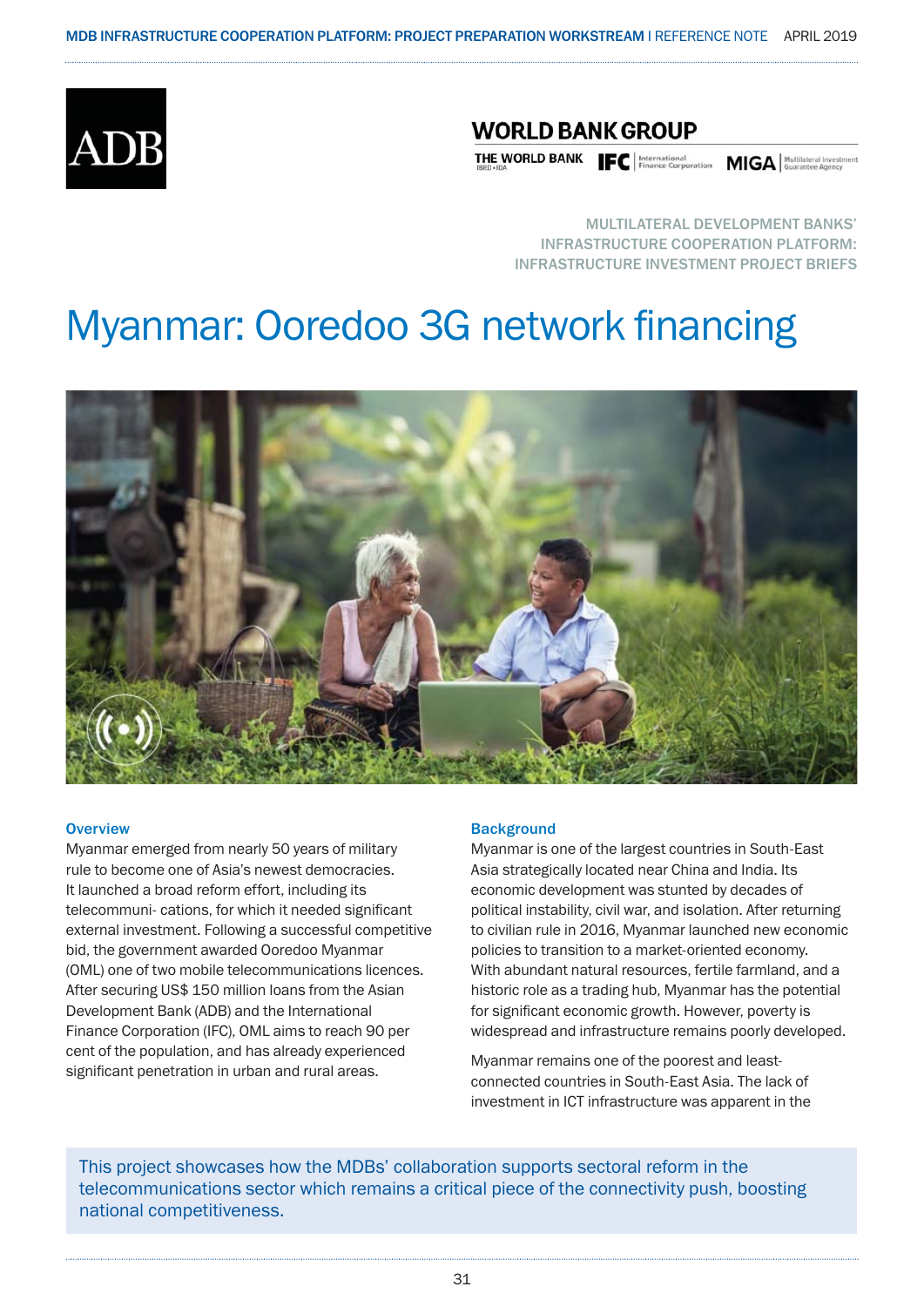

### **WORLD BANK GROUP**

**THE WORLD BANK FC** | International **MIGA** | Multilateral Investment

MULTILATERAL DEVELOPMENT BANKS' INFRASTRUCTURE COOPERATION PLATFORM: INFRASTRUCTURE INVESTMENT PROJECT BRIEFS

## Myanmar: Ooredoo 3G network financing



#### **Overview**

Myanmar emerged from nearly 50 years of military rule to become one of Asia's newest democracies. It launched a broad reform effort, including its telecommuni- cations, for which it needed significant external investment. Following a successful competitive bid, the government awarded Ooredoo Myanmar (OML) one of two mobile telecommunications licences. After securing US\$ 150 million loans from the Asian Development Bank (ADB) and the International Finance Corporation (IFC), OML aims to reach 90 per cent of the population, and has already experienced significant penetration in urban and rural areas.

#### **Background**

Myanmar is one of the largest countries in South-East Asia strategically located near China and India. Its economic development was stunted by decades of political instability, civil war, and isolation. After returning to civilian rule in 2016, Myanmar launched new economic policies to transition to a market-oriented economy. With abundant natural resources, fertile farmland, and a historic role as a trading hub, Myanmar has the potential for significant economic growth. However, poverty is widespread and infrastructure remains poorly developed.

Myanmar remains one of the poorest and leastconnected countries in South-East Asia. The lack of investment in ICT infrastructure was apparent in the

This project showcases how the MDBs' collaboration supports sectoral reform in the telecommunications sector which remains a critical piece of the connectivity push, boosting national competitiveness.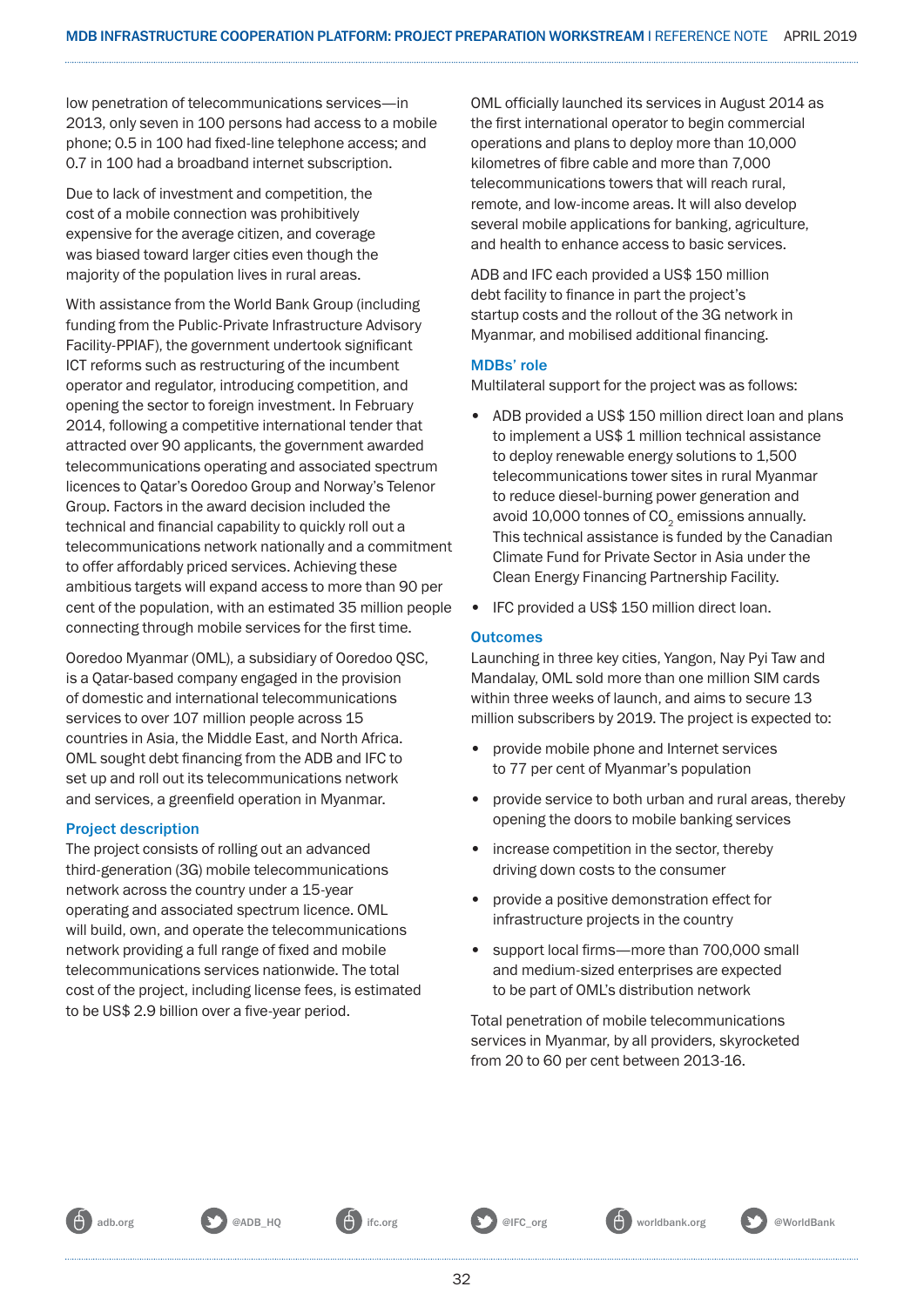low penetration of telecommunications services—in 2013, only seven in 100 persons had access to a mobile phone; 0.5 in 100 had fixed-line telephone access; and 0.7 in 100 had a broadband internet subscription.

Due to lack of investment and competition, the cost of a mobile connection was prohibitively expensive for the average citizen, and coverage was biased toward larger cities even though the majority of the population lives in rural areas.

With assistance from the World Bank Group (including funding from the Public-Private Infrastructure Advisory Facility-PPIAF), the government undertook significant ICT reforms such as restructuring of the incumbent operator and regulator, introducing competition, and opening the sector to foreign investment. In February 2014, following a competitive international tender that attracted over 90 applicants, the government awarded telecommunications operating and associated spectrum licences to Qatar's Ooredoo Group and Norway's Telenor Group. Factors in the award decision included the technical and financial capability to quickly roll out a telecommunications network nationally and a commitment to offer affordably priced services. Achieving these ambitious targets will expand access to more than 90 per cent of the population, with an estimated 35 million people connecting through mobile services for the first time.

Ooredoo Myanmar (OML), a subsidiary of Ooredoo QSC, is a Qatar-based company engaged in the provision of domestic and international telecommunications services to over 107 million people across 15 countries in Asia, the Middle East, and North Africa. OML sought debt financing from the ADB and IFC to set up and roll out its telecommunications network and services, a greenfield operation in Myanmar.

#### Project description

The project consists of rolling out an advanced third-generation (3G) mobile telecommunications network across the country under a 15-year operating and associated spectrum licence. OML will build, own, and operate the telecommunications network providing a full range of fixed and mobile telecommunications services nationwide. The total cost of the project, including license fees, is estimated to be US\$ 2.9 billion over a five-year period.

OML officially launched its services in August 2014 as the first international operator to begin commercial operations and plans to deploy more than 10,000 kilometres of fibre cable and more than 7,000 telecommunications towers that will reach rural, remote, and low-income areas. It will also develop several mobile applications for banking, agriculture, and health to enhance access to basic services.

ADB and IFC each provided a US\$ 150 million debt facility to finance in part the project's startup costs and the rollout of the 3G network in Myanmar, and mobilised additional financing.

#### MDBs' role

Multilateral support for the project was as follows:

- ADB provided a US\$ 150 million direct loan and plans to implement a US\$ 1 million technical assistance to deploy renewable energy solutions to 1,500 telecommunications tower sites in rural Myanmar to reduce diesel-burning power generation and avoid 10,000 tonnes of CO<sub>2</sub> emissions annually. This technical assistance is funded by the Canadian Climate Fund for Private Sector in Asia under the Clean Energy Financing Partnership Facility.
- IFC provided a US\$ 150 million direct loan.

#### **Outcomes**

Launching in three key cities, Yangon, Nay Pyi Taw and Mandalay, OML sold more than one million SIM cards within three weeks of launch, and aims to secure 13 million subscribers by 2019. The project is expected to:

- provide mobile phone and Internet services to 77 per cent of Myanmar's population
- provide service to both urban and rural areas, thereby opening the doors to mobile banking services
- increase competition in the sector, thereby driving down costs to the consumer
- provide a positive demonstration effect for infrastructure projects in the country
- support local firms—more than 700,000 small and medium-sized enterprises are expected to be part of OML's distribution network

Total penetration of mobile telecommunications services in Myanmar, by all providers, skyrocketed from 20 to 60 per cent between 2013-16.



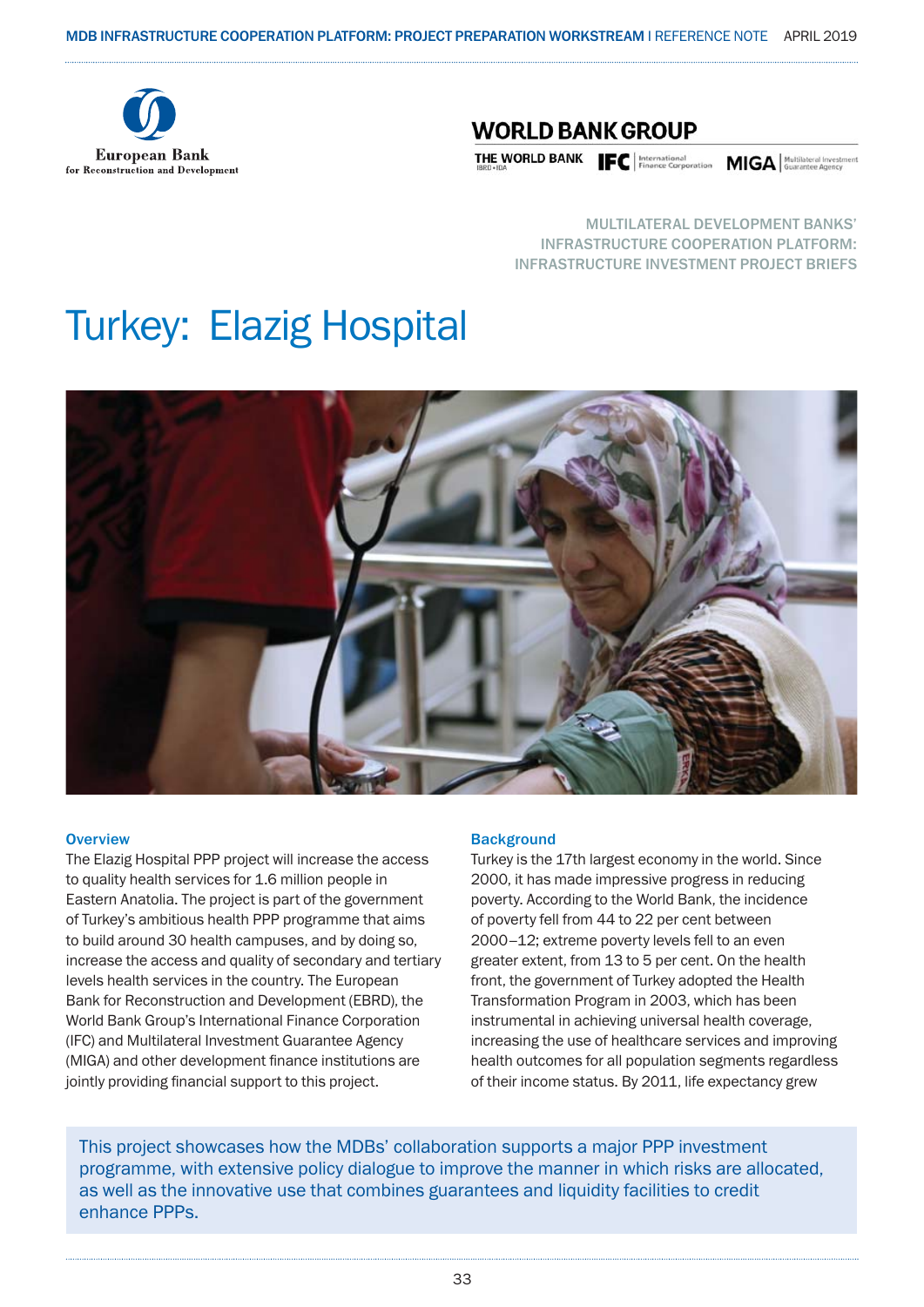

### **WORLD BANK GROUP**

THE WORLD BANK FINAL Expressional MIGA Multilateral Investment of Finance Corporation MIGA distributional message of  $\overline{\text{max}}$ 

MULTILATERAL DEVELOPMENT BANKS' INFRASTRUCTURE COOPERATION PLATFORM: INFRASTRUCTURE INVESTMENT PROJECT BRIEFS

## Turkey: Elazig Hospital



#### **Overview**

The Elazig Hospital PPP project will increase the access to quality health services for 1.6 million people in Eastern Anatolia. The project is part of the government of Turkey's ambitious health PPP programme that aims to build around 30 health campuses, and by doing so, increase the access and quality of secondary and tertiary levels health services in the country. The European Bank for Reconstruction and Development (EBRD), the World Bank Group's International Finance Corporation (IFC) and Multilateral Investment Guarantee Agency (MIGA) and other development finance institutions are jointly providing financial support to this project.

#### **Background**

Turkey is the 17th largest economy in the world. Since 2000, it has made impressive progress in reducing poverty. According to the World Bank, the incidence of poverty fell from 44 to 22 per cent between 2000–12; extreme poverty levels fell to an even greater extent, from 13 to 5 per cent. On the health front, the government of Turkey adopted the Health Transformation Program in 2003, which has been instrumental in achieving universal health coverage, increasing the use of healthcare services and improving health outcomes for all population segments regardless of their income status. By 2011, life expectancy grew

This project showcases how the MDBs' collaboration supports a major PPP investment programme, with extensive policy dialogue to improve the manner in which risks are allocated, as well as the innovative use that combines guarantees and liquidity facilities to credit enhance PPPs.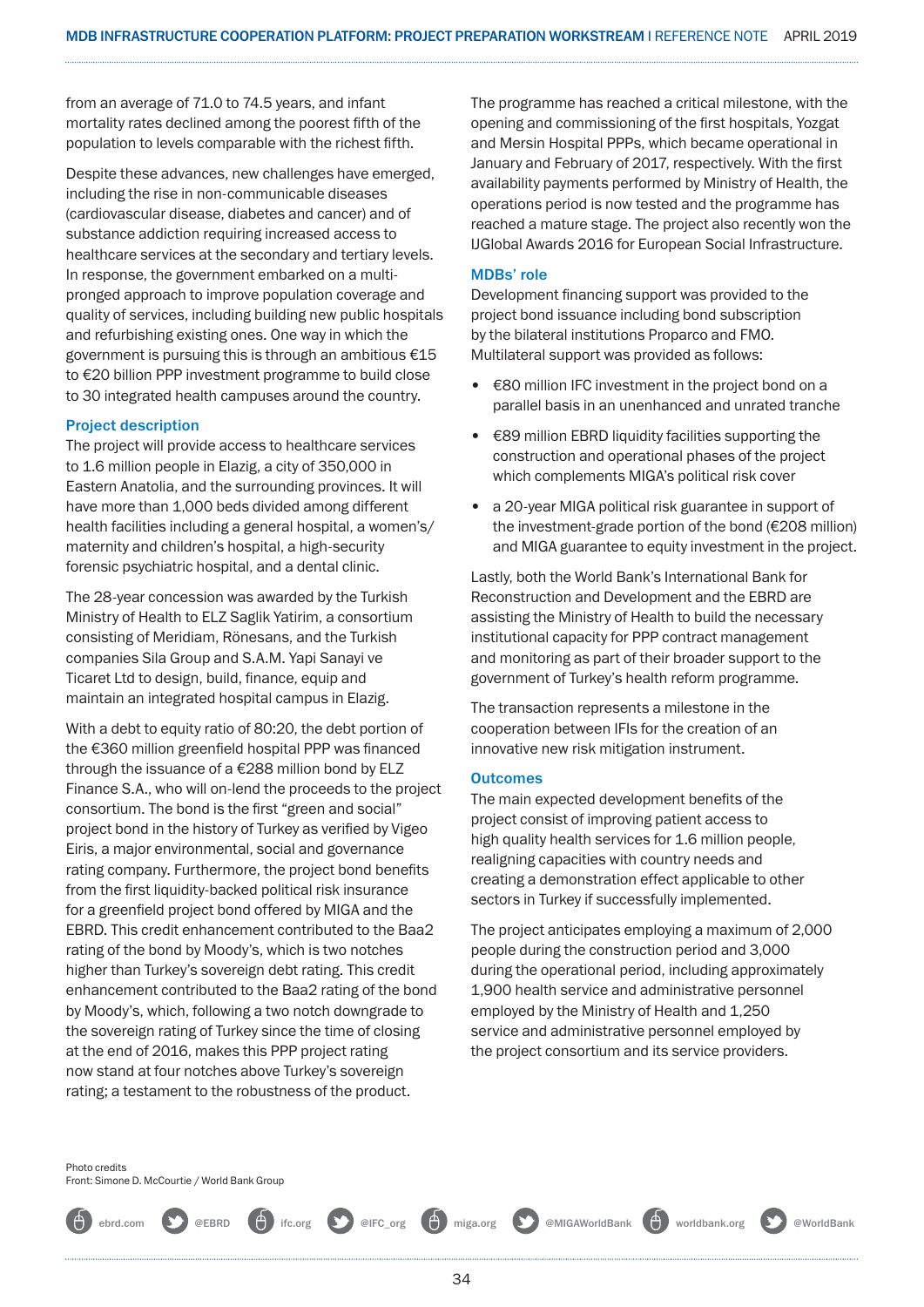from an average of 71.0 to 74.5 years, and infant mortality rates declined among the poorest fifth of the population to levels comparable with the richest fifth.

Despite these advances, new challenges have emerged, including the rise in non-communicable diseases (cardiovascular disease, diabetes and cancer) and of substance addiction requiring increased access to healthcare services at the secondary and tertiary levels. In response, the government embarked on a multipronged approach to improve population coverage and quality of services, including building new public hospitals and refurbishing existing ones. One way in which the government is pursuing this is through an ambitious €15 to €20 billion PPP investment programme to build close to 30 integrated health campuses around the country.

#### Project description

The project will provide access to healthcare services to 1.6 million people in Elazig, a city of 350,000 in Eastern Anatolia, and the surrounding provinces. It will have more than 1,000 beds divided among different health facilities including a general hospital, a women's/ maternity and children's hospital, a high-security forensic psychiatric hospital, and a dental clinic.

The 28-year concession was awarded by the Turkish Ministry of Health to ELZ Saglik Yatirim, a consortium consisting of Meridiam, Rönesans, and the Turkish companies Sila Group and S.A.M. Yapi Sanayi ve Ticaret Ltd to design, build, finance, equip and maintain an integrated hospital campus in Elazig.

With a debt to equity ratio of 80:20, the debt portion of the €360 million greenfield hospital PPP was financed through the issuance of a €288 million bond by ELZ Finance S.A., who will on-lend the proceeds to the project consortium. The bond is the first "green and social" project bond in the history of Turkey as verified by Vigeo Eiris, a major environmental, social and governance rating company. Furthermore, the project bond benefits from the first liquidity-backed political risk insurance for a greenfield project bond offered by MIGA and the EBRD. This credit enhancement contributed to the Baa2 rating of the bond by Moody's, which is two notches higher than Turkey's sovereign debt rating. This credit enhancement contributed to the Baa2 rating of the bond by Moody's, which, following a two notch downgrade to the sovereign rating of Turkey since the time of closing at the end of 2016, makes this PPP project rating now stand at four notches above Turkey's sovereign rating; a testament to the robustness of the product.

The programme has reached a critical milestone, with the opening and commissioning of the first hospitals, Yozgat and Mersin Hospital PPPs, which became operational in January and February of 2017, respectively. With the first availability payments performed by Ministry of Health, the operations period is now tested and the programme has reached a mature stage. The project also recently won the IJGlobal Awards 2016 for European Social Infrastructure.

#### MDBs' role

Development financing support was provided to the project bond issuance including bond subscription by the bilateral institutions Proparco and FMO. Multilateral support was provided as follows:

- €80 million IFC investment in the project bond on a parallel basis in an unenhanced and unrated tranche
- €89 million EBRD liquidity facilities supporting the construction and operational phases of the project which complements MIGA's political risk cover
- a 20-year MIGA political risk guarantee in support of the investment-grade portion of the bond (€208 million) and MIGA guarantee to equity investment in the project.

Lastly, both the World Bank's International Bank for Reconstruction and Development and the EBRD are assisting the Ministry of Health to build the necessary institutional capacity for PPP contract management and monitoring as part of their broader support to the government of Turkey's health reform programme.

The transaction represents a milestone in the cooperation between IFIs for the creation of an innovative new risk mitigation instrument.

#### **Outcomes**

The main expected development benefits of the project consist of improving patient access to high quality health services for 1.6 million people, realigning capacities with country needs and creating a demonstration effect applicable to other sectors in Turkey if successfully implemented.

The project anticipates employing a maximum of 2,000 people during the construction period and 3,000 during the operational period, including approximately 1,900 health service and administrative personnel employed by the Ministry of Health and 1,250 service and administrative personnel employed by the project consortium and its service providers.

Photo credits Front: Simone D. McCourtie / World Bank Group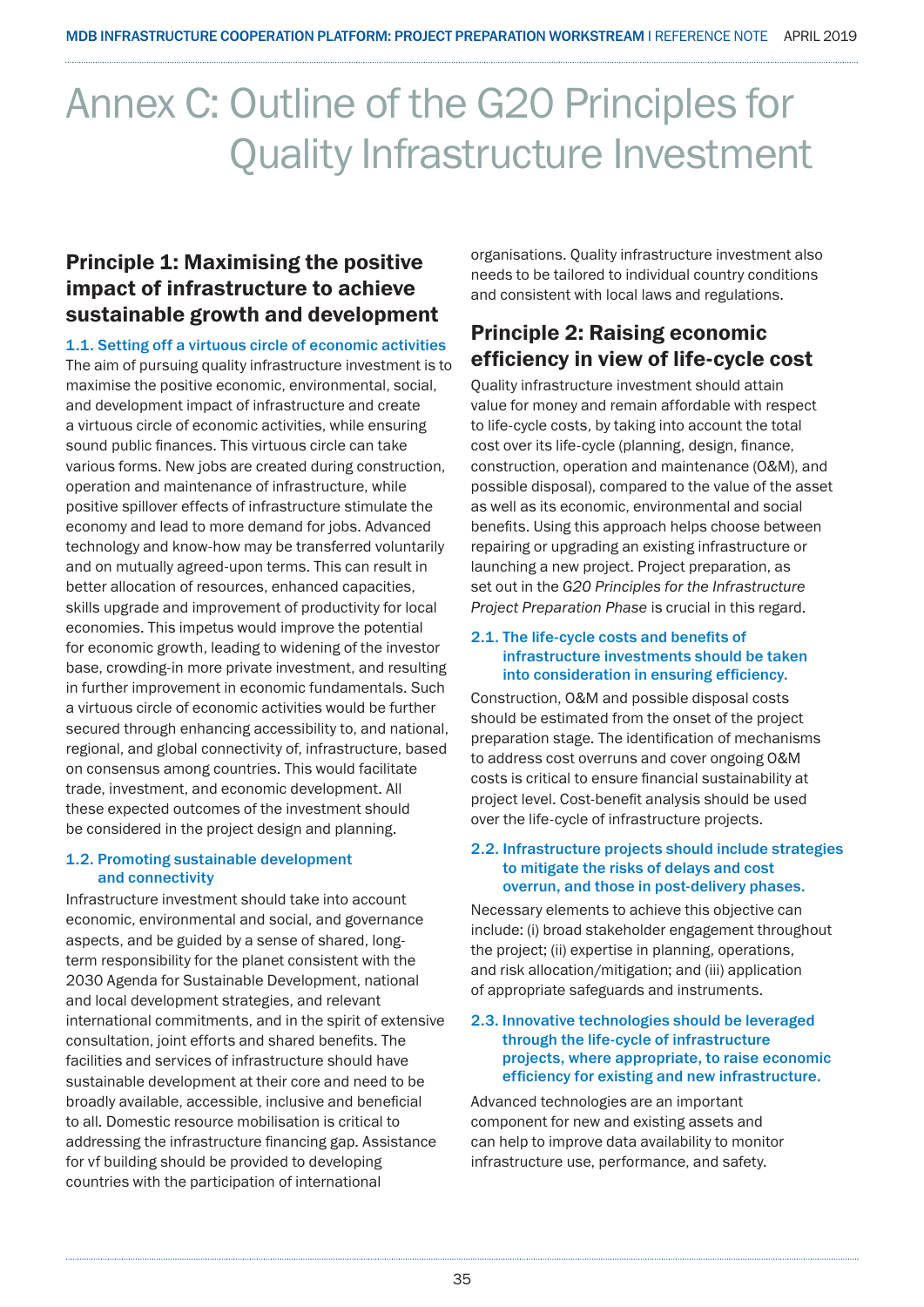## Annex C: Outline of the G20 Principles for Quality Infrastructure Investment

### Principle 1: Maximising the positive impact of infrastructure to achieve sustainable growth and development

1.1. Setting off a virtuous circle of economic activities

The aim of pursuing quality infrastructure investment is to maximise the positive economic, environmental, social, and development impact of infrastructure and create a virtuous circle of economic activities, while ensuring sound public finances. This virtuous circle can take various forms. New jobs are created during construction, operation and maintenance of infrastructure, while positive spillover effects of infrastructure stimulate the economy and lead to more demand for jobs. Advanced technology and know-how may be transferred voluntarily and on mutually agreed-upon terms. This can result in better allocation of resources, enhanced capacities, skills upgrade and improvement of productivity for local economies. This impetus would improve the potential for economic growth, leading to widening of the investor base, crowding-in more private investment, and resulting in further improvement in economic fundamentals. Such a virtuous circle of economic activities would be further secured through enhancing accessibility to, and national, regional, and global connectivity of, infrastructure, based on consensus among countries. This would facilitate trade, investment, and economic development. All these expected outcomes of the investment should be considered in the project design and planning.

#### 1.2. Promoting sustainable development and connectivity

Infrastructure investment should take into account economic, environmental and social, and governance aspects, and be guided by a sense of shared, longterm responsibility for the planet consistent with the 2030 Agenda for Sustainable Development, national and local development strategies, and relevant international commitments, and in the spirit of extensive consultation, joint efforts and shared benefits. The facilities and services of infrastructure should have sustainable development at their core and need to be broadly available, accessible, inclusive and beneficial to all. Domestic resource mobilisation is critical to addressing the infrastructure financing gap. Assistance for vf building should be provided to developing countries with the participation of international

organisations. Quality infrastructure investment also needs to be tailored to individual country conditions and consistent with local laws and regulations.

### Principle 2: Raising economic efficiency in view of life-cycle cost

Quality infrastructure investment should attain value for money and remain affordable with respect to life-cycle costs, by taking into account the total cost over its life-cycle (planning, design, finance, construction, operation and maintenance (O&M), and possible disposal), compared to the value of the asset as well as its economic, environmental and social benefits. Using this approach helps choose between repairing or upgrading an existing infrastructure or launching a new project. Project preparation, as set out in the *G20 Principles for the Infrastructure Project Preparation Phase* is crucial in this regard.

#### 2.1. The life-cycle costs and benefits of infrastructure investments should be taken into consideration in ensuring efficiency.

Construction, O&M and possible disposal costs should be estimated from the onset of the project preparation stage. The identification of mechanisms to address cost overruns and cover ongoing O&M costs is critical to ensure financial sustainability at project level. Cost-benefit analysis should be used over the life-cycle of infrastructure projects.

#### 2.2. Infrastructure projects should include strategies to mitigate the risks of delays and cost overrun, and those in post-delivery phases.

Necessary elements to achieve this objective can include: (i) broad stakeholder engagement throughout the project; (ii) expertise in planning, operations, and risk allocation/mitigation; and (iii) application of appropriate safeguards and instruments.

#### 2.3. Innovative technologies should be leveraged through the life-cycle of infrastructure projects, where appropriate, to raise economic efficiency for existing and new infrastructure.

Advanced technologies are an important component for new and existing assets and can help to improve data availability to monitor infrastructure use, performance, and safety.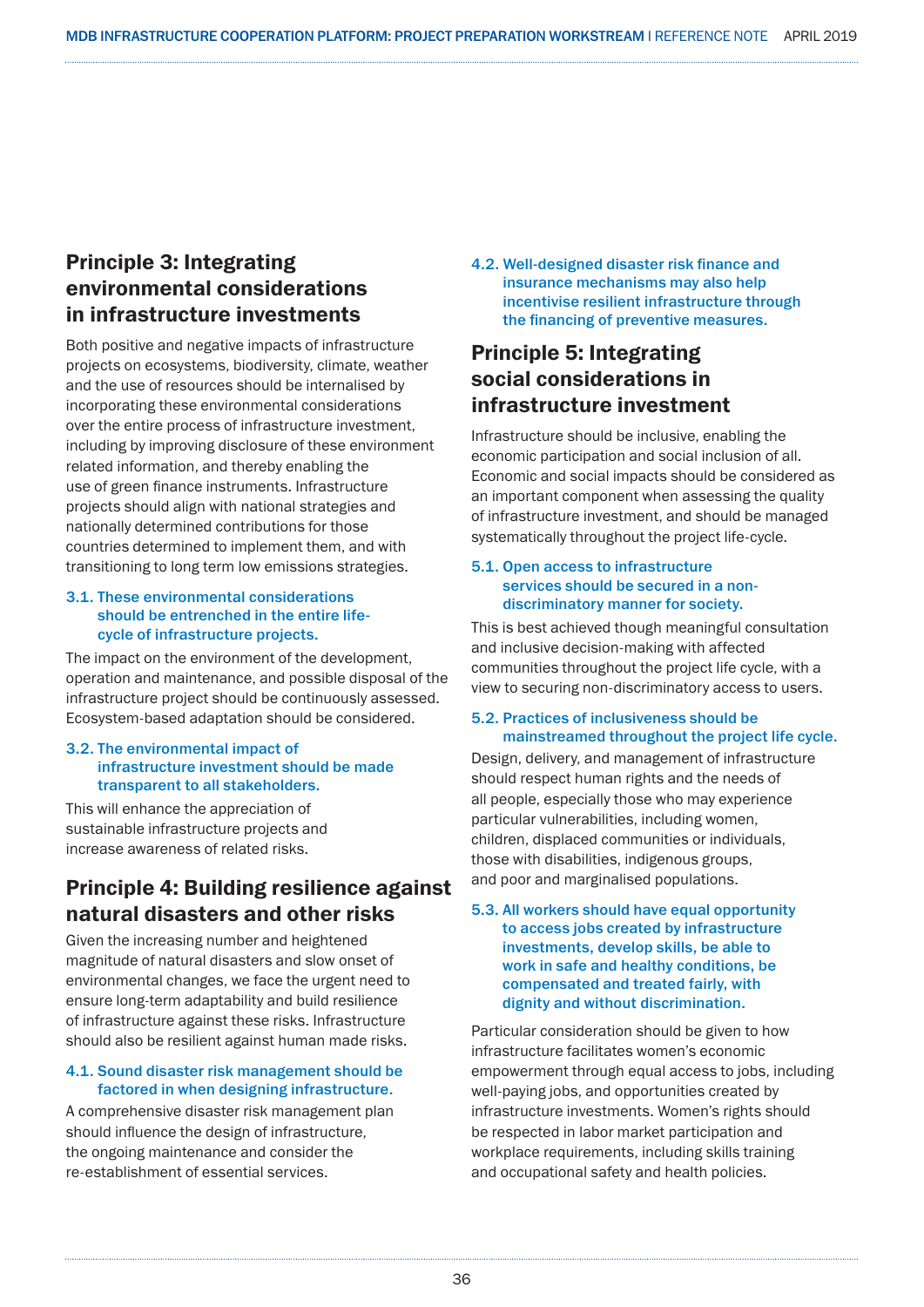### Principle 3: Integrating environmental considerations in infrastructure investments

Both positive and negative impacts of infrastructure projects on ecosystems, biodiversity, climate, weather and the use of resources should be internalised by incorporating these environmental considerations over the entire process of infrastructure investment, including by improving disclosure of these environment related information, and thereby enabling the use of green finance instruments. Infrastructure projects should align with national strategies and nationally determined contributions for those countries determined to implement them, and with transitioning to long term low emissions strategies.

#### 3.1. These environmental considerations should be entrenched in the entire lifecycle of infrastructure projects.

The impact on the environment of the development, operation and maintenance, and possible disposal of the infrastructure project should be continuously assessed. Ecosystem-based adaptation should be considered.

#### 3.2. The environmental impact of infrastructure investment should be made transparent to all stakeholders.

This will enhance the appreciation of sustainable infrastructure projects and increase awareness of related risks.

### Principle 4: Building resilience against natural disasters and other risks

Given the increasing number and heightened magnitude of natural disasters and slow onset of environmental changes, we face the urgent need to ensure long-term adaptability and build resilience of infrastructure against these risks. Infrastructure should also be resilient against human made risks.

#### 4.1. Sound disaster risk management should be factored in when designing infrastructure.

A comprehensive disaster risk management plan should influence the design of infrastructure, the ongoing maintenance and consider the re-establishment of essential services.

4.2. Well-designed disaster risk finance and insurance mechanisms may also help incentivise resilient infrastructure through the financing of preventive measures.

### Principle 5: Integrating social considerations in infrastructure investment

Infrastructure should be inclusive, enabling the economic participation and social inclusion of all. Economic and social impacts should be considered as an important component when assessing the quality of infrastructure investment, and should be managed systematically throughout the project life-cycle.

#### 5.1. Open access to infrastructure services should be secured in a nondiscriminatory manner for society.

This is best achieved though meaningful consultation and inclusive decision-making with affected communities throughout the project life cycle, with a view to securing non-discriminatory access to users.

#### 5.2. Practices of inclusiveness should be mainstreamed throughout the project life cycle.

Design, delivery, and management of infrastructure should respect human rights and the needs of all people, especially those who may experience particular vulnerabilities, including women, children, displaced communities or individuals, those with disabilities, indigenous groups, and poor and marginalised populations.

#### 5.3. All workers should have equal opportunity to access jobs created by infrastructure investments, develop skills, be able to work in safe and healthy conditions, be compensated and treated fairly, with dignity and without discrimination.

Particular consideration should be given to how infrastructure facilitates women's economic empowerment through equal access to jobs, including well-paying jobs, and opportunities created by infrastructure investments. Women's rights should be respected in labor market participation and workplace requirements, including skills training and occupational safety and health policies.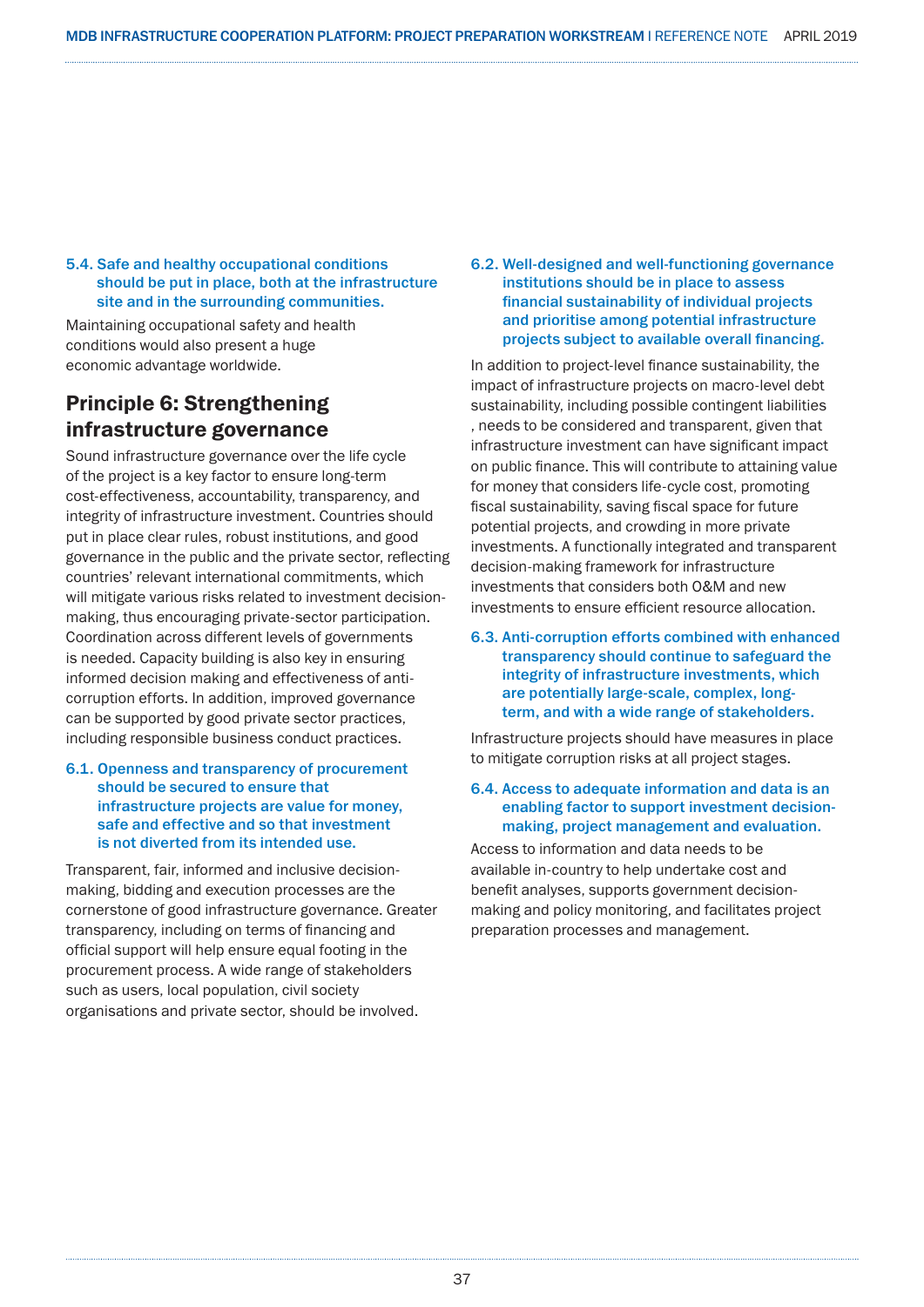#### 5.4. Safe and healthy occupational conditions should be put in place, both at the infrastructure site and in the surrounding communities.

Maintaining occupational safety and health conditions would also present a huge economic advantage worldwide.

### Principle 6: Strengthening infrastructure governance

Sound infrastructure governance over the life cycle of the project is a key factor to ensure long-term cost-effectiveness, accountability, transparency, and integrity of infrastructure investment. Countries should put in place clear rules, robust institutions, and good governance in the public and the private sector, reflecting countries' relevant international commitments, which will mitigate various risks related to investment decisionmaking, thus encouraging private-sector participation. Coordination across different levels of governments is needed. Capacity building is also key in ensuring informed decision making and effectiveness of anticorruption efforts. In addition, improved governance can be supported by good private sector practices, including responsible business conduct practices.

#### 6.1. Openness and transparency of procurement should be secured to ensure that infrastructure projects are value for money, safe and effective and so that investment is not diverted from its intended use.

Transparent, fair, informed and inclusive decisionmaking, bidding and execution processes are the cornerstone of good infrastructure governance. Greater transparency, including on terms of financing and official support will help ensure equal footing in the procurement process. A wide range of stakeholders such as users, local population, civil society organisations and private sector, should be involved.

#### 6.2. Well-designed and well-functioning governance institutions should be in place to assess financial sustainability of individual projects and prioritise among potential infrastructure projects subject to available overall financing.

In addition to project-level finance sustainability, the impact of infrastructure projects on macro-level debt sustainability, including possible contingent liabilities , needs to be considered and transparent, given that infrastructure investment can have significant impact on public finance. This will contribute to attaining value for money that considers life-cycle cost, promoting fiscal sustainability, saving fiscal space for future potential projects, and crowding in more private investments. A functionally integrated and transparent decision-making framework for infrastructure investments that considers both O&M and new investments to ensure efficient resource allocation.

#### 6.3. Anti-corruption efforts combined with enhanced transparency should continue to safeguard the integrity of infrastructure investments, which are potentially large-scale, complex, longterm, and with a wide range of stakeholders.

Infrastructure projects should have measures in place to mitigate corruption risks at all project stages.

#### 6.4. Access to adequate information and data is an enabling factor to support investment decisionmaking, project management and evaluation.

Access to information and data needs to be available in-country to help undertake cost and benefit analyses, supports government decisionmaking and policy monitoring, and facilitates project preparation processes and management.